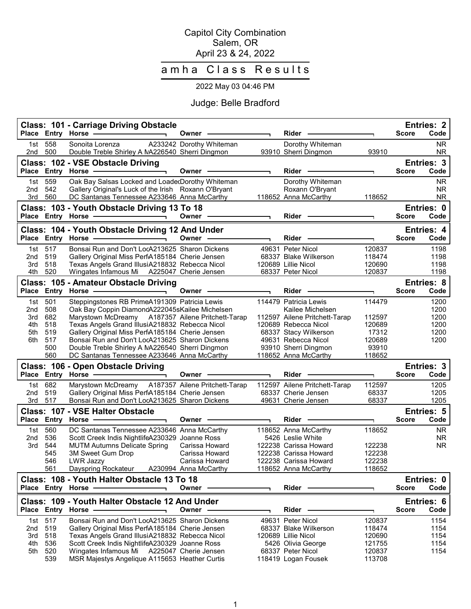### Capitol City Combination Salem, OR April 23 & 24, 2022

# amha Class Results

# 2022 May 03 04:46 PM

# Judge: Belle Bradford

|              |                   | Class: 101 - Carriage Driving Obstacle<br>Place Entry Horse -                                                                                                                                                                                                                                                                                                                                                                              | Owner -                  | Rider                                      |                  | <b>Score</b> | <b>Entries: 2</b><br>Code |
|--------------|-------------------|--------------------------------------------------------------------------------------------------------------------------------------------------------------------------------------------------------------------------------------------------------------------------------------------------------------------------------------------------------------------------------------------------------------------------------------------|--------------------------|--------------------------------------------|------------------|--------------|---------------------------|
| 1st<br>2nd   | 558<br>500        | Sonoita Lorenza<br>Double Treble Shirley A NA226540 Sherri Dingmon                                                                                                                                                                                                                                                                                                                                                                         | A233242 Dorothy Whiteman | Dorothy Whiteman<br>93910 Sherri Dingmon   | 93910            |              | <b>NR</b><br><b>NR</b>    |
|              |                   | Class: 102 - VSE Obstacle Driving<br>Place Entry Horse -                                                                                                                                                                                                                                                                                                                                                                                   | Owner -                  | Rider                                      |                  | <b>Score</b> | Entries: 3<br>Code        |
| 1st<br>2nd   | 559<br>542        | Oak Bay Salsas Locked and LoadedDorothy Whiteman<br>Gallery Original's Luck of the Irish Roxann O'Bryant                                                                                                                                                                                                                                                                                                                                   |                          | Dorothy Whiteman<br>Roxann O'Bryant        |                  |              | <b>NR</b><br><b>NR</b>    |
|              | 3rd 560           | DC Santanas Tennessee A233646 Anna McCarthy<br>Class: 103 - Youth Obstacle Driving 13 To 18                                                                                                                                                                                                                                                                                                                                                |                          | 118652 Anna McCarthy                       | 118652           |              | <b>NR</b><br>Entries: 0   |
|              |                   | Place Entry Horse -<br>$\overline{\phantom{a}}$ and $\overline{\phantom{a}}$ and $\overline{\phantom{a}}$ and $\overline{\phantom{a}}$ and $\overline{\phantom{a}}$ and $\overline{\phantom{a}}$ and $\overline{\phantom{a}}$ and $\overline{\phantom{a}}$ and $\overline{\phantom{a}}$ and $\overline{\phantom{a}}$ and $\overline{\phantom{a}}$ and $\overline{\phantom{a}}$ and $\overline{\phantom{a}}$ and $\overline{\phantom{a}}$ a | Owner —                  | Rider                                      |                  | <b>Score</b> | Code                      |
|              | Place Entry Horse | Class: 104 - Youth Obstacle Driving 12 And Under<br>$\overline{\phantom{a}}$ . The contract of $\overline{\phantom{a}}$                                                                                                                                                                                                                                                                                                                    | Owner                    | <b>Rider</b>                               |                  | <b>Score</b> | <b>Entries: 4</b><br>Code |
| 1st.         | 517               | Bonsai Run and Don't LocA213625 Sharon Dickens                                                                                                                                                                                                                                                                                                                                                                                             |                          | 49631 Peter Nicol                          | 120837           |              | 1198                      |
| 2nd          | 519               | Gallery Original Miss PerfA185184 Cherie Jensen                                                                                                                                                                                                                                                                                                                                                                                            |                          | 68337 Blake Wilkerson                      | 118474           |              | 1198                      |
| 3rd          | 518               | Texas Angels Grand IllusiA218832 Rebecca Nicol                                                                                                                                                                                                                                                                                                                                                                                             |                          | 120689 Lillie Nicol                        | 120690           |              | 1198                      |
| 4th          | 520               | Wingates Infamous Mi A225047 Cherie Jensen                                                                                                                                                                                                                                                                                                                                                                                                 |                          | 68337 Peter Nicol                          | 120837           |              | 1198                      |
|              |                   | Class: 105 - Amateur Obstacle Driving                                                                                                                                                                                                                                                                                                                                                                                                      |                          |                                            |                  |              | <b>Entries: 8</b>         |
|              |                   | Place Entry Horse - The Management of the Management of the Management of the Management of the Management of<br>$\blacksquare$                                                                                                                                                                                                                                                                                                            | Owner -                  | Rider                                      |                  | <b>Score</b> | Code                      |
| 1st<br>2nd   | 501<br>508        | Steppingstones RB PrimeA191309 Patricia Lewis<br>Oak Bay Coppin DiamondA222045sKailee Michelsen                                                                                                                                                                                                                                                                                                                                            |                          | 114479 Patricia Lewis<br>Kailee Michelsen  | 114479           |              | 1200<br>1200              |
| 3rd          | 682               | Marystown McDreamy A187357 Ailene Pritchett-Tarap                                                                                                                                                                                                                                                                                                                                                                                          |                          | 112597 Ailene Pritchett-Tarap              | 112597           |              | 1200                      |
| 4th          | 518               | Texas Angels Grand IllusiA218832 Rebecca Nicol                                                                                                                                                                                                                                                                                                                                                                                             |                          | 120689 Rebecca Nicol                       | 120689           |              | 1200                      |
| 5th          | 519               | Gallery Original Miss PerfA185184 Cherie Jensen                                                                                                                                                                                                                                                                                                                                                                                            |                          | 68337 Stacy Wilkerson                      | 17312            |              | 1200                      |
| 6th          | 517               | Bonsai Run and Don't LocA213625 Sharon Dickens                                                                                                                                                                                                                                                                                                                                                                                             |                          | 49631 Rebecca Nicol                        | 120689           |              | 1200                      |
|              | 500               | Double Treble Shirley A NA226540 Sherri Dingmon                                                                                                                                                                                                                                                                                                                                                                                            |                          | 93910 Sherri Dingmon                       | 93910            |              |                           |
|              | 560               | DC Santanas Tennessee A233646 Anna McCarthy                                                                                                                                                                                                                                                                                                                                                                                                |                          | 118652 Anna McCarthy                       | 118652           |              |                           |
| <b>Place</b> |                   | Class: 106 - Open Obstacle Driving                                                                                                                                                                                                                                                                                                                                                                                                         | Owner -                  | Rider                                      |                  | <b>Score</b> | Entries: 3<br>Code        |
| 1st          | 682               | Marystown McDreamy A187357 Ailene Pritchett-Tarap                                                                                                                                                                                                                                                                                                                                                                                          |                          | 112597 Ailene Pritchett-Tarap              | 112597           |              | 1205                      |
| 2nd          | 519               | Gallery Original Miss PerfA185184 Cherie Jensen                                                                                                                                                                                                                                                                                                                                                                                            |                          | 68337 Cherie Jensen                        | 68337            |              | 1205                      |
|              | 3rd 517           | Bonsai Run and Don't LocA213625 Sharon Dickens                                                                                                                                                                                                                                                                                                                                                                                             |                          | 49631 Cherie Jensen                        | 68337            |              | 1205                      |
|              |                   | Class: 107 - VSE Halter Obstacle                                                                                                                                                                                                                                                                                                                                                                                                           |                          |                                            |                  |              | Entries: 5                |
|              |                   | Place Entry Horse -                                                                                                                                                                                                                                                                                                                                                                                                                        | Owner                    | Rider                                      |                  | <b>Score</b> | Code                      |
| 1st<br>2nd   | 560<br>536        | DC Santanas Tennessee A233646 Anna McCarthy<br>Scott Creek Indis NightlifeA230329 Joanne Ross                                                                                                                                                                                                                                                                                                                                              |                          | 118652 Anna McCarthy<br>5426 Leslie White  | 118652           |              | NR.<br><b>NR</b>          |
| 3rd          | 544               | <b>MUTM Autumns Delicate Spring</b>                                                                                                                                                                                                                                                                                                                                                                                                        | Carissa Howard           | 122238 Carissa Howard                      | 122238           |              | <b>NR</b>                 |
|              | 545               | 3M Sweet Gum Drop                                                                                                                                                                                                                                                                                                                                                                                                                          | Carissa Howard           | 122238 Carissa Howard                      | 122238           |              |                           |
|              | 546               | LWR Jazzy                                                                                                                                                                                                                                                                                                                                                                                                                                  | Carissa Howard           | 122238 Carissa Howard                      | 122238           |              |                           |
|              | 561               | Dayspring Rockateur A230994 Anna McCarthy                                                                                                                                                                                                                                                                                                                                                                                                  |                          | 118652 Anna McCarthy                       | 118652           |              |                           |
|              |                   | Class: 108 - Youth Halter Obstacle 13 To 18<br>Place Entry Horse .                                                                                                                                                                                                                                                                                                                                                                         | Owner -                  | Rider -                                    |                  | Score        | Entries: 0<br>Code        |
|              |                   | Class: 109 - Youth Halter Obstacle 12 And Under                                                                                                                                                                                                                                                                                                                                                                                            |                          |                                            |                  |              | Entries: 6                |
|              |                   | Place Entry Horse -                                                                                                                                                                                                                                                                                                                                                                                                                        | Owner                    | Rider -                                    |                  | <b>Score</b> | Code                      |
| 2nd          | 1st 517<br>519    | Bonsai Run and Don't LocA213625 Sharon Dickens<br>Gallery Original Miss PerfA185184 Cherie Jensen                                                                                                                                                                                                                                                                                                                                          |                          | 49631 Peter Nicol<br>68337 Blake Wilkerson | 120837<br>118474 |              | 1154<br>1154              |
| 3rd          | 518               | Texas Angels Grand IllusiA218832 Rebecca Nicol                                                                                                                                                                                                                                                                                                                                                                                             |                          | 120689 Lillie Nicol                        | 120690           |              | 1154                      |
| 4th          | 536               | Scott Creek Indis NightlifeA230329 Joanne Ross                                                                                                                                                                                                                                                                                                                                                                                             |                          | 5426 Olivia George                         | 121755           |              | 1154                      |
| 5th          | 520               | Wingates Infamous Mi A225047 Cherie Jensen                                                                                                                                                                                                                                                                                                                                                                                                 |                          | 68337 Peter Nicol                          | 120837           |              | 1154                      |
|              | 539               | MSR Majestys Angelique A115653 Heather Curtis                                                                                                                                                                                                                                                                                                                                                                                              |                          | 118419 Logan Fousek                        | 113708           |              |                           |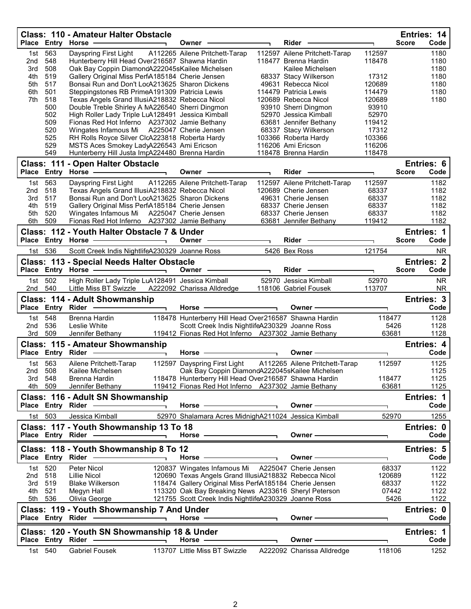| Dayspring First Light A112265 Ailene Pritchett-Tarap<br>112597<br>563<br>112597 Ailene Pritchett-Tarap<br>1180<br>1st<br>548<br>118478<br>2nd<br>Hunterberry Hill Head Over216587 Shawna Hardin<br>118477 Brenna Hardin<br>1180<br>508<br>Oak Bay Coppin DiamondA222045sKailee Michelsen<br>1180<br>3rd<br>Kailee Michelsen<br>519<br>Gallery Original Miss PerfA185184 Cherie Jensen<br>1180<br>4th<br>68337 Stacy Wilkerson<br>17312<br>517<br>Bonsai Run and Don't LocA213625 Sharon Dickens<br>120689<br>1180<br>5th<br>49631 Rebecca Nicol<br>501<br>Steppingstones RB PrimeA191309 Patricia Lewis<br>1180<br>6th<br>114479 Patricia Lewis<br>114479<br>7th<br>518<br>Texas Angels Grand IllusiA218832 Rebecca Nicol<br>120689<br>1180<br>120689 Rebecca Nicol<br>500<br>Double Treble Shirley A NA226540 Sherri Dingmon<br>93910 Sherri Dingmon<br>93910<br>502<br>High Roller Lady Triple LuA128491 Jessica Kimball<br>52970 Jessica Kimball<br>52970<br>509<br>Fionas Red Hot Inferno A237302 Jamie Bethany<br>63681 Jennifer Bethany<br>119412<br>520<br>Wingates Infamous Mi A225047 Cherie Jensen<br>68337 Stacy Wilkerson<br>17312<br>525<br>RH Rolls Royce Silver ClcA223818 Roberta Hardy<br>103366 Roberta Hardy<br>103366<br>529<br>116206 Ami Ericson<br>MSTS Aces Smokey LadyA226543 Ami Ericson<br>116206<br>549<br>Hunterberry Hill Justa ImpA224480 Brenna Hardin<br>118478<br>118478 Brenna Hardin<br>Class: 111 - Open Halter Obstacle<br>Entries: 6<br>Place Entry Horse -<br>Rider<br><b>Score</b><br>Code<br>Owner -<br>563<br>Dayspring First Light A112265 Ailene Pritchett-Tarap<br>112597 Ailene Pritchett-Tarap<br>112597<br>1182<br>1st<br>518<br>1182<br>2nd<br>Texas Angels Grand IllusiA218832 Rebecca Nicol<br>120689 Cherie Jensen<br>68337<br>517<br>Bonsai Run and Don't LocA213625 Sharon Dickens<br>68337<br>3rd<br>49631 Cherie Jensen<br>1182<br>519<br>68337<br>1182<br>4th<br>Gallery Original Miss PerfA185184 Cherie Jensen<br>68337 Cherie Jensen<br>520<br>Wingates Infamous Mi A225047 Cherie Jensen<br>68337 Cherie Jensen<br>68337<br>1182<br>5th<br>Fionas Red Hot Inferno A237302 Jamie Bethany<br>509<br>1182<br>6th<br>63681 Jennifer Bethany<br>119412<br>Class: 112 - Youth Halter Obstacle 7 & Under<br>Entries: 1<br>Code<br>Place Entry Horse ——————————<br>Owner —<br>Rider<br><b>Score</b><br>1st 536<br>5426 Bex Ross<br>121754<br>Scott Creek Indis NightlifeA230329 Joanne Ross<br><b>NR</b><br><b>Entries: 2</b><br><b>Class: 113 - Special Needs Halter Obstacle</b><br>Place Entry Horse - and Discount of the Place Entry Horse<br>Owner -<br>Rider<br><b>Score</b><br>Code<br>$\overline{\phantom{0}}$<br>High Roller Lady Triple LuA128491 Jessica Kimball<br>52970 Jessica Kimball<br>52970<br>502<br><b>NR</b><br>1st<br>540<br>A222092 Charissa Alldredge<br>113707<br>2nd<br>Little Miss BT Swizzle<br>118106 Gabriel Fousek<br>NR.<br>Entries: 3<br>Class: 114 - Adult Showmanship<br>Code<br>Place Entry Rider -<br>Horse -<br>Owner -<br>$\overline{\phantom{0}}$<br>1st 548<br>Brenna Hardin<br>118478 Hunterberry Hill Head Over216587 Shawna Hardin<br>118477<br>1128<br>536<br>Leslie White<br>Scott Creek Indis NightlifeA230329 Joanne Ross<br>5426<br>1128<br>2nd<br>509<br>119412 Fionas Red Hot Inferno A237302 Jamie Bethany<br>63681<br>1128<br>3rd<br>Jennifer Bethany<br><b>Class: 115 - Amateur Showmanship</b><br>Entries: 4<br>Place Entry Rider ---------<br>Code<br>Horse $-$<br>Owner -<br>÷.<br>A112265 Ailene Pritchett-Tarap<br>Ailene Pritchett-Tarap<br>112597 Dayspring First Light<br>112597<br>1125<br>1st 563<br>Oak Bay Coppin DiamondA222045sKailee Michelsen<br>1125<br>508<br>2nd<br>Kailee Michelsen<br>3rd 548<br>118478 Hunterberry Hill Head Over216587 Shawna Hardin<br>118477<br>1125<br>Brenna Hardin<br>119412 Fionas Red Hot Inferno A237302 Jamie Bethany<br>1125<br>4th 509<br>Jennifer Bethany<br>63681<br>Class: 116 - Adult SN Showmanship<br>Entries: 1<br>Place Entry Rider<br>Owner -<br>Code<br>Horse $-$<br>1st 503<br>52970 Shalamara Acres MidnighA211024 Jessica Kimball<br>52970<br>Jessica Kimball<br>1255<br>Class: 117 - Youth Showmanship 13 To 18<br>Entries: 0<br>Code<br>Place Entry Rider -<br>Owner-<br>Horse $-$<br>Class: 118 - Youth Showmanship 8 To 12<br>Entries: 5<br>Place Entry Rider -<br>Code<br>Horse<br>Owner -<br>1st 520<br>Peter Nicol<br>120837 Wingates Infamous Mi A225047 Cherie Jensen<br>1122<br>68337<br>120690 Texas Angels Grand IllusiA218832 Rebecca Nicol<br>120689<br>2nd 518<br>Lillie Nicol<br>1122<br>118474 Gallery Original Miss PerfA185184 Cherie Jensen<br>519<br><b>Blake Wilkerson</b><br>68337<br>1122<br>3rd<br>521<br>113320 Oak Bay Breaking News A233616 Sheryl Peterson<br>Megyn Hall<br>07442<br>1122<br>4th<br>5th 536<br>121755 Scott Creek Indis NightlifeA230329 Joanne Ross<br>5426<br>Olivia George<br>Class: 119 - Youth Showmanship 7 And Under<br>Entries: 0<br>Place Entry Rider .<br>Horse $-$<br>Owner —<br>Code<br>$\overline{\phantom{a}}$ |  | <b>Class: 110 - Amateur Halter Obstacle</b><br>Place Entry Horse - | Owner - | Rider | Entries: 14<br><b>Score</b><br>Code |
|-------------------------------------------------------------------------------------------------------------------------------------------------------------------------------------------------------------------------------------------------------------------------------------------------------------------------------------------------------------------------------------------------------------------------------------------------------------------------------------------------------------------------------------------------------------------------------------------------------------------------------------------------------------------------------------------------------------------------------------------------------------------------------------------------------------------------------------------------------------------------------------------------------------------------------------------------------------------------------------------------------------------------------------------------------------------------------------------------------------------------------------------------------------------------------------------------------------------------------------------------------------------------------------------------------------------------------------------------------------------------------------------------------------------------------------------------------------------------------------------------------------------------------------------------------------------------------------------------------------------------------------------------------------------------------------------------------------------------------------------------------------------------------------------------------------------------------------------------------------------------------------------------------------------------------------------------------------------------------------------------------------------------------------------------------------------------------------------------------------------------------------------------------------------------------------------------------------------------------------------------------------------------------------------------------------------------------------------------------------------------------------------------------------------------------------------------------------------------------------------------------------------------------------------------------------------------------------------------------------------------------------------------------------------------------------------------------------------------------------------------------------------------------------------------------------------------------------------------------------------------------------------------------------------------------------------------------------------------------------------------------------------------------------------------------------------------------------------------------------------------------------------------------------------------------------------------------------------------------------------------------------------------------------------------------------------------------------------------------------------------------------------------------------------------------------------------------------------------------------------------------------------------------------------------------------------------------------------------------------------------------------------------------------------------------------------------------------------------------------------------------------------------------------------------------------------------------------------------------------------------------------------------------------------------------------------------------------------------------------------------------------------------------------------------------------------------------------------------------------------------------------------------------------------------------------------------------------------------------------------------------------------------------------------------------------------------------------------------------------------------------------------------------------------------------------------------------------------------------------------------------------------------------------------------------------------------------------------------------------------------------------------------------------------------------------------------------------------------------------------------------------------------------------------------------------------------------------------------------------------------------------------------------------------------------------------------------------------------------------------------------------------------------------------------------|--|--------------------------------------------------------------------|---------|-------|-------------------------------------|
|                                                                                                                                                                                                                                                                                                                                                                                                                                                                                                                                                                                                                                                                                                                                                                                                                                                                                                                                                                                                                                                                                                                                                                                                                                                                                                                                                                                                                                                                                                                                                                                                                                                                                                                                                                                                                                                                                                                                                                                                                                                                                                                                                                                                                                                                                                                                                                                                                                                                                                                                                                                                                                                                                                                                                                                                                                                                                                                                                                                                                                                                                                                                                                                                                                                                                                                                                                                                                                                                                                                                                                                                                                                                                                                                                                                                                                                                                                                                                                                                                                                                                                                                                                                                                                                                                                                                                                                                                                                                                                                                                                                                                                                                                                                                                                                                                                                                                                                                                                                                                                                       |  |                                                                    |         |       |                                     |
|                                                                                                                                                                                                                                                                                                                                                                                                                                                                                                                                                                                                                                                                                                                                                                                                                                                                                                                                                                                                                                                                                                                                                                                                                                                                                                                                                                                                                                                                                                                                                                                                                                                                                                                                                                                                                                                                                                                                                                                                                                                                                                                                                                                                                                                                                                                                                                                                                                                                                                                                                                                                                                                                                                                                                                                                                                                                                                                                                                                                                                                                                                                                                                                                                                                                                                                                                                                                                                                                                                                                                                                                                                                                                                                                                                                                                                                                                                                                                                                                                                                                                                                                                                                                                                                                                                                                                                                                                                                                                                                                                                                                                                                                                                                                                                                                                                                                                                                                                                                                                                                       |  |                                                                    |         |       |                                     |
|                                                                                                                                                                                                                                                                                                                                                                                                                                                                                                                                                                                                                                                                                                                                                                                                                                                                                                                                                                                                                                                                                                                                                                                                                                                                                                                                                                                                                                                                                                                                                                                                                                                                                                                                                                                                                                                                                                                                                                                                                                                                                                                                                                                                                                                                                                                                                                                                                                                                                                                                                                                                                                                                                                                                                                                                                                                                                                                                                                                                                                                                                                                                                                                                                                                                                                                                                                                                                                                                                                                                                                                                                                                                                                                                                                                                                                                                                                                                                                                                                                                                                                                                                                                                                                                                                                                                                                                                                                                                                                                                                                                                                                                                                                                                                                                                                                                                                                                                                                                                                                                       |  |                                                                    |         |       |                                     |
|                                                                                                                                                                                                                                                                                                                                                                                                                                                                                                                                                                                                                                                                                                                                                                                                                                                                                                                                                                                                                                                                                                                                                                                                                                                                                                                                                                                                                                                                                                                                                                                                                                                                                                                                                                                                                                                                                                                                                                                                                                                                                                                                                                                                                                                                                                                                                                                                                                                                                                                                                                                                                                                                                                                                                                                                                                                                                                                                                                                                                                                                                                                                                                                                                                                                                                                                                                                                                                                                                                                                                                                                                                                                                                                                                                                                                                                                                                                                                                                                                                                                                                                                                                                                                                                                                                                                                                                                                                                                                                                                                                                                                                                                                                                                                                                                                                                                                                                                                                                                                                                       |  |                                                                    |         |       |                                     |
| 1122                                                                                                                                                                                                                                                                                                                                                                                                                                                                                                                                                                                                                                                                                                                                                                                                                                                                                                                                                                                                                                                                                                                                                                                                                                                                                                                                                                                                                                                                                                                                                                                                                                                                                                                                                                                                                                                                                                                                                                                                                                                                                                                                                                                                                                                                                                                                                                                                                                                                                                                                                                                                                                                                                                                                                                                                                                                                                                                                                                                                                                                                                                                                                                                                                                                                                                                                                                                                                                                                                                                                                                                                                                                                                                                                                                                                                                                                                                                                                                                                                                                                                                                                                                                                                                                                                                                                                                                                                                                                                                                                                                                                                                                                                                                                                                                                                                                                                                                                                                                                                                                  |  |                                                                    |         |       |                                     |
|                                                                                                                                                                                                                                                                                                                                                                                                                                                                                                                                                                                                                                                                                                                                                                                                                                                                                                                                                                                                                                                                                                                                                                                                                                                                                                                                                                                                                                                                                                                                                                                                                                                                                                                                                                                                                                                                                                                                                                                                                                                                                                                                                                                                                                                                                                                                                                                                                                                                                                                                                                                                                                                                                                                                                                                                                                                                                                                                                                                                                                                                                                                                                                                                                                                                                                                                                                                                                                                                                                                                                                                                                                                                                                                                                                                                                                                                                                                                                                                                                                                                                                                                                                                                                                                                                                                                                                                                                                                                                                                                                                                                                                                                                                                                                                                                                                                                                                                                                                                                                                                       |  |                                                                    |         |       |                                     |
|                                                                                                                                                                                                                                                                                                                                                                                                                                                                                                                                                                                                                                                                                                                                                                                                                                                                                                                                                                                                                                                                                                                                                                                                                                                                                                                                                                                                                                                                                                                                                                                                                                                                                                                                                                                                                                                                                                                                                                                                                                                                                                                                                                                                                                                                                                                                                                                                                                                                                                                                                                                                                                                                                                                                                                                                                                                                                                                                                                                                                                                                                                                                                                                                                                                                                                                                                                                                                                                                                                                                                                                                                                                                                                                                                                                                                                                                                                                                                                                                                                                                                                                                                                                                                                                                                                                                                                                                                                                                                                                                                                                                                                                                                                                                                                                                                                                                                                                                                                                                                                                       |  |                                                                    |         |       |                                     |
|                                                                                                                                                                                                                                                                                                                                                                                                                                                                                                                                                                                                                                                                                                                                                                                                                                                                                                                                                                                                                                                                                                                                                                                                                                                                                                                                                                                                                                                                                                                                                                                                                                                                                                                                                                                                                                                                                                                                                                                                                                                                                                                                                                                                                                                                                                                                                                                                                                                                                                                                                                                                                                                                                                                                                                                                                                                                                                                                                                                                                                                                                                                                                                                                                                                                                                                                                                                                                                                                                                                                                                                                                                                                                                                                                                                                                                                                                                                                                                                                                                                                                                                                                                                                                                                                                                                                                                                                                                                                                                                                                                                                                                                                                                                                                                                                                                                                                                                                                                                                                                                       |  |                                                                    |         |       |                                     |
|                                                                                                                                                                                                                                                                                                                                                                                                                                                                                                                                                                                                                                                                                                                                                                                                                                                                                                                                                                                                                                                                                                                                                                                                                                                                                                                                                                                                                                                                                                                                                                                                                                                                                                                                                                                                                                                                                                                                                                                                                                                                                                                                                                                                                                                                                                                                                                                                                                                                                                                                                                                                                                                                                                                                                                                                                                                                                                                                                                                                                                                                                                                                                                                                                                                                                                                                                                                                                                                                                                                                                                                                                                                                                                                                                                                                                                                                                                                                                                                                                                                                                                                                                                                                                                                                                                                                                                                                                                                                                                                                                                                                                                                                                                                                                                                                                                                                                                                                                                                                                                                       |  |                                                                    |         |       |                                     |
|                                                                                                                                                                                                                                                                                                                                                                                                                                                                                                                                                                                                                                                                                                                                                                                                                                                                                                                                                                                                                                                                                                                                                                                                                                                                                                                                                                                                                                                                                                                                                                                                                                                                                                                                                                                                                                                                                                                                                                                                                                                                                                                                                                                                                                                                                                                                                                                                                                                                                                                                                                                                                                                                                                                                                                                                                                                                                                                                                                                                                                                                                                                                                                                                                                                                                                                                                                                                                                                                                                                                                                                                                                                                                                                                                                                                                                                                                                                                                                                                                                                                                                                                                                                                                                                                                                                                                                                                                                                                                                                                                                                                                                                                                                                                                                                                                                                                                                                                                                                                                                                       |  |                                                                    |         |       |                                     |
|                                                                                                                                                                                                                                                                                                                                                                                                                                                                                                                                                                                                                                                                                                                                                                                                                                                                                                                                                                                                                                                                                                                                                                                                                                                                                                                                                                                                                                                                                                                                                                                                                                                                                                                                                                                                                                                                                                                                                                                                                                                                                                                                                                                                                                                                                                                                                                                                                                                                                                                                                                                                                                                                                                                                                                                                                                                                                                                                                                                                                                                                                                                                                                                                                                                                                                                                                                                                                                                                                                                                                                                                                                                                                                                                                                                                                                                                                                                                                                                                                                                                                                                                                                                                                                                                                                                                                                                                                                                                                                                                                                                                                                                                                                                                                                                                                                                                                                                                                                                                                                                       |  |                                                                    |         |       |                                     |
|                                                                                                                                                                                                                                                                                                                                                                                                                                                                                                                                                                                                                                                                                                                                                                                                                                                                                                                                                                                                                                                                                                                                                                                                                                                                                                                                                                                                                                                                                                                                                                                                                                                                                                                                                                                                                                                                                                                                                                                                                                                                                                                                                                                                                                                                                                                                                                                                                                                                                                                                                                                                                                                                                                                                                                                                                                                                                                                                                                                                                                                                                                                                                                                                                                                                                                                                                                                                                                                                                                                                                                                                                                                                                                                                                                                                                                                                                                                                                                                                                                                                                                                                                                                                                                                                                                                                                                                                                                                                                                                                                                                                                                                                                                                                                                                                                                                                                                                                                                                                                                                       |  |                                                                    |         |       |                                     |
|                                                                                                                                                                                                                                                                                                                                                                                                                                                                                                                                                                                                                                                                                                                                                                                                                                                                                                                                                                                                                                                                                                                                                                                                                                                                                                                                                                                                                                                                                                                                                                                                                                                                                                                                                                                                                                                                                                                                                                                                                                                                                                                                                                                                                                                                                                                                                                                                                                                                                                                                                                                                                                                                                                                                                                                                                                                                                                                                                                                                                                                                                                                                                                                                                                                                                                                                                                                                                                                                                                                                                                                                                                                                                                                                                                                                                                                                                                                                                                                                                                                                                                                                                                                                                                                                                                                                                                                                                                                                                                                                                                                                                                                                                                                                                                                                                                                                                                                                                                                                                                                       |  |                                                                    |         |       |                                     |
|                                                                                                                                                                                                                                                                                                                                                                                                                                                                                                                                                                                                                                                                                                                                                                                                                                                                                                                                                                                                                                                                                                                                                                                                                                                                                                                                                                                                                                                                                                                                                                                                                                                                                                                                                                                                                                                                                                                                                                                                                                                                                                                                                                                                                                                                                                                                                                                                                                                                                                                                                                                                                                                                                                                                                                                                                                                                                                                                                                                                                                                                                                                                                                                                                                                                                                                                                                                                                                                                                                                                                                                                                                                                                                                                                                                                                                                                                                                                                                                                                                                                                                                                                                                                                                                                                                                                                                                                                                                                                                                                                                                                                                                                                                                                                                                                                                                                                                                                                                                                                                                       |  |                                                                    |         |       |                                     |
|                                                                                                                                                                                                                                                                                                                                                                                                                                                                                                                                                                                                                                                                                                                                                                                                                                                                                                                                                                                                                                                                                                                                                                                                                                                                                                                                                                                                                                                                                                                                                                                                                                                                                                                                                                                                                                                                                                                                                                                                                                                                                                                                                                                                                                                                                                                                                                                                                                                                                                                                                                                                                                                                                                                                                                                                                                                                                                                                                                                                                                                                                                                                                                                                                                                                                                                                                                                                                                                                                                                                                                                                                                                                                                                                                                                                                                                                                                                                                                                                                                                                                                                                                                                                                                                                                                                                                                                                                                                                                                                                                                                                                                                                                                                                                                                                                                                                                                                                                                                                                                                       |  |                                                                    |         |       |                                     |
|                                                                                                                                                                                                                                                                                                                                                                                                                                                                                                                                                                                                                                                                                                                                                                                                                                                                                                                                                                                                                                                                                                                                                                                                                                                                                                                                                                                                                                                                                                                                                                                                                                                                                                                                                                                                                                                                                                                                                                                                                                                                                                                                                                                                                                                                                                                                                                                                                                                                                                                                                                                                                                                                                                                                                                                                                                                                                                                                                                                                                                                                                                                                                                                                                                                                                                                                                                                                                                                                                                                                                                                                                                                                                                                                                                                                                                                                                                                                                                                                                                                                                                                                                                                                                                                                                                                                                                                                                                                                                                                                                                                                                                                                                                                                                                                                                                                                                                                                                                                                                                                       |  |                                                                    |         |       |                                     |
|                                                                                                                                                                                                                                                                                                                                                                                                                                                                                                                                                                                                                                                                                                                                                                                                                                                                                                                                                                                                                                                                                                                                                                                                                                                                                                                                                                                                                                                                                                                                                                                                                                                                                                                                                                                                                                                                                                                                                                                                                                                                                                                                                                                                                                                                                                                                                                                                                                                                                                                                                                                                                                                                                                                                                                                                                                                                                                                                                                                                                                                                                                                                                                                                                                                                                                                                                                                                                                                                                                                                                                                                                                                                                                                                                                                                                                                                                                                                                                                                                                                                                                                                                                                                                                                                                                                                                                                                                                                                                                                                                                                                                                                                                                                                                                                                                                                                                                                                                                                                                                                       |  |                                                                    |         |       |                                     |
|                                                                                                                                                                                                                                                                                                                                                                                                                                                                                                                                                                                                                                                                                                                                                                                                                                                                                                                                                                                                                                                                                                                                                                                                                                                                                                                                                                                                                                                                                                                                                                                                                                                                                                                                                                                                                                                                                                                                                                                                                                                                                                                                                                                                                                                                                                                                                                                                                                                                                                                                                                                                                                                                                                                                                                                                                                                                                                                                                                                                                                                                                                                                                                                                                                                                                                                                                                                                                                                                                                                                                                                                                                                                                                                                                                                                                                                                                                                                                                                                                                                                                                                                                                                                                                                                                                                                                                                                                                                                                                                                                                                                                                                                                                                                                                                                                                                                                                                                                                                                                                                       |  |                                                                    |         |       |                                     |
|                                                                                                                                                                                                                                                                                                                                                                                                                                                                                                                                                                                                                                                                                                                                                                                                                                                                                                                                                                                                                                                                                                                                                                                                                                                                                                                                                                                                                                                                                                                                                                                                                                                                                                                                                                                                                                                                                                                                                                                                                                                                                                                                                                                                                                                                                                                                                                                                                                                                                                                                                                                                                                                                                                                                                                                                                                                                                                                                                                                                                                                                                                                                                                                                                                                                                                                                                                                                                                                                                                                                                                                                                                                                                                                                                                                                                                                                                                                                                                                                                                                                                                                                                                                                                                                                                                                                                                                                                                                                                                                                                                                                                                                                                                                                                                                                                                                                                                                                                                                                                                                       |  |                                                                    |         |       |                                     |
|                                                                                                                                                                                                                                                                                                                                                                                                                                                                                                                                                                                                                                                                                                                                                                                                                                                                                                                                                                                                                                                                                                                                                                                                                                                                                                                                                                                                                                                                                                                                                                                                                                                                                                                                                                                                                                                                                                                                                                                                                                                                                                                                                                                                                                                                                                                                                                                                                                                                                                                                                                                                                                                                                                                                                                                                                                                                                                                                                                                                                                                                                                                                                                                                                                                                                                                                                                                                                                                                                                                                                                                                                                                                                                                                                                                                                                                                                                                                                                                                                                                                                                                                                                                                                                                                                                                                                                                                                                                                                                                                                                                                                                                                                                                                                                                                                                                                                                                                                                                                                                                       |  |                                                                    |         |       |                                     |
|                                                                                                                                                                                                                                                                                                                                                                                                                                                                                                                                                                                                                                                                                                                                                                                                                                                                                                                                                                                                                                                                                                                                                                                                                                                                                                                                                                                                                                                                                                                                                                                                                                                                                                                                                                                                                                                                                                                                                                                                                                                                                                                                                                                                                                                                                                                                                                                                                                                                                                                                                                                                                                                                                                                                                                                                                                                                                                                                                                                                                                                                                                                                                                                                                                                                                                                                                                                                                                                                                                                                                                                                                                                                                                                                                                                                                                                                                                                                                                                                                                                                                                                                                                                                                                                                                                                                                                                                                                                                                                                                                                                                                                                                                                                                                                                                                                                                                                                                                                                                                                                       |  |                                                                    |         |       |                                     |
|                                                                                                                                                                                                                                                                                                                                                                                                                                                                                                                                                                                                                                                                                                                                                                                                                                                                                                                                                                                                                                                                                                                                                                                                                                                                                                                                                                                                                                                                                                                                                                                                                                                                                                                                                                                                                                                                                                                                                                                                                                                                                                                                                                                                                                                                                                                                                                                                                                                                                                                                                                                                                                                                                                                                                                                                                                                                                                                                                                                                                                                                                                                                                                                                                                                                                                                                                                                                                                                                                                                                                                                                                                                                                                                                                                                                                                                                                                                                                                                                                                                                                                                                                                                                                                                                                                                                                                                                                                                                                                                                                                                                                                                                                                                                                                                                                                                                                                                                                                                                                                                       |  |                                                                    |         |       |                                     |
|                                                                                                                                                                                                                                                                                                                                                                                                                                                                                                                                                                                                                                                                                                                                                                                                                                                                                                                                                                                                                                                                                                                                                                                                                                                                                                                                                                                                                                                                                                                                                                                                                                                                                                                                                                                                                                                                                                                                                                                                                                                                                                                                                                                                                                                                                                                                                                                                                                                                                                                                                                                                                                                                                                                                                                                                                                                                                                                                                                                                                                                                                                                                                                                                                                                                                                                                                                                                                                                                                                                                                                                                                                                                                                                                                                                                                                                                                                                                                                                                                                                                                                                                                                                                                                                                                                                                                                                                                                                                                                                                                                                                                                                                                                                                                                                                                                                                                                                                                                                                                                                       |  |                                                                    |         |       |                                     |
|                                                                                                                                                                                                                                                                                                                                                                                                                                                                                                                                                                                                                                                                                                                                                                                                                                                                                                                                                                                                                                                                                                                                                                                                                                                                                                                                                                                                                                                                                                                                                                                                                                                                                                                                                                                                                                                                                                                                                                                                                                                                                                                                                                                                                                                                                                                                                                                                                                                                                                                                                                                                                                                                                                                                                                                                                                                                                                                                                                                                                                                                                                                                                                                                                                                                                                                                                                                                                                                                                                                                                                                                                                                                                                                                                                                                                                                                                                                                                                                                                                                                                                                                                                                                                                                                                                                                                                                                                                                                                                                                                                                                                                                                                                                                                                                                                                                                                                                                                                                                                                                       |  |                                                                    |         |       |                                     |
|                                                                                                                                                                                                                                                                                                                                                                                                                                                                                                                                                                                                                                                                                                                                                                                                                                                                                                                                                                                                                                                                                                                                                                                                                                                                                                                                                                                                                                                                                                                                                                                                                                                                                                                                                                                                                                                                                                                                                                                                                                                                                                                                                                                                                                                                                                                                                                                                                                                                                                                                                                                                                                                                                                                                                                                                                                                                                                                                                                                                                                                                                                                                                                                                                                                                                                                                                                                                                                                                                                                                                                                                                                                                                                                                                                                                                                                                                                                                                                                                                                                                                                                                                                                                                                                                                                                                                                                                                                                                                                                                                                                                                                                                                                                                                                                                                                                                                                                                                                                                                                                       |  |                                                                    |         |       |                                     |
|                                                                                                                                                                                                                                                                                                                                                                                                                                                                                                                                                                                                                                                                                                                                                                                                                                                                                                                                                                                                                                                                                                                                                                                                                                                                                                                                                                                                                                                                                                                                                                                                                                                                                                                                                                                                                                                                                                                                                                                                                                                                                                                                                                                                                                                                                                                                                                                                                                                                                                                                                                                                                                                                                                                                                                                                                                                                                                                                                                                                                                                                                                                                                                                                                                                                                                                                                                                                                                                                                                                                                                                                                                                                                                                                                                                                                                                                                                                                                                                                                                                                                                                                                                                                                                                                                                                                                                                                                                                                                                                                                                                                                                                                                                                                                                                                                                                                                                                                                                                                                                                       |  |                                                                    |         |       |                                     |
|                                                                                                                                                                                                                                                                                                                                                                                                                                                                                                                                                                                                                                                                                                                                                                                                                                                                                                                                                                                                                                                                                                                                                                                                                                                                                                                                                                                                                                                                                                                                                                                                                                                                                                                                                                                                                                                                                                                                                                                                                                                                                                                                                                                                                                                                                                                                                                                                                                                                                                                                                                                                                                                                                                                                                                                                                                                                                                                                                                                                                                                                                                                                                                                                                                                                                                                                                                                                                                                                                                                                                                                                                                                                                                                                                                                                                                                                                                                                                                                                                                                                                                                                                                                                                                                                                                                                                                                                                                                                                                                                                                                                                                                                                                                                                                                                                                                                                                                                                                                                                                                       |  |                                                                    |         |       |                                     |
|                                                                                                                                                                                                                                                                                                                                                                                                                                                                                                                                                                                                                                                                                                                                                                                                                                                                                                                                                                                                                                                                                                                                                                                                                                                                                                                                                                                                                                                                                                                                                                                                                                                                                                                                                                                                                                                                                                                                                                                                                                                                                                                                                                                                                                                                                                                                                                                                                                                                                                                                                                                                                                                                                                                                                                                                                                                                                                                                                                                                                                                                                                                                                                                                                                                                                                                                                                                                                                                                                                                                                                                                                                                                                                                                                                                                                                                                                                                                                                                                                                                                                                                                                                                                                                                                                                                                                                                                                                                                                                                                                                                                                                                                                                                                                                                                                                                                                                                                                                                                                                                       |  |                                                                    |         |       |                                     |
|                                                                                                                                                                                                                                                                                                                                                                                                                                                                                                                                                                                                                                                                                                                                                                                                                                                                                                                                                                                                                                                                                                                                                                                                                                                                                                                                                                                                                                                                                                                                                                                                                                                                                                                                                                                                                                                                                                                                                                                                                                                                                                                                                                                                                                                                                                                                                                                                                                                                                                                                                                                                                                                                                                                                                                                                                                                                                                                                                                                                                                                                                                                                                                                                                                                                                                                                                                                                                                                                                                                                                                                                                                                                                                                                                                                                                                                                                                                                                                                                                                                                                                                                                                                                                                                                                                                                                                                                                                                                                                                                                                                                                                                                                                                                                                                                                                                                                                                                                                                                                                                       |  |                                                                    |         |       |                                     |
|                                                                                                                                                                                                                                                                                                                                                                                                                                                                                                                                                                                                                                                                                                                                                                                                                                                                                                                                                                                                                                                                                                                                                                                                                                                                                                                                                                                                                                                                                                                                                                                                                                                                                                                                                                                                                                                                                                                                                                                                                                                                                                                                                                                                                                                                                                                                                                                                                                                                                                                                                                                                                                                                                                                                                                                                                                                                                                                                                                                                                                                                                                                                                                                                                                                                                                                                                                                                                                                                                                                                                                                                                                                                                                                                                                                                                                                                                                                                                                                                                                                                                                                                                                                                                                                                                                                                                                                                                                                                                                                                                                                                                                                                                                                                                                                                                                                                                                                                                                                                                                                       |  |                                                                    |         |       |                                     |
|                                                                                                                                                                                                                                                                                                                                                                                                                                                                                                                                                                                                                                                                                                                                                                                                                                                                                                                                                                                                                                                                                                                                                                                                                                                                                                                                                                                                                                                                                                                                                                                                                                                                                                                                                                                                                                                                                                                                                                                                                                                                                                                                                                                                                                                                                                                                                                                                                                                                                                                                                                                                                                                                                                                                                                                                                                                                                                                                                                                                                                                                                                                                                                                                                                                                                                                                                                                                                                                                                                                                                                                                                                                                                                                                                                                                                                                                                                                                                                                                                                                                                                                                                                                                                                                                                                                                                                                                                                                                                                                                                                                                                                                                                                                                                                                                                                                                                                                                                                                                                                                       |  |                                                                    |         |       |                                     |
|                                                                                                                                                                                                                                                                                                                                                                                                                                                                                                                                                                                                                                                                                                                                                                                                                                                                                                                                                                                                                                                                                                                                                                                                                                                                                                                                                                                                                                                                                                                                                                                                                                                                                                                                                                                                                                                                                                                                                                                                                                                                                                                                                                                                                                                                                                                                                                                                                                                                                                                                                                                                                                                                                                                                                                                                                                                                                                                                                                                                                                                                                                                                                                                                                                                                                                                                                                                                                                                                                                                                                                                                                                                                                                                                                                                                                                                                                                                                                                                                                                                                                                                                                                                                                                                                                                                                                                                                                                                                                                                                                                                                                                                                                                                                                                                                                                                                                                                                                                                                                                                       |  |                                                                    |         |       |                                     |
|                                                                                                                                                                                                                                                                                                                                                                                                                                                                                                                                                                                                                                                                                                                                                                                                                                                                                                                                                                                                                                                                                                                                                                                                                                                                                                                                                                                                                                                                                                                                                                                                                                                                                                                                                                                                                                                                                                                                                                                                                                                                                                                                                                                                                                                                                                                                                                                                                                                                                                                                                                                                                                                                                                                                                                                                                                                                                                                                                                                                                                                                                                                                                                                                                                                                                                                                                                                                                                                                                                                                                                                                                                                                                                                                                                                                                                                                                                                                                                                                                                                                                                                                                                                                                                                                                                                                                                                                                                                                                                                                                                                                                                                                                                                                                                                                                                                                                                                                                                                                                                                       |  |                                                                    |         |       |                                     |
|                                                                                                                                                                                                                                                                                                                                                                                                                                                                                                                                                                                                                                                                                                                                                                                                                                                                                                                                                                                                                                                                                                                                                                                                                                                                                                                                                                                                                                                                                                                                                                                                                                                                                                                                                                                                                                                                                                                                                                                                                                                                                                                                                                                                                                                                                                                                                                                                                                                                                                                                                                                                                                                                                                                                                                                                                                                                                                                                                                                                                                                                                                                                                                                                                                                                                                                                                                                                                                                                                                                                                                                                                                                                                                                                                                                                                                                                                                                                                                                                                                                                                                                                                                                                                                                                                                                                                                                                                                                                                                                                                                                                                                                                                                                                                                                                                                                                                                                                                                                                                                                       |  |                                                                    |         |       |                                     |
|                                                                                                                                                                                                                                                                                                                                                                                                                                                                                                                                                                                                                                                                                                                                                                                                                                                                                                                                                                                                                                                                                                                                                                                                                                                                                                                                                                                                                                                                                                                                                                                                                                                                                                                                                                                                                                                                                                                                                                                                                                                                                                                                                                                                                                                                                                                                                                                                                                                                                                                                                                                                                                                                                                                                                                                                                                                                                                                                                                                                                                                                                                                                                                                                                                                                                                                                                                                                                                                                                                                                                                                                                                                                                                                                                                                                                                                                                                                                                                                                                                                                                                                                                                                                                                                                                                                                                                                                                                                                                                                                                                                                                                                                                                                                                                                                                                                                                                                                                                                                                                                       |  |                                                                    |         |       |                                     |
|                                                                                                                                                                                                                                                                                                                                                                                                                                                                                                                                                                                                                                                                                                                                                                                                                                                                                                                                                                                                                                                                                                                                                                                                                                                                                                                                                                                                                                                                                                                                                                                                                                                                                                                                                                                                                                                                                                                                                                                                                                                                                                                                                                                                                                                                                                                                                                                                                                                                                                                                                                                                                                                                                                                                                                                                                                                                                                                                                                                                                                                                                                                                                                                                                                                                                                                                                                                                                                                                                                                                                                                                                                                                                                                                                                                                                                                                                                                                                                                                                                                                                                                                                                                                                                                                                                                                                                                                                                                                                                                                                                                                                                                                                                                                                                                                                                                                                                                                                                                                                                                       |  |                                                                    |         |       |                                     |
|                                                                                                                                                                                                                                                                                                                                                                                                                                                                                                                                                                                                                                                                                                                                                                                                                                                                                                                                                                                                                                                                                                                                                                                                                                                                                                                                                                                                                                                                                                                                                                                                                                                                                                                                                                                                                                                                                                                                                                                                                                                                                                                                                                                                                                                                                                                                                                                                                                                                                                                                                                                                                                                                                                                                                                                                                                                                                                                                                                                                                                                                                                                                                                                                                                                                                                                                                                                                                                                                                                                                                                                                                                                                                                                                                                                                                                                                                                                                                                                                                                                                                                                                                                                                                                                                                                                                                                                                                                                                                                                                                                                                                                                                                                                                                                                                                                                                                                                                                                                                                                                       |  |                                                                    |         |       |                                     |
|                                                                                                                                                                                                                                                                                                                                                                                                                                                                                                                                                                                                                                                                                                                                                                                                                                                                                                                                                                                                                                                                                                                                                                                                                                                                                                                                                                                                                                                                                                                                                                                                                                                                                                                                                                                                                                                                                                                                                                                                                                                                                                                                                                                                                                                                                                                                                                                                                                                                                                                                                                                                                                                                                                                                                                                                                                                                                                                                                                                                                                                                                                                                                                                                                                                                                                                                                                                                                                                                                                                                                                                                                                                                                                                                                                                                                                                                                                                                                                                                                                                                                                                                                                                                                                                                                                                                                                                                                                                                                                                                                                                                                                                                                                                                                                                                                                                                                                                                                                                                                                                       |  |                                                                    |         |       |                                     |
|                                                                                                                                                                                                                                                                                                                                                                                                                                                                                                                                                                                                                                                                                                                                                                                                                                                                                                                                                                                                                                                                                                                                                                                                                                                                                                                                                                                                                                                                                                                                                                                                                                                                                                                                                                                                                                                                                                                                                                                                                                                                                                                                                                                                                                                                                                                                                                                                                                                                                                                                                                                                                                                                                                                                                                                                                                                                                                                                                                                                                                                                                                                                                                                                                                                                                                                                                                                                                                                                                                                                                                                                                                                                                                                                                                                                                                                                                                                                                                                                                                                                                                                                                                                                                                                                                                                                                                                                                                                                                                                                                                                                                                                                                                                                                                                                                                                                                                                                                                                                                                                       |  |                                                                    |         |       |                                     |
|                                                                                                                                                                                                                                                                                                                                                                                                                                                                                                                                                                                                                                                                                                                                                                                                                                                                                                                                                                                                                                                                                                                                                                                                                                                                                                                                                                                                                                                                                                                                                                                                                                                                                                                                                                                                                                                                                                                                                                                                                                                                                                                                                                                                                                                                                                                                                                                                                                                                                                                                                                                                                                                                                                                                                                                                                                                                                                                                                                                                                                                                                                                                                                                                                                                                                                                                                                                                                                                                                                                                                                                                                                                                                                                                                                                                                                                                                                                                                                                                                                                                                                                                                                                                                                                                                                                                                                                                                                                                                                                                                                                                                                                                                                                                                                                                                                                                                                                                                                                                                                                       |  |                                                                    |         |       |                                     |
|                                                                                                                                                                                                                                                                                                                                                                                                                                                                                                                                                                                                                                                                                                                                                                                                                                                                                                                                                                                                                                                                                                                                                                                                                                                                                                                                                                                                                                                                                                                                                                                                                                                                                                                                                                                                                                                                                                                                                                                                                                                                                                                                                                                                                                                                                                                                                                                                                                                                                                                                                                                                                                                                                                                                                                                                                                                                                                                                                                                                                                                                                                                                                                                                                                                                                                                                                                                                                                                                                                                                                                                                                                                                                                                                                                                                                                                                                                                                                                                                                                                                                                                                                                                                                                                                                                                                                                                                                                                                                                                                                                                                                                                                                                                                                                                                                                                                                                                                                                                                                                                       |  |                                                                    |         |       |                                     |
|                                                                                                                                                                                                                                                                                                                                                                                                                                                                                                                                                                                                                                                                                                                                                                                                                                                                                                                                                                                                                                                                                                                                                                                                                                                                                                                                                                                                                                                                                                                                                                                                                                                                                                                                                                                                                                                                                                                                                                                                                                                                                                                                                                                                                                                                                                                                                                                                                                                                                                                                                                                                                                                                                                                                                                                                                                                                                                                                                                                                                                                                                                                                                                                                                                                                                                                                                                                                                                                                                                                                                                                                                                                                                                                                                                                                                                                                                                                                                                                                                                                                                                                                                                                                                                                                                                                                                                                                                                                                                                                                                                                                                                                                                                                                                                                                                                                                                                                                                                                                                                                       |  |                                                                    |         |       |                                     |
|                                                                                                                                                                                                                                                                                                                                                                                                                                                                                                                                                                                                                                                                                                                                                                                                                                                                                                                                                                                                                                                                                                                                                                                                                                                                                                                                                                                                                                                                                                                                                                                                                                                                                                                                                                                                                                                                                                                                                                                                                                                                                                                                                                                                                                                                                                                                                                                                                                                                                                                                                                                                                                                                                                                                                                                                                                                                                                                                                                                                                                                                                                                                                                                                                                                                                                                                                                                                                                                                                                                                                                                                                                                                                                                                                                                                                                                                                                                                                                                                                                                                                                                                                                                                                                                                                                                                                                                                                                                                                                                                                                                                                                                                                                                                                                                                                                                                                                                                                                                                                                                       |  |                                                                    |         |       |                                     |
|                                                                                                                                                                                                                                                                                                                                                                                                                                                                                                                                                                                                                                                                                                                                                                                                                                                                                                                                                                                                                                                                                                                                                                                                                                                                                                                                                                                                                                                                                                                                                                                                                                                                                                                                                                                                                                                                                                                                                                                                                                                                                                                                                                                                                                                                                                                                                                                                                                                                                                                                                                                                                                                                                                                                                                                                                                                                                                                                                                                                                                                                                                                                                                                                                                                                                                                                                                                                                                                                                                                                                                                                                                                                                                                                                                                                                                                                                                                                                                                                                                                                                                                                                                                                                                                                                                                                                                                                                                                                                                                                                                                                                                                                                                                                                                                                                                                                                                                                                                                                                                                       |  |                                                                    |         |       |                                     |
|                                                                                                                                                                                                                                                                                                                                                                                                                                                                                                                                                                                                                                                                                                                                                                                                                                                                                                                                                                                                                                                                                                                                                                                                                                                                                                                                                                                                                                                                                                                                                                                                                                                                                                                                                                                                                                                                                                                                                                                                                                                                                                                                                                                                                                                                                                                                                                                                                                                                                                                                                                                                                                                                                                                                                                                                                                                                                                                                                                                                                                                                                                                                                                                                                                                                                                                                                                                                                                                                                                                                                                                                                                                                                                                                                                                                                                                                                                                                                                                                                                                                                                                                                                                                                                                                                                                                                                                                                                                                                                                                                                                                                                                                                                                                                                                                                                                                                                                                                                                                                                                       |  |                                                                    |         |       |                                     |
|                                                                                                                                                                                                                                                                                                                                                                                                                                                                                                                                                                                                                                                                                                                                                                                                                                                                                                                                                                                                                                                                                                                                                                                                                                                                                                                                                                                                                                                                                                                                                                                                                                                                                                                                                                                                                                                                                                                                                                                                                                                                                                                                                                                                                                                                                                                                                                                                                                                                                                                                                                                                                                                                                                                                                                                                                                                                                                                                                                                                                                                                                                                                                                                                                                                                                                                                                                                                                                                                                                                                                                                                                                                                                                                                                                                                                                                                                                                                                                                                                                                                                                                                                                                                                                                                                                                                                                                                                                                                                                                                                                                                                                                                                                                                                                                                                                                                                                                                                                                                                                                       |  |                                                                    |         |       |                                     |
|                                                                                                                                                                                                                                                                                                                                                                                                                                                                                                                                                                                                                                                                                                                                                                                                                                                                                                                                                                                                                                                                                                                                                                                                                                                                                                                                                                                                                                                                                                                                                                                                                                                                                                                                                                                                                                                                                                                                                                                                                                                                                                                                                                                                                                                                                                                                                                                                                                                                                                                                                                                                                                                                                                                                                                                                                                                                                                                                                                                                                                                                                                                                                                                                                                                                                                                                                                                                                                                                                                                                                                                                                                                                                                                                                                                                                                                                                                                                                                                                                                                                                                                                                                                                                                                                                                                                                                                                                                                                                                                                                                                                                                                                                                                                                                                                                                                                                                                                                                                                                                                       |  |                                                                    |         |       |                                     |
|                                                                                                                                                                                                                                                                                                                                                                                                                                                                                                                                                                                                                                                                                                                                                                                                                                                                                                                                                                                                                                                                                                                                                                                                                                                                                                                                                                                                                                                                                                                                                                                                                                                                                                                                                                                                                                                                                                                                                                                                                                                                                                                                                                                                                                                                                                                                                                                                                                                                                                                                                                                                                                                                                                                                                                                                                                                                                                                                                                                                                                                                                                                                                                                                                                                                                                                                                                                                                                                                                                                                                                                                                                                                                                                                                                                                                                                                                                                                                                                                                                                                                                                                                                                                                                                                                                                                                                                                                                                                                                                                                                                                                                                                                                                                                                                                                                                                                                                                                                                                                                                       |  |                                                                    |         |       |                                     |
|                                                                                                                                                                                                                                                                                                                                                                                                                                                                                                                                                                                                                                                                                                                                                                                                                                                                                                                                                                                                                                                                                                                                                                                                                                                                                                                                                                                                                                                                                                                                                                                                                                                                                                                                                                                                                                                                                                                                                                                                                                                                                                                                                                                                                                                                                                                                                                                                                                                                                                                                                                                                                                                                                                                                                                                                                                                                                                                                                                                                                                                                                                                                                                                                                                                                                                                                                                                                                                                                                                                                                                                                                                                                                                                                                                                                                                                                                                                                                                                                                                                                                                                                                                                                                                                                                                                                                                                                                                                                                                                                                                                                                                                                                                                                                                                                                                                                                                                                                                                                                                                       |  |                                                                    |         |       |                                     |
|                                                                                                                                                                                                                                                                                                                                                                                                                                                                                                                                                                                                                                                                                                                                                                                                                                                                                                                                                                                                                                                                                                                                                                                                                                                                                                                                                                                                                                                                                                                                                                                                                                                                                                                                                                                                                                                                                                                                                                                                                                                                                                                                                                                                                                                                                                                                                                                                                                                                                                                                                                                                                                                                                                                                                                                                                                                                                                                                                                                                                                                                                                                                                                                                                                                                                                                                                                                                                                                                                                                                                                                                                                                                                                                                                                                                                                                                                                                                                                                                                                                                                                                                                                                                                                                                                                                                                                                                                                                                                                                                                                                                                                                                                                                                                                                                                                                                                                                                                                                                                                                       |  |                                                                    |         |       |                                     |
|                                                                                                                                                                                                                                                                                                                                                                                                                                                                                                                                                                                                                                                                                                                                                                                                                                                                                                                                                                                                                                                                                                                                                                                                                                                                                                                                                                                                                                                                                                                                                                                                                                                                                                                                                                                                                                                                                                                                                                                                                                                                                                                                                                                                                                                                                                                                                                                                                                                                                                                                                                                                                                                                                                                                                                                                                                                                                                                                                                                                                                                                                                                                                                                                                                                                                                                                                                                                                                                                                                                                                                                                                                                                                                                                                                                                                                                                                                                                                                                                                                                                                                                                                                                                                                                                                                                                                                                                                                                                                                                                                                                                                                                                                                                                                                                                                                                                                                                                                                                                                                                       |  |                                                                    |         |       |                                     |
|                                                                                                                                                                                                                                                                                                                                                                                                                                                                                                                                                                                                                                                                                                                                                                                                                                                                                                                                                                                                                                                                                                                                                                                                                                                                                                                                                                                                                                                                                                                                                                                                                                                                                                                                                                                                                                                                                                                                                                                                                                                                                                                                                                                                                                                                                                                                                                                                                                                                                                                                                                                                                                                                                                                                                                                                                                                                                                                                                                                                                                                                                                                                                                                                                                                                                                                                                                                                                                                                                                                                                                                                                                                                                                                                                                                                                                                                                                                                                                                                                                                                                                                                                                                                                                                                                                                                                                                                                                                                                                                                                                                                                                                                                                                                                                                                                                                                                                                                                                                                                                                       |  |                                                                    |         |       |                                     |
|                                                                                                                                                                                                                                                                                                                                                                                                                                                                                                                                                                                                                                                                                                                                                                                                                                                                                                                                                                                                                                                                                                                                                                                                                                                                                                                                                                                                                                                                                                                                                                                                                                                                                                                                                                                                                                                                                                                                                                                                                                                                                                                                                                                                                                                                                                                                                                                                                                                                                                                                                                                                                                                                                                                                                                                                                                                                                                                                                                                                                                                                                                                                                                                                                                                                                                                                                                                                                                                                                                                                                                                                                                                                                                                                                                                                                                                                                                                                                                                                                                                                                                                                                                                                                                                                                                                                                                                                                                                                                                                                                                                                                                                                                                                                                                                                                                                                                                                                                                                                                                                       |  |                                                                    |         |       |                                     |
|                                                                                                                                                                                                                                                                                                                                                                                                                                                                                                                                                                                                                                                                                                                                                                                                                                                                                                                                                                                                                                                                                                                                                                                                                                                                                                                                                                                                                                                                                                                                                                                                                                                                                                                                                                                                                                                                                                                                                                                                                                                                                                                                                                                                                                                                                                                                                                                                                                                                                                                                                                                                                                                                                                                                                                                                                                                                                                                                                                                                                                                                                                                                                                                                                                                                                                                                                                                                                                                                                                                                                                                                                                                                                                                                                                                                                                                                                                                                                                                                                                                                                                                                                                                                                                                                                                                                                                                                                                                                                                                                                                                                                                                                                                                                                                                                                                                                                                                                                                                                                                                       |  |                                                                    |         |       |                                     |
| Class: 120 - Youth SN Showmanship 18 & Under<br>Entries: 1                                                                                                                                                                                                                                                                                                                                                                                                                                                                                                                                                                                                                                                                                                                                                                                                                                                                                                                                                                                                                                                                                                                                                                                                                                                                                                                                                                                                                                                                                                                                                                                                                                                                                                                                                                                                                                                                                                                                                                                                                                                                                                                                                                                                                                                                                                                                                                                                                                                                                                                                                                                                                                                                                                                                                                                                                                                                                                                                                                                                                                                                                                                                                                                                                                                                                                                                                                                                                                                                                                                                                                                                                                                                                                                                                                                                                                                                                                                                                                                                                                                                                                                                                                                                                                                                                                                                                                                                                                                                                                                                                                                                                                                                                                                                                                                                                                                                                                                                                                                            |  |                                                                    |         |       |                                     |
| Place Entry Rider<br>Horse -<br>$\overline{\phantom{a}}$ . The contract of the contract of $\overline{\phantom{a}}$<br>Owner -<br>┑                                                                                                                                                                                                                                                                                                                                                                                                                                                                                                                                                                                                                                                                                                                                                                                                                                                                                                                                                                                                                                                                                                                                                                                                                                                                                                                                                                                                                                                                                                                                                                                                                                                                                                                                                                                                                                                                                                                                                                                                                                                                                                                                                                                                                                                                                                                                                                                                                                                                                                                                                                                                                                                                                                                                                                                                                                                                                                                                                                                                                                                                                                                                                                                                                                                                                                                                                                                                                                                                                                                                                                                                                                                                                                                                                                                                                                                                                                                                                                                                                                                                                                                                                                                                                                                                                                                                                                                                                                                                                                                                                                                                                                                                                                                                                                                                                                                                                                                   |  |                                                                    |         |       |                                     |
|                                                                                                                                                                                                                                                                                                                                                                                                                                                                                                                                                                                                                                                                                                                                                                                                                                                                                                                                                                                                                                                                                                                                                                                                                                                                                                                                                                                                                                                                                                                                                                                                                                                                                                                                                                                                                                                                                                                                                                                                                                                                                                                                                                                                                                                                                                                                                                                                                                                                                                                                                                                                                                                                                                                                                                                                                                                                                                                                                                                                                                                                                                                                                                                                                                                                                                                                                                                                                                                                                                                                                                                                                                                                                                                                                                                                                                                                                                                                                                                                                                                                                                                                                                                                                                                                                                                                                                                                                                                                                                                                                                                                                                                                                                                                                                                                                                                                                                                                                                                                                                                       |  |                                                                    |         |       | Code                                |
| 1st 540<br><b>Gabriel Fousek</b><br>113707 Little Miss BT Swizzle<br>A222092 Charissa Alldredge<br>118106<br>1252                                                                                                                                                                                                                                                                                                                                                                                                                                                                                                                                                                                                                                                                                                                                                                                                                                                                                                                                                                                                                                                                                                                                                                                                                                                                                                                                                                                                                                                                                                                                                                                                                                                                                                                                                                                                                                                                                                                                                                                                                                                                                                                                                                                                                                                                                                                                                                                                                                                                                                                                                                                                                                                                                                                                                                                                                                                                                                                                                                                                                                                                                                                                                                                                                                                                                                                                                                                                                                                                                                                                                                                                                                                                                                                                                                                                                                                                                                                                                                                                                                                                                                                                                                                                                                                                                                                                                                                                                                                                                                                                                                                                                                                                                                                                                                                                                                                                                                                                     |  |                                                                    |         |       |                                     |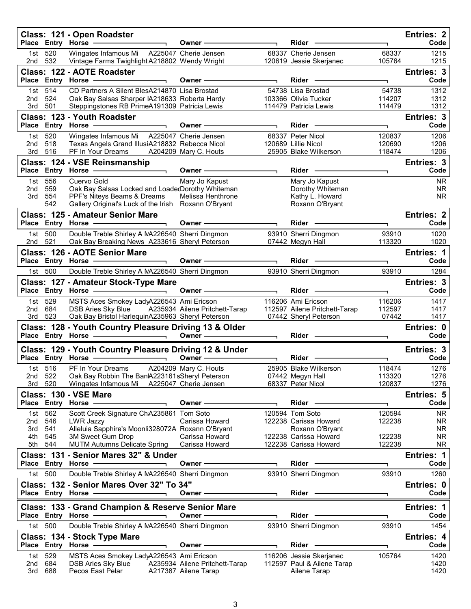|            |                | Class: 121 - Open Roadster<br>Place Entry Horse -                                            | Owner -                                                | Rider                                                  |                  | <b>Entries: 2</b><br>Code |
|------------|----------------|----------------------------------------------------------------------------------------------|--------------------------------------------------------|--------------------------------------------------------|------------------|---------------------------|
| 1st<br>2nd | 520<br>532     | Wingates Infamous Mi<br>Vintage Farms Twighlight A218802 Wendy Wright                        | A225047 Cherie Jensen                                  | 68337 Cherie Jensen<br>120619 Jessie Skerjanec         | 68337<br>105764  | 1215<br>1215              |
|            |                | Class: 122 - AOTE Roadster<br>Place Entry Horse -                                            | Owner-                                                 | Rider                                                  |                  | Entries: 3<br>Code        |
| 1st        | 514            | CD Partners A Silent BlesA214870 Lisa Brostad                                                |                                                        | 54738 Lisa Brostad                                     | 54738            | 1312                      |
| 2nd        | 524            | Oak Bay Salsas Sharper IA218633 Roberta Hardy                                                |                                                        | 103366 Olivia Tucker                                   | 114207           | 1312                      |
| 3rd        | 501            | Steppingstones RB PrimeA191309 Patricia Lewis                                                |                                                        | 114479 Patricia Lewis                                  | 114479           | 1312                      |
|            |                | Class: 123 - Youth Roadster<br>Place Entry Horse -<br>$\blacksquare$                         | Owner-                                                 | Rider                                                  | H,               | Entries: 3<br>Code        |
| 1st        | 520            | Wingates Infamous Mi A225047 Cherie Jensen                                                   |                                                        | 68337 Peter Nicol                                      | 120837           | 1206                      |
| 2nd<br>3rd | 518<br>516     | Texas Angels Grand IllusiA218832 Rebecca Nicol<br>PF In Your Dreams                          | A204209 Mary C. Houts                                  | 120689 Lillie Nicol<br>25905 Blake Wilkerson           | 120690<br>118474 | 1206<br>1206              |
|            |                | Class: 124 - VSE Reinsmanship                                                                |                                                        |                                                        |                  | Entries: 3                |
|            |                | Place Entry Horse                                                                            | Owner-                                                 | Rider -                                                |                  | Code                      |
| 1st        | 556            | Cuervo Gold                                                                                  | Mary Jo Kapust                                         | Mary Jo Kapust                                         |                  | <b>NR</b>                 |
| 2nd        | 559            | Oak Bay Salsas Locked and LoadedDorothy Whiteman                                             |                                                        | Dorothy Whiteman                                       |                  | <b>NR</b>                 |
| 3rd        | 554<br>542     | PPF's Niteys Beams & Dreams<br>Gallery Original's Luck of the Irish                          | Melissa Henthrone<br>Roxann O'Bryant                   | Kathy L. Howard<br>Roxann O'Bryant                     |                  | <b>NR</b>                 |
|            |                | <b>Class: 125 - Amateur Senior Mare</b>                                                      |                                                        |                                                        |                  |                           |
|            |                | Place Entry Horse -                                                                          | Owner -                                                | Rider -                                                |                  | <b>Entries: 2</b><br>Code |
| 1st        | 500            | Double Treble Shirley A NA226540 Sherri Dingmon                                              |                                                        | 93910 Sherri Dingmon                                   | 93910            | 1020                      |
| 2nd        | 521            | Oak Bay Breaking News A233616 Sheryl Peterson                                                |                                                        | 07442 Megyn Hall                                       | 113320           | 1020                      |
|            |                | Class: 126 - AOTE Senior Mare                                                                |                                                        |                                                        |                  | <b>Entries: 1</b>         |
|            |                | Place Entry Horse -                                                                          | Owner-                                                 | Rider -                                                |                  | Code                      |
|            | 1st 500        | Double Treble Shirley A NA226540 Sherri Dingmon                                              |                                                        | 93910 Sherri Dingmon                                   | 93910            | 1284                      |
|            |                | Class: 127 - Amateur Stock-Type Mare                                                         |                                                        |                                                        |                  | Entries: 3                |
|            |                | Place Entry Horse -                                                                          | Owner -                                                | Rider -                                                | L.               | Code                      |
| 1st        | 529            | MSTS Aces Smokey LadyA226543 Ami Ericson                                                     |                                                        | 116206 Ami Ericson                                     | 116206           | 1417                      |
| 2nd<br>3rd | 684<br>523     | DSB Aries Sky Blue<br>Oak Bay Bristol HarlequinA235963 Sheryl Peterson                       | A235934 Ailene Pritchett-Tarap                         | 112597 Ailene Pritchett-Tarap<br>07442 Sheryl Peterson | 112597<br>07442  | 1417<br>1417              |
|            |                | Class: 128 - Youth Country Pleasure Driving 13 & Older                                       |                                                        |                                                        |                  | Entries: 0                |
|            |                | Place Entry Horse -                                                                          | Owner -                                                | Rider ————                                             |                  | Code                      |
|            |                | Class: 129 - Youth Country Pleasure Driving 12 & Under                                       |                                                        |                                                        |                  | Entries: 3                |
|            |                |                                                                                              | Owner-                                                 | Rider                                                  |                  | Code                      |
|            | 1st 516        | PF In Your Dreams                                                                            | A204209 Mary C. Houts                                  | 25905 Blake Wilkerson                                  | 118474           | 1276                      |
| 3rd        | 2nd 522<br>520 | Oak Bay Robbin The Ban A223161sSheryl Peterson<br>Wingates Infamous Mi A225047 Cherie Jensen |                                                        | 07442 Megyn Hall<br>68337 Peter Nicol                  | 113320<br>120837 | 1276<br>1276              |
|            |                | Class: 130 - VSE Mare                                                                        |                                                        |                                                        |                  | Entries: 5                |
|            |                | Place Entry Horse -                                                                          | Owner-                                                 | Rider                                                  |                  | Code                      |
| 1st        | 562            | Scott Creek Signature ChA235861 Tom Soto                                                     |                                                        | 120594 Tom Soto                                        | 120594           | NR.                       |
| 2nd        | 546            | <b>LWR Jazzy</b>                                                                             | Carissa Howard                                         | 122238 Carissa Howard                                  | 122238           | <b>NR</b>                 |
| 3rd<br>4th | 541<br>545     | Alleluia Sapphire's Moonli328072A Roxann O'Bryant<br>3M Sweet Gum Drop                       | Carissa Howard                                         | Roxann O'Bryant<br>122238 Carissa Howard               | 122238           | <b>NR</b><br><b>NR</b>    |
| 5th        | 544            | <b>MUTM Autumns Delicate Spring</b>                                                          | Carissa Howard                                         | 122238 Carissa Howard                                  | 122238           | NR.                       |
|            |                | Class: 131 - Senior Mares 32" & Under                                                        |                                                        |                                                        |                  | Entries: 1                |
|            |                | Place Entry Horse -                                                                          | Owner -                                                | Rider -                                                |                  | Code                      |
|            | 1st 500        | Double Treble Shirley A NA226540 Sherri Dingmon                                              |                                                        | 93910 Sherri Dingmon                                   | 93910            | 1260                      |
|            |                | Class: 132 - Senior Mares Over 32" To 34"                                                    |                                                        |                                                        |                  | Entries: 0                |
|            |                | Place Entry Horse -                                                                          | Owner -                                                | Rider -                                                |                  | Code                      |
|            |                | Class: 133 - Grand Champion & Reserve Senior Mare                                            |                                                        |                                                        |                  | Entries: 1                |
|            |                | Place Entry Horse                                                                            | Owner-                                                 | Rider                                                  |                  | Code                      |
| 1st 500    |                | Double Treble Shirley A NA226540 Sherri Dingmon                                              |                                                        | 93910 Sherri Dingmon                                   | 93910            | 1454                      |
|            |                |                                                                                              |                                                        |                                                        |                  |                           |
|            |                |                                                                                              |                                                        |                                                        |                  | Entries: 4                |
|            |                | Class: 134 - Stock Type Mare<br>Place Entry Horse -                                          | Owner -                                                | Rider                                                  |                  | Code                      |
| 1st        | 529            | MSTS Aces Smokey LadyA226543 Ami Ericson                                                     |                                                        | 116206 Jessie Skerjanec                                | 105764           | 1420                      |
| 2nd<br>3rd | 684<br>688     | <b>DSB Aries Sky Blue</b><br>Pecos East Pelar                                                | A235934 Ailene Pritchett-Tarap<br>A217387 Ailene Tarap | 112597 Paul & Ailene Tarap<br>Ailene Tarap             |                  | 1420<br>1420              |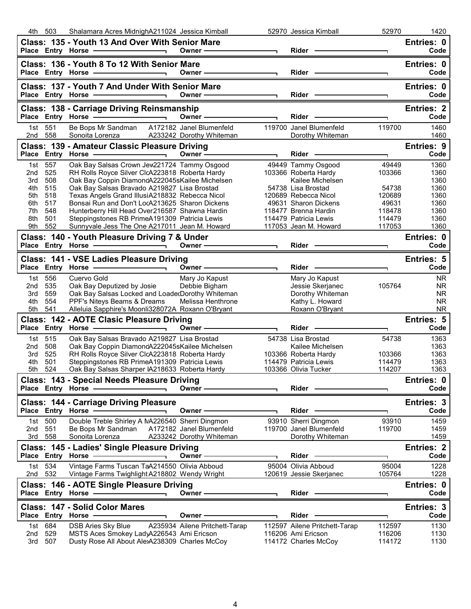|             | 4th 503           | Shalamara Acres MidnighA211024 Jessica Kimball                                                                                                                                                                                 |                                                                                                                                                                                                                               |                          | 52970 Jessica Kimball                                                                                                                                                                                                          | 52970            | 1420                   |
|-------------|-------------------|--------------------------------------------------------------------------------------------------------------------------------------------------------------------------------------------------------------------------------|-------------------------------------------------------------------------------------------------------------------------------------------------------------------------------------------------------------------------------|--------------------------|--------------------------------------------------------------------------------------------------------------------------------------------------------------------------------------------------------------------------------|------------------|------------------------|
|             |                   | Class: 135 - Youth 13 And Over With Senior Mare                                                                                                                                                                                |                                                                                                                                                                                                                               |                          |                                                                                                                                                                                                                                |                  | Entries: 0             |
|             |                   | Place Entry Horse - and the control of the state of the state of the state of the state of the state of the state of the state of the state of the state of the state of the state of the state of the state of the state of t | Owner —————————                                                                                                                                                                                                               |                          |                                                                                                                                                                                                                                | T.               | Code                   |
|             |                   | Class: 136 - Youth 8 To 12 With Senior Mare                                                                                                                                                                                    |                                                                                                                                                                                                                               |                          |                                                                                                                                                                                                                                |                  | Entries: 0             |
|             |                   | Place Entry Horse - Andrew Place Property                                                                                                                                                                                      | Owner ————————                                                                                                                                                                                                                |                          | Rider - The Management of the Management of the Management of the Management of the Management of the Management of the Management of the Management of the Management of the Management of the Management of the Management o |                  | Code                   |
|             |                   |                                                                                                                                                                                                                                |                                                                                                                                                                                                                               |                          |                                                                                                                                                                                                                                |                  |                        |
|             |                   | Class: 137 - Youth 7 And Under With Senior Mare                                                                                                                                                                                |                                                                                                                                                                                                                               |                          |                                                                                                                                                                                                                                |                  | Entries: 0             |
|             |                   |                                                                                                                                                                                                                                | Owner ————————                                                                                                                                                                                                                |                          |                                                                                                                                                                                                                                |                  | Code                   |
|             |                   | Class: 138 - Carriage Driving Reinsmanship                                                                                                                                                                                     |                                                                                                                                                                                                                               |                          |                                                                                                                                                                                                                                |                  | <b>Entries: 2</b>      |
|             |                   | Place Entry Horse                                                                                                                                                                                                              | Owner $\qquad \qquad$                                                                                                                                                                                                         |                          | Rider -                                                                                                                                                                                                                        |                  | Code                   |
|             | 1st 551           | Be Bops Mr Sandman A172182 Janel Blumenfeld                                                                                                                                                                                    |                                                                                                                                                                                                                               |                          | 119700 Janel Blumenfeld                                                                                                                                                                                                        | 119700           | 1460                   |
| 2nd 558     |                   | Sonoita Lorenza A233242 Dorothy Whiteman                                                                                                                                                                                       |                                                                                                                                                                                                                               |                          | Dorothy Whiteman                                                                                                                                                                                                               |                  | 1460                   |
|             |                   | Class: 139 - Amateur Classic Pleasure Driving                                                                                                                                                                                  |                                                                                                                                                                                                                               |                          |                                                                                                                                                                                                                                |                  | Entries: 9             |
|             |                   |                                                                                                                                                                                                                                |                                                                                                                                                                                                                               | $\blacksquare$           |                                                                                                                                                                                                                                | ┑                | Code                   |
|             | 1st 557           | Oak Bay Salsas Crown Jew221724 Tammy Osgood                                                                                                                                                                                    |                                                                                                                                                                                                                               |                          | 49449 Tammy Osgood                                                                                                                                                                                                             | 49449            | 1360                   |
| 2nd         | 525               | RH Rolls Royce Silver ClcA223818 Roberta Hardy                                                                                                                                                                                 |                                                                                                                                                                                                                               |                          | 103366 Roberta Hardy                                                                                                                                                                                                           | 103366           | 1360                   |
| 3rd         | 508               | Oak Bay Coppin DiamondA222045sKailee Michelsen                                                                                                                                                                                 |                                                                                                                                                                                                                               |                          | Kailee Michelsen                                                                                                                                                                                                               |                  | 1360                   |
| 4th.        | 515               | Oak Bay Salsas Bravado A219827 Lisa Brostad                                                                                                                                                                                    |                                                                                                                                                                                                                               |                          | 54738 Lisa Brostad                                                                                                                                                                                                             | 54738            | 1360                   |
| 5th         | 518               | Texas Angels Grand IllusiA218832 Rebecca Nicol                                                                                                                                                                                 |                                                                                                                                                                                                                               |                          | 120689 Rebecca Nicol                                                                                                                                                                                                           | 120689           | 1360                   |
| 6th         | 517               | Bonsai Run and Don't LocA213625 Sharon Dickens                                                                                                                                                                                 |                                                                                                                                                                                                                               |                          | 49631 Sharon Dickens                                                                                                                                                                                                           | 49631            | 1360                   |
| 7th         | 548               | Hunterberry Hill Head Over216587 Shawna Hardin                                                                                                                                                                                 |                                                                                                                                                                                                                               |                          | 118477 Brenna Hardin                                                                                                                                                                                                           | 118478           | 1360                   |
| 8th         | 501               | Steppingstones RB PrimeA191309 Patricia Lewis                                                                                                                                                                                  |                                                                                                                                                                                                                               |                          | 114479 Patricia Lewis                                                                                                                                                                                                          | 114479           | 1360                   |
| 9th         | 552               | Sunnyvale Jess The One A217011 Jean M. Howard                                                                                                                                                                                  |                                                                                                                                                                                                                               |                          | 117053 Jean M. Howard                                                                                                                                                                                                          | 117053           | 1360                   |
|             |                   | Class: 140 - Youth Pleasure Driving 7 & Under                                                                                                                                                                                  |                                                                                                                                                                                                                               |                          |                                                                                                                                                                                                                                |                  | Entries: 0             |
|             |                   |                                                                                                                                                                                                                                | Owner ————————                                                                                                                                                                                                                | $\overline{\phantom{0}}$ |                                                                                                                                                                                                                                |                  | Code                   |
|             |                   | Class: 141 - VSE Ladies Pleasure Driving                                                                                                                                                                                       |                                                                                                                                                                                                                               |                          |                                                                                                                                                                                                                                |                  | <b>Entries: 5</b>      |
|             |                   | Place Entry Horse - and the control of the control of the control of the control of the control of the control of the control of the control of the control of the control of the control of the control of the control of the | Owner - The Communication                                                                                                                                                                                                     |                          |                                                                                                                                                                                                                                |                  | Code                   |
|             | 1st 556           | Cuervo Gold                                                                                                                                                                                                                    | Mary Jo Kapust                                                                                                                                                                                                                |                          | Mary Jo Kapust                                                                                                                                                                                                                 |                  | <b>NR</b>              |
| 2nd         | 535               | Oak Bay Deputized by Josie                                                                                                                                                                                                     | Debbie Bigham                                                                                                                                                                                                                 |                          | Jessie Skerjanec                                                                                                                                                                                                               | 105764           | <b>NR</b>              |
|             |                   |                                                                                                                                                                                                                                |                                                                                                                                                                                                                               |                          |                                                                                                                                                                                                                                |                  |                        |
|             |                   |                                                                                                                                                                                                                                |                                                                                                                                                                                                                               |                          |                                                                                                                                                                                                                                |                  |                        |
| 3rd<br>4th  | 559<br>554        | Oak Bay Salsas Locked and LoadecDorothy Whiteman                                                                                                                                                                               |                                                                                                                                                                                                                               |                          | Dorothy Whiteman                                                                                                                                                                                                               |                  | <b>NR</b><br><b>NR</b> |
| 5th         | 541               | PPF's Niteys Beams & Dreams<br>Alleluia Sapphire's Moonli328072A Roxann O'Bryant                                                                                                                                               | Melissa Henthrone                                                                                                                                                                                                             |                          | Kathy L. Howard<br>Roxann O'Bryant                                                                                                                                                                                             |                  | <b>NR</b>              |
|             |                   |                                                                                                                                                                                                                                |                                                                                                                                                                                                                               |                          |                                                                                                                                                                                                                                |                  |                        |
|             |                   | Class: 142 - AOTE Clasic Pleasure Driving                                                                                                                                                                                      | Owner - The Common Common Common Common Common Common Common Common Common Common Common Common Common Common Common Common Common Common Common Common Common Common Common Common Common Common Common Common Common Common | $\overline{\phantom{0}}$ | Rider -                                                                                                                                                                                                                        |                  | Entries: 5<br>Code     |
|             |                   | Place Entry Horse - and the control of the control of the control of the control of the control of the control o                                                                                                               |                                                                                                                                                                                                                               |                          |                                                                                                                                                                                                                                |                  |                        |
|             | 1st 515           | Oak Bay Salsas Bravado A219827 Lisa Brostad                                                                                                                                                                                    |                                                                                                                                                                                                                               |                          | 54738 Lisa Brostad                                                                                                                                                                                                             | 54738            | 1363                   |
| 2nd<br>3rd. | 508<br>525        | Oak Bay Coppin DiamondA222045sKailee Michelsen                                                                                                                                                                                 |                                                                                                                                                                                                                               |                          | Kailee Michelsen                                                                                                                                                                                                               | 103366           | 1363<br>1363           |
| 4th         | 501               | RH Rolls Royce Silver ClcA223818 Roberta Hardy<br>Steppingstones RB PrimeA191309 Patricia Lewis                                                                                                                                |                                                                                                                                                                                                                               |                          | 103366 Roberta Hardy<br>114479 Patricia Lewis                                                                                                                                                                                  | 114479           | 1363                   |
| 5th         | 524               | Oak Bay Salsas Sharper IA218633 Roberta Hardy                                                                                                                                                                                  |                                                                                                                                                                                                                               |                          | 103366 Olivia Tucker                                                                                                                                                                                                           | 114207           | 1363                   |
|             |                   |                                                                                                                                                                                                                                |                                                                                                                                                                                                                               |                          |                                                                                                                                                                                                                                |                  |                        |
|             | Place Entry Horse | Class: 143 - Special Needs Pleasure Driving                                                                                                                                                                                    | Owner -                                                                                                                                                                                                                       |                          | Rider                                                                                                                                                                                                                          |                  | Entries: 0<br>Code     |
|             |                   |                                                                                                                                                                                                                                |                                                                                                                                                                                                                               |                          |                                                                                                                                                                                                                                |                  |                        |
|             |                   | <b>Class: 144 - Carriage Driving Pleasure</b>                                                                                                                                                                                  |                                                                                                                                                                                                                               |                          |                                                                                                                                                                                                                                |                  | Entries: 3             |
|             | Place Entry Horse |                                                                                                                                                                                                                                | Owner -                                                                                                                                                                                                                       |                          | Rider                                                                                                                                                                                                                          |                  | Code                   |
| 1st         | 500               | Double Treble Shirley A NA226540 Sherri Dingmon                                                                                                                                                                                |                                                                                                                                                                                                                               |                          | 93910 Sherri Dingmon                                                                                                                                                                                                           | 93910            | 1459                   |
| 2nd         | 551               | Be Bops Mr Sandman                                                                                                                                                                                                             | A172182 Janel Blumenfeld                                                                                                                                                                                                      |                          | 119700 Janel Blumenfeld                                                                                                                                                                                                        | 119700           | 1459                   |
| 3rd         | 558               | Sonoita Lorenza                                                                                                                                                                                                                | A233242 Dorothy Whiteman                                                                                                                                                                                                      |                          | Dorothy Whiteman                                                                                                                                                                                                               |                  | 1459                   |
|             |                   | Class: 145 - Ladies' Single Pleasure Driving                                                                                                                                                                                   |                                                                                                                                                                                                                               |                          |                                                                                                                                                                                                                                |                  | <b>Entries: 2</b>      |
|             | Place Entry Horse |                                                                                                                                                                                                                                | Owner -                                                                                                                                                                                                                       |                          | Rider                                                                                                                                                                                                                          |                  | Code                   |
|             | 1st 534           | Vintage Farms Tuscan TaA214550 Olivia Abboud                                                                                                                                                                                   |                                                                                                                                                                                                                               |                          | 95004 Olivia Abboud                                                                                                                                                                                                            | 95004            | 1228                   |
| 2nd         | 532               | Vintage Farms Twighlight A218802 Wendy Wright                                                                                                                                                                                  |                                                                                                                                                                                                                               |                          | 120619 Jessie Skerjanec                                                                                                                                                                                                        | 105764           | 1228                   |
|             |                   | Class: 146 - AOTE Single Pleasure Driving                                                                                                                                                                                      |                                                                                                                                                                                                                               |                          |                                                                                                                                                                                                                                |                  | Entries: 0             |
|             |                   | Place Entry Horse -                                                                                                                                                                                                            | Owner-                                                                                                                                                                                                                        |                          | Rider                                                                                                                                                                                                                          |                  | Code                   |
|             |                   |                                                                                                                                                                                                                                |                                                                                                                                                                                                                               |                          |                                                                                                                                                                                                                                |                  |                        |
|             |                   | Class: 147 - Solid Color Mares                                                                                                                                                                                                 |                                                                                                                                                                                                                               |                          |                                                                                                                                                                                                                                |                  | Entries: 3             |
|             | Place Entry Horse |                                                                                                                                                                                                                                | Owner                                                                                                                                                                                                                         |                          | Rider                                                                                                                                                                                                                          |                  | Code                   |
| 1st         | 684               | <b>DSB Aries Sky Blue</b>                                                                                                                                                                                                      | A235934 Ailene Pritchett-Tarap                                                                                                                                                                                                |                          | 112597 Ailene Pritchett-Tarap                                                                                                                                                                                                  | 112597           | 1130                   |
| 2nd<br>3rd  | 529<br>507        | MSTS Aces Smokey LadyA226543 Ami Ericson<br>Dusty Rose All About AlexA238309 Charles McCoy                                                                                                                                     |                                                                                                                                                                                                                               |                          | 116206 Ami Ericson<br>114172 Charles McCoy                                                                                                                                                                                     | 116206<br>114172 | 1130<br>1130           |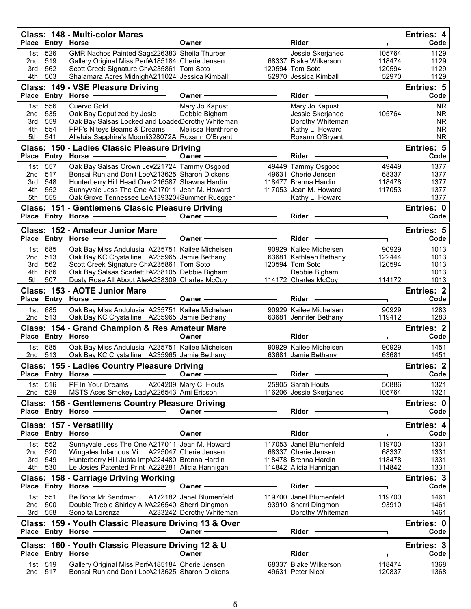|              | Place Entry Horse  | Class: 148 - Multi-color Mares                                                                   | Owner -                  | Rider                                            |                 | <b>Entries: 4</b><br>Code |
|--------------|--------------------|--------------------------------------------------------------------------------------------------|--------------------------|--------------------------------------------------|-----------------|---------------------------|
| 1st          | 526                | GMR Nachos Painted Sage226383 Sheila Thurber                                                     |                          | Jessie Skerjanec                                 | 105764          | 1129                      |
| 2nd          | 519                | Gallery Original Miss PerfA185184 Cherie Jensen                                                  |                          | 68337 Blake Wilkerson                            | 118474          | 1129                      |
| 3rd<br>4th   | 562<br>503         | Scott Creek Signature ChA235861 Tom Soto<br>Shalamara Acres MidnighA211024 Jessica Kimball       |                          | 120594 Tom Soto<br>52970 Jessica Kimball         | 120594<br>52970 | 1129<br>1129              |
|              |                    | Class: 149 - VSE Pleasure Driving                                                                |                          |                                                  |                 | <b>Entries: 5</b>         |
|              | Place Entry Horse  |                                                                                                  | Owner                    | Rider                                            |                 | Code                      |
| 1st          | 556                | Cuervo Gold                                                                                      | Mary Jo Kapust           | Mary Jo Kapust                                   |                 | <b>NR</b>                 |
| 2nd          | 535                | Oak Bay Deputized by Josie                                                                       | Debbie Bigham            | Jessie Skerjanec                                 | 105764          | <b>NR</b>                 |
| 3rd          | 559                | Oak Bay Salsas Locked and LoadedDorothy Whiteman                                                 | Melissa Henthrone        | Dorothy Whiteman                                 |                 | <b>NR</b><br><b>NR</b>    |
| 4th<br>5th   | 554<br>541         | PPF's Niteys Beams & Dreams<br>Alleluia Sapphire's Moonli328072A Roxann O'Bryant                 |                          | Kathy L. Howard<br>Roxann O'Bryant               |                 | <b>NR</b>                 |
|              |                    | Class: 150 - Ladies Classic Pleasure Driving                                                     |                          |                                                  |                 | Entries: 5                |
| <b>Place</b> |                    | Entry Horse -                                                                                    | Owner -                  | Rider                                            |                 | Code                      |
| 1st          | 557                | Oak Bay Salsas Crown Jew221724 Tammy Osgood                                                      |                          | 49449 Tammy Osgood                               | 49449           | 1377                      |
| 2nd<br>3rd   | 517<br>548         | Bonsai Run and Don't LocA213625 Sharon Dickens<br>Hunterberry Hill Head Over216587 Shawna Hardin |                          | 49631 Cherie Jensen<br>118477 Brenna Hardin      | 68337<br>118478 | 1377<br>1377              |
| 4th          | 552                | Sunnyvale Jess The One A217011 Jean M. Howard                                                    |                          | 117053 Jean M. Howard                            | 117053          | 1377                      |
| 5th          | 555                | Oak Grove Tennessee LeA139320 iSummer Ruegger                                                    |                          | Kathy L. Howard                                  |                 | 1377                      |
|              |                    | Class: 151 - Gentlemens Classic Pleasure Driving                                                 |                          |                                                  |                 | Entries: 0                |
|              |                    | Place Entry Horse -                                                                              | Owner-                   | Rider -                                          |                 | Code                      |
|              |                    | Class: 152 - Amateur Junior Mare                                                                 |                          |                                                  |                 | <b>Entries: 5</b>         |
|              |                    | Place Entry Horse                                                                                | <b>Owner</b>             | Rider                                            |                 | Code                      |
| 2nd          | 1st 685<br>513     | Oak Bay Miss Andulusia A235751 Kailee Michelsen<br>Oak Bay KC Crystalline A235965 Jamie Bethany  |                          | 90929 Kailee Michelsen                           | 90929<br>122444 | 1013<br>1013              |
| 3rd          | 562                | Scott Creek Signature ChA235861 Tom Soto                                                         |                          | 63681 Kathleen Bethany<br>120594 Tom Soto        | 120594          | 1013                      |
| 4th          | 686                | Oak Bay Salsas Scarlett HA238105 Debbie Bigham                                                   |                          | Debbie Bigham                                    |                 | 1013                      |
| 5th          | 507                | Dusty Rose All About AlexA238309 Charles McCoy                                                   |                          | 114172 Charles McCoy                             | 114172          | 1013                      |
|              |                    | Class: 153 - AOTE Junior Mare                                                                    |                          |                                                  |                 | <b>Entries: 2</b>         |
|              | Place Entry Horse  |                                                                                                  | Owner -                  | Rider                                            |                 | Code                      |
| 1st<br>2nd   | 685<br>513         | Oak Bay Miss Andulusia A235751 Kailee Michelsen<br>Oak Bay KC Crystalline A235965 Jamie Bethany  |                          | 90929 Kailee Michelsen<br>63681 Jennifer Bethany | 90929<br>119412 | 1283<br>1283              |
|              |                    | Class: 154 - Grand Champion & Res Amateur Mare                                                   |                          |                                                  |                 | <b>Entries: 2</b>         |
| <b>Place</b> | <b>Entry Horse</b> |                                                                                                  | Owner -                  | Rider                                            | ٦               | Code                      |
| 1st l        | 685                | Oak Bay Miss Andulusia A235751 Kailee Michelsen                                                  |                          | 90929 Kailee Michelsen                           | 90929           | 1451                      |
| 2nd          | 513                | Oak Bay KC Crystalline A235965 Jamie Bethany                                                     |                          | 63681 Jamie Bethany                              | 63681           | 1451                      |
|              | Place Entry Horse  | <b>Class: 155 - Ladies Country Pleasure Driving</b>                                              | Owner -                  | Rider                                            |                 | <b>Entries: 2</b><br>Code |
|              | 1st 516            | PF In Your Dreams                                                                                | A204209 Mary C. Houts    | 25905 Sarah Houts                                | 50886           | 1321                      |
| 2nd          | 529                | MSTS Aces Smokey LadyA226543 Ami Ericson                                                         |                          | 116206 Jessie Skerjanec                          | 105764          | 1321                      |
|              |                    | <b>Class: 156 - Gentlemens Country Pleasure Driving</b>                                          |                          |                                                  |                 | Entries: 0                |
|              |                    | Place Entry Horse -                                                                              | Owner-                   | Rider                                            |                 | Code                      |
|              |                    | <b>Class: 157 - Versatility</b>                                                                  |                          |                                                  |                 | Entries: 4                |
|              |                    | Place Entry Horse                                                                                | Owner -                  | Rider                                            | ٦               | Code                      |
| 1st          | 552                | Sunnyvale Jess The One A217011 Jean M. Howard                                                    |                          | 117053 Janel Blumenfeld                          | 119700          | 1331                      |
| 2nd<br>3rd   | 520<br>549         | Wingates Infamous Mi<br>Hunterberry Hill Justa ImpA224480 Brenna Hardin                          | A225047 Cherie Jensen    | 68337 Cherie Jensen<br>118478 Brenna Hardin      | 68337<br>118478 | 1331<br>1331              |
| 4th          | 530                | Le Josies Patented Print A228281 Alicia Hannigan                                                 |                          | 114842 Alicia Hannigan                           | 114842          | 1331                      |
|              |                    | <b>Class: 158 - Carriage Driving Working</b>                                                     |                          |                                                  |                 | Entries: 3                |
|              |                    |                                                                                                  | Owner -                  | Rider                                            |                 | Code                      |
| 1st          | 551                | Be Bops Mr Sandman                                                                               | A172182 Janel Blumenfeld | 119700 Janel Blumenfeld                          | 119700          | 1461                      |
| 2nd<br>3rd   | 500<br>558         | Double Treble Shirley A NA226540 Sherri Dingmon<br>Sonoita Lorenza                               | A233242 Dorothy Whiteman | 93910 Sherri Dingmon<br>Dorothy Whiteman         | 93910           | 1461<br>1461              |
|              |                    | Class: 159 - Youth Classic Pleasure Driving 13 & Over                                            |                          |                                                  |                 | Entries: 0                |
|              |                    | Place Entry Horse .                                                                              | Owner -                  | Rider                                            |                 | Code                      |
|              |                    | Class: 160 - Youth Classic Pleasure Driving 12 & U                                               |                          |                                                  |                 | Entries: 3                |
|              |                    | Place Entry Horse -                                                                              | Owner-                   | Rider -                                          | ٦               | Code                      |
| 1st          | 519                | Gallery Original Miss PerfA185184 Cherie Jensen                                                  |                          | 68337 Blake Wilkerson                            | 118474          | 1368                      |
| 2nd          | 517                | Bonsai Run and Don't LocA213625 Sharon Dickens                                                   |                          | 49631 Peter Nicol                                | 120837          | 1368                      |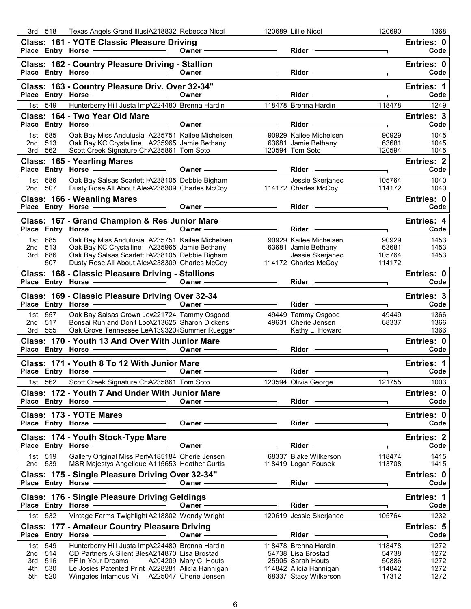|            | 3rd 518                       | Texas Angels Grand IllusiA218832 Rebecca Nicol                                                                                                                                        |                                                                                                                                                                                                                                |                          | 120689 Lillie Nicol                                                                                                                                                                                                            | 120690                   | 1368                                                                                                                                             |
|------------|-------------------------------|---------------------------------------------------------------------------------------------------------------------------------------------------------------------------------------|--------------------------------------------------------------------------------------------------------------------------------------------------------------------------------------------------------------------------------|--------------------------|--------------------------------------------------------------------------------------------------------------------------------------------------------------------------------------------------------------------------------|--------------------------|--------------------------------------------------------------------------------------------------------------------------------------------------|
|            |                               | Class: 161 - YOTE Classic Pleasure Driving<br>Place Entry Horse - and the control of the control of the control of the control of the control of the control o                        | Owner $\qquad \qquad$                                                                                                                                                                                                          |                          | Rider –                                                                                                                                                                                                                        | $\mathbf{L}$             | Entries: 0<br>Code                                                                                                                               |
|            |                               | Class: 162 - Country Pleasure Driving - Stallion<br>Place Entry Horse - 2009                                                                                                          | Owner $\longrightarrow$                                                                                                                                                                                                        |                          | Rider - The Management of the Management of the Management of the Management of the Management of the Management of the Management of the Management of the Management of the Management of the Management of the Management o | T.                       | Entries: 0<br>Code                                                                                                                               |
|            |                               | Class: 163 - Country Pleasure Driv. Over 32-34"<br>Place Entry Horse - 2000                                                                                                           | Owner - The Commission of the Commission of the Commission of the Commission of the Commission of the Commission of the Commission of the Commission of the Commission of the Commission of the Commission of the Commission o | $\overline{\phantom{0}}$ |                                                                                                                                                                                                                                | ┑.                       | <b>Entries: 1</b><br>Code                                                                                                                        |
|            | 1st 549                       | Hunterberry Hill Justa ImpA224480 Brenna Hardin                                                                                                                                       |                                                                                                                                                                                                                                |                          | 118478 Brenna Hardin                                                                                                                                                                                                           | 118478                   | 1249                                                                                                                                             |
|            |                               | Class: 164 - Two Year Old Mare<br>$\overline{\phantom{0}}$                                                                                                                            |                                                                                                                                                                                                                                |                          | Rider - The Management of the Management of the Management of the Management of the Management of the Management of the Management of the Management of the Management of the Management of the Management of the Management o | $\overline{\phantom{0}}$ | Entries: 3<br>Code                                                                                                                               |
|            | 1st 685<br>2nd 513<br>3rd 562 | Oak Bay Miss Andulusia A235751 Kailee Michelsen<br>Oak Bay KC Crystalline A235965 Jamie Bethany<br>Scott Creek Signature ChA235861 Tom Soto                                           |                                                                                                                                                                                                                                | 120594 Tom Soto          | 90929 Kailee Michelsen<br>63681 Jamie Bethany                                                                                                                                                                                  | 90929<br>63681<br>120594 | 1045<br>1045<br>1045                                                                                                                             |
|            |                               | Class: 165 - Yearling Mares                                                                                                                                                           |                                                                                                                                                                                                                                |                          |                                                                                                                                                                                                                                |                          | <b>Entries: 2</b>                                                                                                                                |
|            |                               | Place Entry Horse ————————————————————                                                                                                                                                | Owner $\longrightarrow$                                                                                                                                                                                                        |                          |                                                                                                                                                                                                                                | $\overline{\phantom{0}}$ | Code                                                                                                                                             |
| 2nd 507    | 1st 686                       | Oak Bay Salsas Scarlett HA238105 Debbie Bigham<br>Dak Bay Salsas Scariett PAZ38105 Debble Bigham<br>Dusty Rose All About AlexA238309 Charles McCoy __________________________________ |                                                                                                                                                                                                                                |                          | Jessie Skerjanec                                                                                                                                                                                                               | 105764<br>114172         | 1040<br>1040                                                                                                                                     |
|            |                               | Class: 166 - Weanling Mares<br>Place Entry Horse <u>Communication</u> Owner – Communication Communication                                                                             |                                                                                                                                                                                                                                |                          | Rider - The Management of the Management of the Management of the Management of the Management of the Management of the Management of the Management of the Management of the Management of the Management of the Management o | ┑.                       | Entries: 0<br>Code                                                                                                                               |
|            |                               | Class: 167 - Grand Champion & Res Junior Mare                                                                                                                                         | Owner - The Communication                                                                                                                                                                                                      | $\overline{\phantom{0}}$ | Rider -                                                                                                                                                                                                                        |                          | Entries: 4<br>Code                                                                                                                               |
|            | 1st 685                       | Place Entry Horse - Andrew Place Property<br>Oak Bay Miss Andulusia A235751 Kailee Michelsen                                                                                          |                                                                                                                                                                                                                                |                          | 90929 Kailee Michelsen                                                                                                                                                                                                         | ┑<br>90929               | 1453                                                                                                                                             |
| 2nd 513    |                               | Oak Bay KC Crystalline A235965 Jamie Bethany                                                                                                                                          |                                                                                                                                                                                                                                |                          | 63681 Jamie Bethany                                                                                                                                                                                                            | 63681                    | 1453                                                                                                                                             |
| 3rd        | 686<br>507                    | Oak Bay Salsas Scarlett IA238105 Debbie Bigham<br>Dusty Rose All About AlexA238309 Charles McCoy                                                                                      |                                                                                                                                                                                                                                |                          | Jessie Skerjanec<br>114172 Charles McCoy                                                                                                                                                                                       | 105764<br>114172         | 1453                                                                                                                                             |
|            |                               | Class: 168 - Classic Pleasure Driving - Stallions                                                                                                                                     |                                                                                                                                                                                                                                |                          |                                                                                                                                                                                                                                |                          | Entries: 0                                                                                                                                       |
|            |                               | Place Entry Horse — and Dente Dente Dente Dente Dente Dente Dente Dente Dente Dente Dente Dente Dente Dente D                                                                         |                                                                                                                                                                                                                                |                          | Rider - The Management of the Management of the Management of the Management of the Management of the Management of the Management of the Management of the Management of the Management of the Management of the Management o | T.                       | Code                                                                                                                                             |
|            |                               | Class: 169 - Classic Pleasure Driving Over 32-34<br>Place Entry Horse - The Control of The Control of The Control of The Control of The Control of The Control of                     | Owner $\qquad$                                                                                                                                                                                                                 |                          | Rider - The Management of the Management of the Management of the Management of the Management of the Management of the Management of the Management of the Management of the Management of the Management of the Management o | $\overline{\phantom{a}}$ | Entries: 3<br>Code                                                                                                                               |
|            |                               |                                                                                                                                                                                       |                                                                                                                                                                                                                                |                          |                                                                                                                                                                                                                                |                          |                                                                                                                                                  |
| 2nd 517    | 1st 557                       | Oak Bay Salsas Crown Jew221724 Tammy Osgood<br>Bonsai Run and Don't LocA213625 Sharon Dickens                                                                                         |                                                                                                                                                                                                                                |                          | 49449 Tammy Osgood<br>49631 Cherie Jensen                                                                                                                                                                                      | 49449<br>68337           | 1366<br>1366                                                                                                                                     |
|            | 3rd 555                       | Oak Grove Tennessee LeA139320iSummer Ruegger<br>Class: 170 - Youth 13 And Over With Junior Mare                                                                                       |                                                                                                                                                                                                                                |                          | Kathy L. Howard                                                                                                                                                                                                                |                          | 1366<br>Entries: 0                                                                                                                               |
|            |                               | Place Entry Horse ————————————————————                                                                                                                                                | Owner ——————                                                                                                                                                                                                                   |                          | Rider -                                                                                                                                                                                                                        | T.                       | Code                                                                                                                                             |
|            |                               | Class: 171 - Youth 8 To 12 With Junior Mare<br>Place Entry Horse -                                                                                                                    | ¬ Owner                                                                                                                                                                                                                        |                          | Rider                                                                                                                                                                                                                          |                          | <b>Entries: 1</b><br>Code                                                                                                                        |
|            | 1st 562                       | Scott Creek Signature ChA235861 Tom Soto                                                                                                                                              |                                                                                                                                                                                                                                |                          | 120594 Olivia George                                                                                                                                                                                                           | 121755                   | 1003                                                                                                                                             |
|            |                               | Class: 172 - Youth 7 And Under With Junior Mare                                                                                                                                       |                                                                                                                                                                                                                                |                          |                                                                                                                                                                                                                                |                          |                                                                                                                                                  |
|            |                               | Place Entry Horse - and the manufacturer                                                                                                                                              | Owner —                                                                                                                                                                                                                        |                          | $Rider -$                                                                                                                                                                                                                      | ٦                        |                                                                                                                                                  |
|            |                               | Class: 173 - YOTE Mares<br>Place Entry Horse -                                                                                                                                        | Owner $\text{---}$                                                                                                                                                                                                             |                          | $Rider -$                                                                                                                                                                                                                      |                          |                                                                                                                                                  |
|            |                               | Class: 174 - Youth Stock-Type Mare                                                                                                                                                    | Owner-                                                                                                                                                                                                                         |                          | Rider -                                                                                                                                                                                                                        |                          |                                                                                                                                                  |
|            | 1st 519                       | Place Entry Horse - The Management of the Management of the Management of the Management of the Management of                                                                         |                                                                                                                                                                                                                                |                          | 68337 Blake Wilkerson                                                                                                                                                                                                          | 118474                   | 1415                                                                                                                                             |
| 2nd 539    |                               | Gallery Original Miss PerfA185184 Cherie Jensen<br>MSR Majestys Angelique A115653 Heather Curtis                                                                                      |                                                                                                                                                                                                                                |                          | 118419 Logan Fousek                                                                                                                                                                                                            | 113708                   |                                                                                                                                                  |
|            |                               | Class: 175 - Single Pleasure Driving Over 32-34"                                                                                                                                      | Owner -                                                                                                                                                                                                                        |                          | Rider -                                                                                                                                                                                                                        |                          |                                                                                                                                                  |
|            |                               | Place Entry Horse - 2009<br><b>Class: 176 - Single Pleasure Driving Geldings</b>                                                                                                      |                                                                                                                                                                                                                                |                          |                                                                                                                                                                                                                                |                          |                                                                                                                                                  |
|            | 1st 532                       | Vintage Farms Twighlight A218802 Wendy Wright                                                                                                                                         | Owner —                                                                                                                                                                                                                        |                          | Rider -<br>120619 Jessie Skerjanec                                                                                                                                                                                             | 105764                   |                                                                                                                                                  |
|            |                               | <b>Class: 177 - Amateur Country Pleasure Driving</b><br>Place Entry Horse -<br>$\overline{\phantom{0}}$                                                                               | Owner —                                                                                                                                                                                                                        |                          | $Rider \nightharpoonup$                                                                                                                                                                                                        | ┑                        | Entries: 0<br>Code<br>Entries: 0<br>Code<br>Entries: 2<br>Code<br>1415<br>Entries: 0<br>Code<br>Entries: 1<br>Code<br>1232<br>Entries: 5<br>Code |
| 1st l      | 549                           | Hunterberry Hill Justa ImpA224480 Brenna Hardin                                                                                                                                       |                                                                                                                                                                                                                                |                          | 118478 Brenna Hardin                                                                                                                                                                                                           | 118478                   | 1272                                                                                                                                             |
| 2nd        | 514                           | CD Partners A Silent BlesA214870 Lisa Brostad                                                                                                                                         |                                                                                                                                                                                                                                |                          | 54738 Lisa Brostad                                                                                                                                                                                                             | 54738                    | 1272                                                                                                                                             |
| 3rd<br>4th | 516<br>530                    | PF In Your Dreams<br>Le Josies Patented Print A228281 Alicia Hannigan<br>Wingates Infamous Mi A225047 Cherie Jensen                                                                   | A204209 Mary C. Houts                                                                                                                                                                                                          |                          | 25905 Sarah Houts<br>114842 Alicia Hannigan                                                                                                                                                                                    | 50886<br>114842          | 1272<br>1272                                                                                                                                     |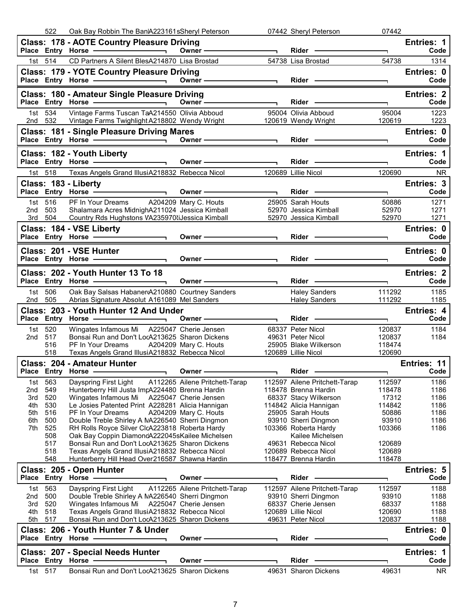|            | 522                | Oak Bay Robbin The BanIA223161sSheryl Peterson                                                                                                                                                                                                                       |                                |                                                                     | 07442 Sheryl Peterson                                                                                                                                                                                                          | 07442                    |                           |
|------------|--------------------|----------------------------------------------------------------------------------------------------------------------------------------------------------------------------------------------------------------------------------------------------------------------|--------------------------------|---------------------------------------------------------------------|--------------------------------------------------------------------------------------------------------------------------------------------------------------------------------------------------------------------------------|--------------------------|---------------------------|
|            |                    | <b>Class: 178 - AOTE Country Pleasure Driving</b>                                                                                                                                                                                                                    | $Owner \longrightarrow$        |                                                                     |                                                                                                                                                                                                                                | $\overline{\phantom{0}}$ | <b>Entries: 1</b><br>Code |
|            | 1st 514            | CD Partners A Silent BlesA214870 Lisa Brostad                                                                                                                                                                                                                        |                                |                                                                     | 54738 Lisa Brostad                                                                                                                                                                                                             | 54738                    | 1314                      |
|            |                    | <b>Class: 179 - YOTE Country Pleasure Driving</b>                                                                                                                                                                                                                    |                                |                                                                     |                                                                                                                                                                                                                                |                          | Entries: 0                |
|            |                    | Place Entry Horse <u>Contract Communication</u> Owner Communication Communication Communication Communication Communication Communication Communication Communication Communication Communication Communication Communication Commu                                  |                                | $\overline{\phantom{a}}$                                            | Rider —                                                                                                                                                                                                                        |                          | Code                      |
|            |                    | Class: 180 - Amateur Single Pleasure Driving                                                                                                                                                                                                                         |                                |                                                                     |                                                                                                                                                                                                                                |                          | Entries: 2                |
|            |                    |                                                                                                                                                                                                                                                                      |                                |                                                                     |                                                                                                                                                                                                                                | $\overline{\phantom{0}}$ | Code                      |
|            | 1st 534            | Vintage Farms Tuscan TaA214550 Olivia Abboud                                                                                                                                                                                                                         |                                |                                                                     | 95004 Olivia Abboud                                                                                                                                                                                                            | 95004                    | 1223                      |
|            |                    | 2nd 532 Vintage Farms Twighlight A218802 Wendy Wright 120619 Wendy Wright                                                                                                                                                                                            |                                |                                                                     |                                                                                                                                                                                                                                | 120619                   | 1223                      |
|            |                    | Class: 181 - Single Pleasure Driving Mares                                                                                                                                                                                                                           |                                |                                                                     |                                                                                                                                                                                                                                | T.                       | Entries: 0<br>Code        |
|            |                    | Class: 182 - Youth Liberty                                                                                                                                                                                                                                           |                                |                                                                     |                                                                                                                                                                                                                                |                          | Entries: 1                |
|            |                    |                                                                                                                                                                                                                                                                      |                                |                                                                     |                                                                                                                                                                                                                                | $\overline{\phantom{0}}$ | Code                      |
|            | 1st 518            | Texas Angels Grand IllusiA218832 Rebecca Nicol 120689 Lillie Nicol                                                                                                                                                                                                   |                                |                                                                     |                                                                                                                                                                                                                                | 120690                   | <b>NR</b>                 |
|            |                    | Class: 183 - Liberty                                                                                                                                                                                                                                                 |                                |                                                                     |                                                                                                                                                                                                                                |                          | Entries: 3                |
|            |                    |                                                                                                                                                                                                                                                                      | Owner $\overline{\phantom{a}}$ |                                                                     | Rider - The Management of the Management of the Management of the Management of the Management of the Management of the Management of the Management of the Management of the Management of the Management of the Management o | $\blacksquare$           | Code                      |
|            | 1st 516            |                                                                                                                                                                                                                                                                      |                                |                                                                     |                                                                                                                                                                                                                                | 50886                    | 1271                      |
|            | 2nd 503<br>3rd 504 |                                                                                                                                                                                                                                                                      |                                |                                                                     | 52970 Jessica Kimball                                                                                                                                                                                                          | 52970<br>52970           | 1271<br>1271              |
|            |                    | Shalamara Acres MidnighA211024 Jessica Kimball<br>Country Rds Hughstons VA235970tiJessica Kimball<br>Salamara Acres MidnighA211024 Jessica Kimball<br>Country Rds Hughstons VA235970tiJessica Kimball<br>S2970 Jessica Kimball<br>SALAMA<br>Class: 184 - VSE Liberty |                                |                                                                     |                                                                                                                                                                                                                                |                          | Entries: 0                |
|            |                    | Place Entry Horse                                                                                                                                                                                                                                                    |                                |                                                                     |                                                                                                                                                                                                                                |                          | Code                      |
|            |                    | Class: 201 - VSE Hunter                                                                                                                                                                                                                                              |                                |                                                                     |                                                                                                                                                                                                                                |                          | Entries: 0                |
|            |                    | Place Entry Horse - and the manufacturer                                                                                                                                                                                                                             | Owner $\qquad$                 |                                                                     |                                                                                                                                                                                                                                |                          | Code                      |
|            |                    | Class: 202 - Youth Hunter 13 To 18                                                                                                                                                                                                                                   |                                |                                                                     |                                                                                                                                                                                                                                |                          | <b>Entries: 2</b>         |
|            |                    | Place Entry Horse - Communication Communication                                                                                                                                                                                                                      |                                | $\overline{\phantom{a}}$ . The contract of $\overline{\phantom{a}}$ | Rider - The Management of the Management of the Management of the Management of the Management of the Management of the Management of the Management of the Management of the Management of the Management of the Management o | ⇁                        | Code                      |
| 1st        | 506                | Oak Bay Salsas HabanerA210880 Courtney Sanders                                                                                                                                                                                                                       |                                |                                                                     | <b>Haley Sanders</b>                                                                                                                                                                                                           | 111292                   | 1185                      |
| 2nd -      | 505                | Abrias Signature Absolut A161089 Mel Sanders                                                                                                                                                                                                                         |                                |                                                                     | Haley Sanders <b>Market</b>                                                                                                                                                                                                    | 111292                   | 1185                      |
|            |                    |                                                                                                                                                                                                                                                                      |                                |                                                                     |                                                                                                                                                                                                                                |                          |                           |
|            |                    | Class: 203 - Youth Hunter 12 And Under                                                                                                                                                                                                                               |                                |                                                                     |                                                                                                                                                                                                                                |                          | Entries: 4                |
|            |                    |                                                                                                                                                                                                                                                                      |                                |                                                                     |                                                                                                                                                                                                                                | $\overline{\phantom{a}}$ | Code                      |
|            | 1st 520            | Wingates Infamous Mi A225047 Cherie Jensen                                                                                                                                                                                                                           |                                |                                                                     | 68337 Peter Nicol                                                                                                                                                                                                              | 120837                   | 1184                      |
| 2nd 517    | 516                | Bonsai Run and Don't LocA213625 Sharon Dickens<br>PF In Your Dreams A204209 Mary C. Houts                                                                                                                                                                            |                                |                                                                     | 49631 Peter Nicol<br>25905 Blake Wilkerson                                                                                                                                                                                     | 120837<br>118474         | 1184                      |
|            | 518                | Texas Angels Grand IllusiA218832 Rebecca Nicol                                                                                                                                                                                                                       |                                | 120689 Lillie Nicol                                                 |                                                                                                                                                                                                                                | 120690                   |                           |
|            |                    | <b>Class: 204 - Amateur Hunter</b>                                                                                                                                                                                                                                   |                                |                                                                     |                                                                                                                                                                                                                                |                          | Entries: 11               |
|            |                    | Place Entry Horse - Communication Communication                                                                                                                                                                                                                      |                                |                                                                     | <b>Rider</b>                                                                                                                                                                                                                   |                          | Code                      |
| 1st l      | 563                | Dayspring First Light                                                                                                                                                                                                                                                | A112265 Ailene Pritchett-Tarap |                                                                     | 112597 Ailene Pritchett-Tarap                                                                                                                                                                                                  | 112597                   | 1186                      |
| 2nd<br>3rd | 549<br>520         | Hunterberry Hill Justa ImpA224480 Brenna Hardin<br>Wingates Infamous Mi A225047 Cherie Jensen                                                                                                                                                                        |                                |                                                                     | 118478 Brenna Hardin                                                                                                                                                                                                           | 118478<br>17312          | 1186<br>1186              |
| 4th        | 530                | Le Josies Patented Print A228281 Alicia Hannigan                                                                                                                                                                                                                     |                                |                                                                     | 68337 Stacy Wilkerson<br>114842 Alicia Hannigan                                                                                                                                                                                | 114842                   | 1186                      |
| 5th        | 516                | PF In Your Dreams                                                                                                                                                                                                                                                    | A204209 Mary C. Houts          |                                                                     | 25905 Sarah Houts                                                                                                                                                                                                              | 50886                    | 1186                      |
| 6th        | 500                | Double Treble Shirley A NA226540 Sherri Dingmon                                                                                                                                                                                                                      |                                |                                                                     | 93910 Sherri Dingmon                                                                                                                                                                                                           | 93910                    | 1186                      |
| 7th        | 525<br>508         | RH Rolls Royce Silver ClcA223818 Roberta Hardy<br>Oak Bay Coppin DiamondA222045sKailee Michelsen                                                                                                                                                                     |                                |                                                                     | 103366 Roberta Hardy<br>Kailee Michelsen                                                                                                                                                                                       | 103366                   | 1186                      |
|            | 517                | Bonsai Run and Don't LocA213625 Sharon Dickens                                                                                                                                                                                                                       |                                |                                                                     | 49631 Rebecca Nicol                                                                                                                                                                                                            | 120689                   |                           |
|            | 518                | Texas Angels Grand IllusiA218832 Rebecca Nicol                                                                                                                                                                                                                       |                                |                                                                     | 120689 Rebecca Nicol                                                                                                                                                                                                           | 120689                   |                           |
|            | 548                | Hunterberry Hill Head Over216587 Shawna Hardin                                                                                                                                                                                                                       |                                |                                                                     | 118477 Brenna Hardin                                                                                                                                                                                                           | 118478                   |                           |
|            |                    | Class: 205 - Open Hunter<br>Place Entry Horse -                                                                                                                                                                                                                      | Owner-                         |                                                                     | Rider ·                                                                                                                                                                                                                        |                          | Entries: 5<br>Code        |
| 1st l      | 563                | Dayspring First Light                                                                                                                                                                                                                                                | A112265 Ailene Pritchett-Tarap |                                                                     | 112597 Ailene Pritchett-Tarap                                                                                                                                                                                                  | 112597                   | 1188                      |
| 2nd        | 500                | Double Treble Shirley A NA226540 Sherri Dingmon                                                                                                                                                                                                                      |                                |                                                                     | 93910 Sherri Dingmon                                                                                                                                                                                                           | 93910                    | 1188                      |
| 3rd        | 520                | Wingates Infamous Mi A225047 Cherie Jensen                                                                                                                                                                                                                           |                                |                                                                     | 68337 Cherie Jensen                                                                                                                                                                                                            | 68337                    | 1188                      |
| 4th<br>5th | 518<br>517         | Texas Angels Grand IllusiA218832 Rebecca Nicol<br>Bonsai Run and Don't LocA213625 Sharon Dickens                                                                                                                                                                     |                                |                                                                     | 120689 Lillie Nicol<br>49631 Peter Nicol                                                                                                                                                                                       | 120690<br>120837         | 1188<br>1188              |
|            |                    | Class: 206 - Youth Hunter 7 & Under                                                                                                                                                                                                                                  |                                |                                                                     |                                                                                                                                                                                                                                |                          | Entries: 0                |
|            |                    | Place Entry Horse -                                                                                                                                                                                                                                                  | Owner -                        |                                                                     | Rider -                                                                                                                                                                                                                        |                          | Code                      |
|            |                    | <b>Class: 207 - Special Needs Hunter</b>                                                                                                                                                                                                                             |                                |                                                                     |                                                                                                                                                                                                                                |                          | <b>Entries: 1</b>         |
|            | 517                | Place Entry Horse -<br>Bonsai Run and Don't LocA213625 Sharon Dickens                                                                                                                                                                                                | Owner -                        |                                                                     | <b>Rider</b><br>49631 Sharon Dickens                                                                                                                                                                                           | 49631                    | Code<br><b>NR</b>         |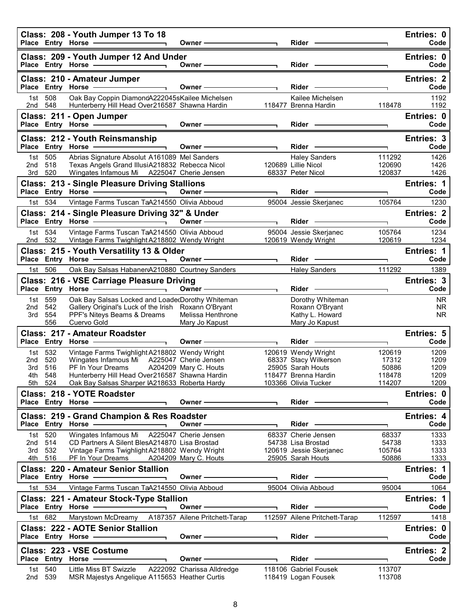|            |                | Class: 208 - Youth Jumper 13 To 18<br>Place Entry Horse - 2000                                                                                                                                                                                                                                                                                                                                                                                                            | Owner —————                                                    |                          | Rider ——                                     |                  | Entries: 0<br>Code        |
|------------|----------------|---------------------------------------------------------------------------------------------------------------------------------------------------------------------------------------------------------------------------------------------------------------------------------------------------------------------------------------------------------------------------------------------------------------------------------------------------------------------------|----------------------------------------------------------------|--------------------------|----------------------------------------------|------------------|---------------------------|
|            |                | Class: 209 - Youth Jumper 12 And Under<br>Place Entry Horse - The Contract of the Contract of the Contract of the Contract of the Contract of the Contract of the Contract of the Contract of the Contract of the Contract of the Contract of the Contract of the Contra                                                                                                                                                                                                  | Owner -                                                        |                          | $Rider -$                                    |                  | Entries: 0<br>Code        |
|            |                |                                                                                                                                                                                                                                                                                                                                                                                                                                                                           |                                                                |                          |                                              |                  | <b>Entries: 2</b>         |
|            |                | Class: 210 - Amateur Jumper<br>$\overline{\phantom{a}}$ and $\overline{\phantom{a}}$ and $\overline{\phantom{a}}$ and $\overline{\phantom{a}}$ and $\overline{\phantom{a}}$ and $\overline{\phantom{a}}$ and $\overline{\phantom{a}}$ and $\overline{\phantom{a}}$ and $\overline{\phantom{a}}$ and $\overline{\phantom{a}}$ and $\overline{\phantom{a}}$ and $\overline{\phantom{a}}$ and $\overline{\phantom{a}}$ and $\overline{\phantom{a}}$ a<br>Place Entry Horse - | <u> 1980 - Johann Barnett, fransk politiker (</u><br>Owner $-$ |                          | Rider -                                      |                  | Code                      |
|            | 1st 508        | Oak Bay Coppin DiamondA222045sKailee Michelsen                                                                                                                                                                                                                                                                                                                                                                                                                            |                                                                |                          | Kailee Michelsen                             |                  | 1192                      |
| 2nd 548    |                | Hunterberry Hill Head Over216587 Shawna Hardin                                                                                                                                                                                                                                                                                                                                                                                                                            |                                                                |                          | 118477 Brenna Hardin                         | 118478           | 1192                      |
|            |                | Class: 211 - Open Jumper                                                                                                                                                                                                                                                                                                                                                                                                                                                  | Owner $\qquad$                                                 |                          |                                              |                  | Entries: 0                |
|            |                | $\overline{\phantom{a}}$ . The contract of $\overline{\phantom{a}}$<br>Place Entry Horse -                                                                                                                                                                                                                                                                                                                                                                                |                                                                |                          | Rider <b>Container Container</b>             | T.               | Code                      |
|            |                | Class: 212 - Youth Reinsmanship                                                                                                                                                                                                                                                                                                                                                                                                                                           | Owner -                                                        |                          | $Rider -$                                    |                  | Entries: 3<br>Code        |
|            | 1st 505        | Abrias Signature Absolut A161089 Mel Sanders                                                                                                                                                                                                                                                                                                                                                                                                                              |                                                                |                          | <b>Haley Sanders</b>                         | 111292           | 1426                      |
| 2nd        | 518            | Texas Angels Grand IllusiA218832 Rebecca Nicol                                                                                                                                                                                                                                                                                                                                                                                                                            |                                                                |                          | 120689 Lillie Nicol                          | 120690           | 1426                      |
|            | 3rd 520        | Wingates Infamous Mi A225047 Cherie Jensen                                                                                                                                                                                                                                                                                                                                                                                                                                |                                                                |                          | 68337 Peter Nicol                            | 120837           | 1426                      |
|            |                | <b>Class: 213 - Single Pleasure Driving Stallions</b>                                                                                                                                                                                                                                                                                                                                                                                                                     |                                                                |                          |                                              |                  | Entries: 1                |
|            | 1st 534        | Vintage Farms Tuscan TaA214550 Olivia Abboud                                                                                                                                                                                                                                                                                                                                                                                                                              |                                                                |                          | $Rider$ —                                    | ┑<br>105764      | Code<br>1230              |
|            |                |                                                                                                                                                                                                                                                                                                                                                                                                                                                                           |                                                                |                          | 95004 Jessie Skerjanec                       |                  | <b>Entries: 2</b>         |
|            |                | Class: 214 - Single Pleasure Driving 32" & Under<br>Place Entry Horse - and Discount of the Contract of the Contract of the Contract of the Contract of the Contract of the Contract of the Contract of the Contract of the Contract of the Contract of the Contract of the Contra                                                                                                                                                                                        | Owner $\qquad$                                                 |                          | Rider -                                      | T.               | Code                      |
|            | 1st 534        | Vintage Farms Tuscan TaA214550 Olivia Abboud                                                                                                                                                                                                                                                                                                                                                                                                                              |                                                                |                          | 95004 Jessie Skerjanec                       | 105764           | 1234                      |
| 2nd 532    |                | Vintage Farms Twighlight A218802 Wendy Wright                                                                                                                                                                                                                                                                                                                                                                                                                             |                                                                |                          | 120619 Wendy Wright                          | 120619           | 1234                      |
|            |                | Class: 215 - Youth Versatility 13 & Older                                                                                                                                                                                                                                                                                                                                                                                                                                 |                                                                |                          |                                              |                  | Entries: 1                |
|            |                | Place Entry Horse - The Control of the Control of The Control of The Control of The Control of The Control of                                                                                                                                                                                                                                                                                                                                                             | Owner-<br>$\overline{\phantom{a}}$                             |                          | Rider -                                      | ┑                | Code                      |
|            | 1st 506        | Oak Bay Salsas HabanerA210880 Courtney Sanders                                                                                                                                                                                                                                                                                                                                                                                                                            |                                                                |                          | Haley Sanders                                | 111292           | 1389                      |
|            |                | Class: 216 - VSE Carriage Pleasure Driving<br>Place Entry Horse -<br><u>the contract of the contract of the contract of the contract of the contract of the contract of the contract of the contract of the contract of the contract of the contract of the contract of the contract of the contract </u>                                                                                                                                                                 | $\overline{\phantom{a}}$<br>Owner -                            |                          | Rider —                                      |                  | Entries: 3<br>Code        |
|            | 1st 559        | Oak Bay Salsas Locked and LoadedDorothy Whiteman                                                                                                                                                                                                                                                                                                                                                                                                                          |                                                                |                          | Dorothy Whiteman                             |                  | <b>NR</b>                 |
| 2nd        | 542            | Gallery Original's Luck of the Irish Roxann O'Bryant                                                                                                                                                                                                                                                                                                                                                                                                                      |                                                                |                          | Roxann O'Bryant                              |                  | <b>NR</b>                 |
| 3rd        | 554<br>556     | PPF's Niteys Beams & Dreams<br>Cuervo Gold                                                                                                                                                                                                                                                                                                                                                                                                                                | Melissa Henthrone<br>Mary Jo Kapust                            |                          | Kathy L. Howard<br>Mary Jo Kapust            |                  | <b>NR</b>                 |
|            |                | Class: 217 - Amateur Roadster                                                                                                                                                                                                                                                                                                                                                                                                                                             |                                                                |                          |                                              |                  | <b>Entries: 5</b>         |
|            |                |                                                                                                                                                                                                                                                                                                                                                                                                                                                                           | Owner -                                                        |                          | Rider -                                      |                  | Code                      |
|            | 1st 532        | Vintage Farms Twighlight A218802 Wendy Wright                                                                                                                                                                                                                                                                                                                                                                                                                             |                                                                |                          | 120619 Wendy Wright                          | 120619           | 1209                      |
| 2nd<br>3rd | 520<br>516     | Wingates Infamous Mi A225047 Cherie Jensen<br>PF In Your Dreams                                                                                                                                                                                                                                                                                                                                                                                                           | A204209 Mary C. Houts                                          |                          | 68337 Stacy Wilkerson<br>25905 Sarah Houts   | 17312<br>50886   | 1209<br>1209              |
|            | 4th 548        | Hunterberry Hill Head Over216587 Shawna Hardin                                                                                                                                                                                                                                                                                                                                                                                                                            |                                                                |                          | 118477 Brenna Hardin                         | 118478           | 1209                      |
|            | 5th 524        | Oak Bay Salsas Sharper IA218633 Roberta Hardy                                                                                                                                                                                                                                                                                                                                                                                                                             |                                                                |                          | 103366 Olivia Tucker                         | 114207           | 1209                      |
|            |                | Class: 218 - YOTE Roadster                                                                                                                                                                                                                                                                                                                                                                                                                                                |                                                                |                          |                                              |                  | Entries: 0                |
|            |                | Place Entry Horse - and Discount of the Place of the Material Place                                                                                                                                                                                                                                                                                                                                                                                                       | Owner-                                                         |                          | $Rider -$                                    | ٦                | Code                      |
|            |                | Class: 219 - Grand Champion & Res Roadster                                                                                                                                                                                                                                                                                                                                                                                                                                |                                                                |                          |                                              |                  | Entries: 4                |
| 1st l      | 520            | Place Entry Horse<br>Wingates Infamous Mi A225047 Cherie Jensen                                                                                                                                                                                                                                                                                                                                                                                                           | Owner-                                                         |                          | Rider -<br>68337 Cherie Jensen               | 68337            | Code                      |
| 2nd 514    |                | CD Partners A Silent BlesA214870 Lisa Brostad                                                                                                                                                                                                                                                                                                                                                                                                                             |                                                                |                          | 54738 Lisa Brostad                           | 54738            | 1333<br>1333              |
| 3rd        | 532            | Vintage Farms Twighlight A218802 Wendy Wright                                                                                                                                                                                                                                                                                                                                                                                                                             |                                                                |                          | 120619 Jessie Skerjanec                      | 105764           | 1333                      |
|            | 4th 516        | PF In Your Dreams A204209 Mary C. Houts                                                                                                                                                                                                                                                                                                                                                                                                                                   |                                                                |                          | 25905 Sarah Houts                            | 50886            | 1333                      |
|            |                | <b>Class: 220 - Amateur Senior Stallion</b><br>Place Entry Horse -                                                                                                                                                                                                                                                                                                                                                                                                        | Owner-                                                         |                          | Rider                                        | ┑                | <b>Entries: 1</b><br>Code |
|            | 1st 534        | Vintage Farms Tuscan TaA214550 Olivia Abboud                                                                                                                                                                                                                                                                                                                                                                                                                              |                                                                |                          | 95004 Olivia Abboud                          | 95004            | 1064                      |
|            |                | Class: 221 - Amateur Stock-Type Stallion                                                                                                                                                                                                                                                                                                                                                                                                                                  |                                                                |                          |                                              |                  | Entries: 1                |
|            |                | Place Entry Horse - The Control of the Control of The Control of The Control of The Control of The Control of                                                                                                                                                                                                                                                                                                                                                             | Owner —                                                        | $\overline{\phantom{0}}$ | $Rider -$                                    |                  | Code                      |
|            | 1st 682        | Marystown McDreamy                                                                                                                                                                                                                                                                                                                                                                                                                                                        | A187357 Ailene Pritchett-Tarap                                 |                          | 112597 Ailene Pritchett-Tarap                | 112597           | 1418                      |
|            |                | <b>Class: 222 - AOTE Senior Stallion</b>                                                                                                                                                                                                                                                                                                                                                                                                                                  |                                                                |                          |                                              |                  | Entries: 0                |
|            |                | Place Entry Horse ————————————————————                                                                                                                                                                                                                                                                                                                                                                                                                                    | Owner $\longrightarrow$                                        |                          |                                              |                  | Code                      |
|            |                | Class: 223 - VSE Costume                                                                                                                                                                                                                                                                                                                                                                                                                                                  |                                                                |                          |                                              |                  | Entries: 2                |
|            |                | Place Entry Horse -                                                                                                                                                                                                                                                                                                                                                                                                                                                       | Owner-                                                         |                          | Rider -                                      | ٦                | Code                      |
| 2nd        | 1st 540<br>539 | Little Miss BT Swizzle<br>MSR Majestys Angelique A115653 Heather Curtis                                                                                                                                                                                                                                                                                                                                                                                                   | A222092 Charissa Alldredge                                     |                          | 118106 Gabriel Fousek<br>118419 Logan Fousek | 113707<br>113708 |                           |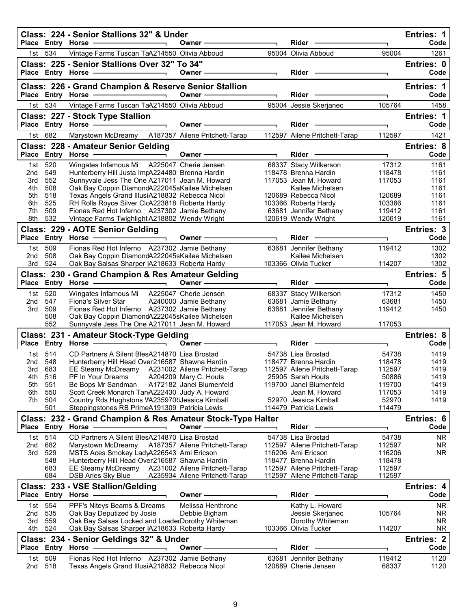|            |                   | Class: 224 - Senior Stallions 32" & Under<br>Place Entry Horse -                                                                          | Owner-                         |                | Rider                                                          |                  | <b>Entries: 1</b><br>Code |
|------------|-------------------|-------------------------------------------------------------------------------------------------------------------------------------------|--------------------------------|----------------|----------------------------------------------------------------|------------------|---------------------------|
|            | 534               | Vintage Farms Tuscan TaA214550 Olivia Abboud                                                                                              |                                |                | 95004 Olivia Abboud                                            | 95004            | 1261                      |
| 1st l      |                   |                                                                                                                                           |                                |                |                                                                |                  |                           |
|            |                   | Class: 225 - Senior Stallions Over 32" To 34"<br>Place Entry Horse - The Manager                                                          | Owner-                         |                | $Rider -$                                                      |                  | Entries: 0<br>Code        |
|            |                   |                                                                                                                                           |                                |                |                                                                |                  |                           |
|            |                   | Class: 226 - Grand Champion & Reserve Senior Stallion<br>Place Entry Horse -<br><u> 1989 - Johann Stoff, Amerikaansk politiker (</u>      | Owner-                         |                | <b>Rider</b>                                                   |                  | Entries: 1<br>Code        |
|            | 1st 534           | Vintage Farms Tuscan TaA214550 Olivia Abboud                                                                                              |                                |                | 95004 Jessie Skerjanec                                         | 105764           |                           |
|            |                   |                                                                                                                                           |                                |                |                                                                |                  | 1458                      |
|            |                   | Class: 227 - Stock Type Stallion<br>Place Entry Horse -                                                                                   | Owner-                         |                | Rider -                                                        | E.               | Entries: 1<br>Code        |
| 1st        | 682               | Marystown McDreamy A187357 Ailene Pritchett-Tarap                                                                                         |                                |                | 112597 Ailene Pritchett-Tarap                                  | 112597           | 1421                      |
|            |                   | Class: 228 - Amateur Senior Gelding                                                                                                       |                                |                |                                                                |                  | <b>Entries: 8</b>         |
|            |                   | Place Entry Horse - The Management of the Management of the Management of the Management of the Management of<br>$\overline{\phantom{0}}$ | Owner-                         |                | $Rider -$                                                      | ٦                | Code                      |
| 1st        | 520               | Wingates Infamous Mi A225047 Cherie Jensen                                                                                                |                                |                | 68337 Stacy Wilkerson                                          | 17312            | 1161                      |
| 2nd        | 549               | Hunterberry Hill Justa ImpA224480 Brenna Hardin                                                                                           |                                |                | 118478 Brenna Hardin                                           | 118478           | 1161                      |
| 3rd        | 552               | Sunnyvale Jess The One A217011 Jean M. Howard                                                                                             |                                |                | 117053 Jean M. Howard                                          | 117053           | 1161                      |
| 4th        | 508               | Oak Bay Coppin DiamondA222045sKailee Michelsen                                                                                            |                                |                | Kailee Michelsen                                               |                  | 1161                      |
| 5th        | 518               | Texas Angels Grand IllusiA218832 Rebecca Nicol                                                                                            |                                |                | 120689 Rebecca Nicol                                           | 120689           | 1161                      |
| 6th        | 525               | RH Rolls Royce Silver ClcA223818 Roberta Hardy                                                                                            |                                |                | 103366 Roberta Hardy                                           | 103366           | 1161                      |
| 7th<br>8th | 509<br>532        | Fionas Red Hot Inferno A237302 Jamie Bethany<br>Vintage Farms Twighlight A218802 Wendy Wright                                             |                                |                | 63681 Jennifer Bethany                                         | 119412<br>120619 | 1161<br>1161              |
|            |                   |                                                                                                                                           |                                |                | 120619 Wendy Wright                                            |                  |                           |
|            |                   | Class: 229 - AOTE Senior Gelding<br>Place Entry Horse - and the manufacturer                                                              | Owner-                         |                | Rider -                                                        |                  | Entries: 3<br>Code        |
|            |                   |                                                                                                                                           |                                |                |                                                                |                  |                           |
| 2nd        | 1st 509<br>508    | Fionas Red Hot Inferno A237302 Jamie Bethany<br>Oak Bay Coppin DiamondA222045sKailee Michelsen                                            |                                |                | 63681 Jennifer Bethany<br>Kailee Michelsen                     | 119412           | 1302<br>1302              |
| 3rd        | 524               | Oak Bay Salsas Sharper IA218633 Roberta Hardy                                                                                             |                                |                | 103366 Olivia Tucker                                           | 114207           | 1302                      |
|            |                   | Class: 230 - Grand Champion & Res Amateur Gelding                                                                                         |                                |                |                                                                |                  | Entries: 5                |
|            |                   | Place Entry Horse - and the manufacturer                                                                                                  | Owner —                        |                | $Rider -$                                                      |                  | Code                      |
| 1st l      | 520               | Wingates Infamous Mi A225047 Cherie Jensen                                                                                                |                                |                | 68337 Stacy Wilkerson                                          | 17312            | 1450                      |
| 2nd        | 547               | Fiona's Silver Star                                                                                                                       | A240000 Jamie Bethany          |                | 63681 Jamie Bethany                                            | 63681            | 1450                      |
| 3rd        | 509               | Fionas Red Hot Inferno A237302 Jamie Bethany                                                                                              |                                |                | 63681 Jennifer Bethany                                         | 119412           | 1450                      |
|            | 508               | Oak Bay Coppin DiamondA222045sKailee Michelsen                                                                                            |                                |                | Kailee Michelsen                                               |                  |                           |
|            | 552               | Sunnyvale Jess The One A217011 Jean M. Howard                                                                                             |                                |                | 117053 Jean M. Howard                                          | 117053           |                           |
|            |                   | Class: 231 - Amateur Stock-Type Gelding<br>Place Entry Horse -                                                                            | Owner -                        |                | Rider ·                                                        |                  | <b>Entries: 8</b><br>Code |
|            |                   |                                                                                                                                           |                                | $\blacksquare$ |                                                                | ٦                |                           |
| 1st l      | 514               | CD Partners A Silent BlesA214870 Lisa Brostad                                                                                             |                                |                | 54738 Lisa Brostad                                             | 54738            | 1419                      |
| 2nd<br>3rd | 548<br>683        | Hunterberry Hill Head Over216587 Shawna Hardin                                                                                            |                                |                | 118477 Brenna Hardin                                           | 118478<br>112597 | 1419<br>1419              |
| 4th        | 516               | EE Steamy McDreamy A231002 Ailene Pritchett-Tarap<br>PF In Your Dreams                                                                    | A204209 Mary C. Houts          |                | 112597 Ailene Pritchett-Tarap<br>25905 Sarah Houts             | 50886            | 1419                      |
| 5th        | 551               | Be Bops Mr Sandman                                                                                                                        | A172182 Janel Blumenfeld       |                | 119700 Janel Blumenfeld                                        | 119700           | 1419                      |
| 6th.       | 550               | Scott Creek Monarch TanA222430 Judy A. Howard                                                                                             |                                |                | Jean M. Howard                                                 | 117053           | 1419                      |
| 7th.       | 504               | Country Rds Hughstons VA235970 iJessica Kimball                                                                                           |                                |                | 52970 Jessica Kimball                                          | 52970            | 1419                      |
|            | 501               | Steppingstones RB PrimeA191309 Patricia Lewis                                                                                             |                                |                | 114479 Patricia Lewis                                          | 114479           |                           |
|            |                   | Class: 232 - Grand Champion & Res Amateur Stock-Type Halter                                                                               |                                |                |                                                                |                  | Entries: 6                |
|            |                   | Place Entry Horse -                                                                                                                       | Owner -                        |                | <b>Rider</b>                                                   |                  | Code                      |
| 1st l      | 514               | CD Partners A Silent BlesA214870 Lisa Brostad                                                                                             |                                |                | 54738 Lisa Brostad                                             | 54738            | NR.                       |
| 2nd        | 682               | Marystown McDreamy A187357 Ailene Pritchett-Tarap                                                                                         |                                |                | 112597 Ailene Pritchett-Tarap                                  | 112597           | NR.                       |
| 3rd        | 529               | MSTS Aces Smokey LadyA226543 Ami Ericson                                                                                                  |                                |                | 116206 Ami Ericson                                             | 116206           | NR.                       |
|            | 548               | Hunterberry Hill Head Over216587 Shawna Hardin                                                                                            |                                |                | 118477 Brenna Hardin                                           | 118478           |                           |
|            | 683<br>684        | EE Steamy McDreamy A231002 Ailene Pritchett-Tarap<br><b>DSB Aries Sky Blue</b>                                                            | A235934 Ailene Pritchett-Tarap |                | 112597 Ailene Pritchett-Tarap<br>112597 Ailene Pritchett-Tarap | 112597<br>112597 |                           |
|            |                   | Class: 233 - VSE Stallion/Gelding                                                                                                         |                                |                |                                                                |                  |                           |
|            | Place Entry Horse |                                                                                                                                           | Owner                          |                | Rider                                                          |                  | <b>Entries: 4</b><br>Code |
| 1st l      | 554               | PPF's Niteys Beams & Dreams                                                                                                               | Melissa Henthrone              |                | Kathy L. Howard                                                |                  | NR.                       |
| 2nd        | 535               | Oak Bay Deputized by Josie                                                                                                                | Debbie Bigham                  |                | Jessie Skerjanec                                               | 105764           | <b>NR</b>                 |
| 3rd        | 559               | Oak Bay Salsas Locked and LoadedDorothy Whiteman                                                                                          |                                |                | Dorothy Whiteman                                               |                  | <b>NR</b>                 |
| 4th        | 524               | Oak Bay Salsas Sharper IA218633 Roberta Hardy                                                                                             |                                |                | 103366 Olivia Tucker                                           | 114207           | NR.                       |
|            |                   | Class: 234 - Senior Geldings 32" & Under                                                                                                  |                                |                |                                                                |                  | <b>Entries: 2</b>         |
|            |                   | Place Entry Horse .                                                                                                                       | Owner                          |                | Rider                                                          |                  | Code                      |
| 1st        | 509               | Fionas Red Hot Inferno A237302 Jamie Bethany                                                                                              |                                |                | 63681 Jennifer Bethany                                         | 119412           | 1120                      |
| 2nd        | 518               | Texas Angels Grand IllusiA218832 Rebecca Nicol                                                                                            |                                |                | 120689 Cherie Jensen                                           | 68337            | 1120                      |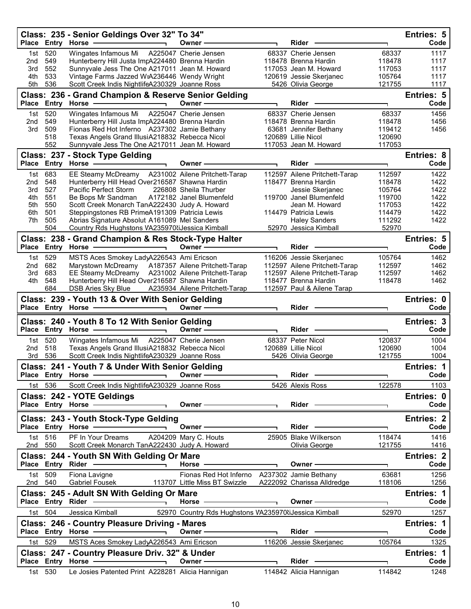|                 |                   | Class: 235 - Senior Geldings Over 32" To 34"<br>Place Entry Horse -                                                                                                                                                            | Owner -                                                                                                                                                                                                                       | Rider                                       |                  | Entries: 5<br>Code        |
|-----------------|-------------------|--------------------------------------------------------------------------------------------------------------------------------------------------------------------------------------------------------------------------------|-------------------------------------------------------------------------------------------------------------------------------------------------------------------------------------------------------------------------------|---------------------------------------------|------------------|---------------------------|
|                 |                   |                                                                                                                                                                                                                                |                                                                                                                                                                                                                               |                                             |                  |                           |
| 1st<br>2nd      | 520<br>549        | Wingates Infamous Mi A225047 Cherie Jensen<br>Hunterberry Hill Justa ImpA224480 Brenna Hardin                                                                                                                                  |                                                                                                                                                                                                                               | 68337 Cherie Jensen<br>118478 Brenna Hardin | 68337<br>118478  | 1117<br>1117              |
| 3rd             | 552               | Sunnyvale Jess The One A217011 Jean M. Howard                                                                                                                                                                                  |                                                                                                                                                                                                                               | 117053 Jean M. Howard                       | 117053           | 1117                      |
| 4th             | 533               | Vintage Farms Jazzed WiA236446 Wendy Wright                                                                                                                                                                                    |                                                                                                                                                                                                                               | 120619 Jessie Skerjanec                     | 105764           | 1117                      |
| 5th             | 536               | Scott Creek Indis NightlifeA230329 Joanne Ross                                                                                                                                                                                 |                                                                                                                                                                                                                               | 5426 Olivia George                          | 121755           | 1117                      |
|                 |                   | Class: 236 - Grand Champion & Reserve Senior Gelding                                                                                                                                                                           |                                                                                                                                                                                                                               |                                             |                  | Entries: 5                |
|                 |                   | Place Entry Horse - The Management of the Management of the Management of the Management of the Management of                                                                                                                  | Owner -                                                                                                                                                                                                                       | <b>Rider</b>                                |                  | Code                      |
| 1st l           | 520               | Wingates Infamous Mi                                                                                                                                                                                                           | A225047 Cherie Jensen                                                                                                                                                                                                         | 68337 Cherie Jensen                         | 68337            | 1456                      |
| 2nd             | 549               | Hunterberry Hill Justa ImpA224480 Brenna Hardin                                                                                                                                                                                |                                                                                                                                                                                                                               | 118478 Brenna Hardin                        | 118478           | 1456                      |
| 3rd             | 509               | Fionas Red Hot Inferno A237302 Jamie Bethany                                                                                                                                                                                   |                                                                                                                                                                                                                               | 63681 Jennifer Bethany                      | 119412           | 1456                      |
|                 | 518               | Texas Angels Grand IllusiA218832 Rebecca Nicol                                                                                                                                                                                 |                                                                                                                                                                                                                               | 120689 Lillie Nicol                         | 120690           |                           |
|                 | 552               | Sunnyvale Jess The One A217011 Jean M. Howard                                                                                                                                                                                  |                                                                                                                                                                                                                               | 117053 Jean M. Howard                       | 117053           |                           |
|                 |                   | Class: 237 - Stock Type Gelding                                                                                                                                                                                                |                                                                                                                                                                                                                               |                                             |                  | Entries: 8                |
|                 |                   | Place Entry Horse -                                                                                                                                                                                                            | Owner-                                                                                                                                                                                                                        | <b>Rider</b>                                |                  | Code                      |
| 1st             | 683               | EE Steamy McDreamy A231002 Ailene Pritchett-Tarap                                                                                                                                                                              |                                                                                                                                                                                                                               | 112597 Ailene Pritchett-Tarap               | 112597           | 1422                      |
| 2nd             | 548               | Hunterberry Hill Head Over216587 Shawna Hardin                                                                                                                                                                                 |                                                                                                                                                                                                                               | 118477 Brenna Hardin                        | 118478           | 1422                      |
| 3rd<br>4th      | 527<br>551        | Pacific Perfect Storm<br>Be Bops Mr Sandman                                                                                                                                                                                    | 226808 Sheila Thurber<br>A172182 Janel Blumenfeld                                                                                                                                                                             | Jessie Skerjanec<br>119700 Janel Blumenfeld | 105764<br>119700 | 1422<br>1422              |
| 5th             | 550               | Scott Creek Monarch TanA222430 Judy A. Howard                                                                                                                                                                                  |                                                                                                                                                                                                                               | Jean M. Howard                              | 117053           | 1422                      |
| 6th             | 501               | Steppingstones RB PrimeA191309 Patricia Lewis                                                                                                                                                                                  |                                                                                                                                                                                                                               | 114479 Patricia Lewis                       | 114479           | 1422                      |
| 7th             | 505               | Abrias Signature Absolut A161089 Mel Sanders                                                                                                                                                                                   |                                                                                                                                                                                                                               | <b>Haley Sanders</b>                        | 111292           | 1422                      |
|                 | 504               | Country Rds Hughstons VA235970 iJessica Kimball                                                                                                                                                                                |                                                                                                                                                                                                                               | 52970 Jessica Kimball                       | 52970            |                           |
|                 |                   | Class: 238 - Grand Champion & Res Stock-Type Halter                                                                                                                                                                            |                                                                                                                                                                                                                               |                                             |                  | Entries: 5                |
|                 |                   | Place Entry Horse - The Management of the Management of the Management of the Management of the Management of<br>$\overline{\phantom{0}}$                                                                                      | Owner-                                                                                                                                                                                                                        | Rider                                       |                  | Code                      |
|                 | 1st 529           | MSTS Aces Smokey LadyA226543 Ami Ericson                                                                                                                                                                                       |                                                                                                                                                                                                                               | 116206 Jessie Skerjanec                     | 105764           | 1462                      |
| 2 <sub>nd</sub> | 682               | Marystown McDreamy A187357 Ailene Pritchett-Tarap                                                                                                                                                                              |                                                                                                                                                                                                                               | 112597 Ailene Pritchett-Tarap               | 112597           | 1462                      |
| 3rd             | 683               | EE Steamy McDreamy A231002 Ailene Pritchett-Tarap                                                                                                                                                                              |                                                                                                                                                                                                                               | 112597 Ailene Pritchett-Tarap               | 112597           | 1462                      |
| 4th             | 548               | Hunterberry Hill Head Over216587 Shawna Hardin                                                                                                                                                                                 |                                                                                                                                                                                                                               | 118477 Brenna Hardin                        | 118478           | 1462                      |
|                 | 684               | <b>DSB Aries Sky Blue</b>                                                                                                                                                                                                      | A235934 Ailene Pritchett-Tarap                                                                                                                                                                                                | 112597 Paul & Ailene Tarap                  |                  |                           |
|                 |                   | Class: 239 - Youth 13 & Over With Senior Gelding                                                                                                                                                                               |                                                                                                                                                                                                                               |                                             |                  | Entries: 0                |
|                 |                   | Place Entry Horse                                                                                                                                                                                                              | Owner-                                                                                                                                                                                                                        | Rider -                                     |                  | Code                      |
|                 |                   | Class: 240 - Youth 8 To 12 With Senior Gelding                                                                                                                                                                                 |                                                                                                                                                                                                                               |                                             |                  | Entries: 3                |
|                 |                   | Place Entry Horse -                                                                                                                                                                                                            | Owner -                                                                                                                                                                                                                       | Rider                                       |                  | Code                      |
|                 | 1st 520           | Wingates Infamous Mi A225047 Cherie Jensen                                                                                                                                                                                     |                                                                                                                                                                                                                               | 68337 Peter Nicol                           | 120837           | 1004                      |
| 2nd             | 518               | Texas Angels Grand IllusiA218832 Rebecca Nicol                                                                                                                                                                                 |                                                                                                                                                                                                                               | 120689 Lillie Nicol                         |                  | 1004                      |
|                 | 3rd 536           |                                                                                                                                                                                                                                |                                                                                                                                                                                                                               |                                             |                  |                           |
|                 |                   |                                                                                                                                                                                                                                |                                                                                                                                                                                                                               |                                             | 120690<br>121755 | 1004                      |
|                 |                   | Scott Creek Indis NightlifeA230329 Joanne Ross                                                                                                                                                                                 |                                                                                                                                                                                                                               | 5426 Olivia George                          |                  |                           |
|                 |                   | Class: 241 - Youth 7 & Under With Senior Gelding<br>Place Entry Horse -                                                                                                                                                        | Owner -                                                                                                                                                                                                                       | Rider —                                     |                  | Entries: 1<br>Code        |
|                 |                   |                                                                                                                                                                                                                                |                                                                                                                                                                                                                               |                                             |                  |                           |
|                 | 1st 536           | Scott Creek Indis NightlifeA230329 Joanne Ross                                                                                                                                                                                 |                                                                                                                                                                                                                               | 5426 Alexis Ross                            | 122578           | 1103                      |
|                 |                   | Class: 242 - YOTE Geldings                                                                                                                                                                                                     |                                                                                                                                                                                                                               |                                             |                  | Entries: 0                |
|                 | Place Entry Horse |                                                                                                                                                                                                                                | Owner - The Common Common Common Common Common Common Common Common Common Common Common Common Common Common Common Common Common Common Common Common Common Common Common Common Common Common Common Common Common Common | Rider <b>Container Container</b>            |                  | Code                      |
|                 |                   | Class: 243 - Youth Stock-Type Gelding                                                                                                                                                                                          |                                                                                                                                                                                                                               |                                             |                  | <b>Entries: 2</b>         |
|                 |                   | Place Entry Horse - The Management of the Management of the Management of the Management of the Management of<br>$\overline{\phantom{a}}$                                                                                      | Owner $\overline{\phantom{a}}$                                                                                                                                                                                                |                                             |                  | Code                      |
|                 | 1st 516           | PF In Your Dreams A204209 Mary C. Houts                                                                                                                                                                                        |                                                                                                                                                                                                                               | 25905 Blake Wilkerson                       | 118474           | 1416                      |
|                 | 2nd 550           | Scott Creek Monarch TanA222430 Judy A. Howard                                                                                                                                                                                  |                                                                                                                                                                                                                               | Olivia George                               | 121755           | 1416                      |
|                 |                   | Class: 244 - Youth SN With Gelding Or Mare                                                                                                                                                                                     |                                                                                                                                                                                                                               |                                             |                  | <b>Entries: 2</b>         |
|                 |                   | Place Entry Rider - and the control of the state of the state of the state of the state of the state of the state of the state of the state of the state of the state of the state of the state of the state of the state of t | Horse $-\$                                                                                                                                                                                                                    | Owner - The Common Section 2014             | ┑.               | Code                      |
|                 | 1st 509           | Fiona Lavigne                                                                                                                                                                                                                  | Fionas Red Hot Inferno A237302 Jamie Bethany                                                                                                                                                                                  |                                             | 63681            | 1256                      |
|                 | 2nd 540           | <b>Gabriel Fousek</b>                                                                                                                                                                                                          | 113707 Little Miss BT Swizzle                                                                                                                                                                                                 | A222092 Charissa Alldredge                  | 118106           | 1256                      |
|                 |                   | Class: 245 - Adult SN With Gelding Or Mare                                                                                                                                                                                     |                                                                                                                                                                                                                               |                                             |                  | <b>Entries: 1</b>         |
|                 |                   | Place Entry Rider <b>Constant Constructs</b>                                                                                                                                                                                   | Horse $\longrightarrow$                                                                                                                                                                                                       | Owner $\longrightarrow$                     |                  | Code                      |
|                 | 1st 504           | Jessica Kimball                                                                                                                                                                                                                | 52970 Country Rds Hughstons VA235970 iJessica Kimball                                                                                                                                                                         |                                             | 52970            | 1257                      |
|                 |                   |                                                                                                                                                                                                                                |                                                                                                                                                                                                                               |                                             |                  |                           |
|                 |                   | <b>Class: 246 - Country Pleasure Driving - Mares</b>                                                                                                                                                                           | <u> 1980 - Johann Barn, mars an t-Amerikaansk kommunister (</u><br>Owner —                                                                                                                                                    | Rider -                                     | L.               | <b>Entries: 1</b><br>Code |
|                 |                   | Place Entry Horse - and the control of the state of the state of the state of the state of the state of the state of the state of the state of the state of the state of the state of the state of the state of the state of t |                                                                                                                                                                                                                               |                                             |                  |                           |
|                 | 1st 529           | MSTS Aces Smokey LadyA226543 Ami Ericson                                                                                                                                                                                       |                                                                                                                                                                                                                               | 116206 Jessie Skerjanec                     | 105764           | 1325                      |
|                 |                   | Class: 247 - Country Pleasure Driv. 32" & Under                                                                                                                                                                                |                                                                                                                                                                                                                               |                                             |                  | Entries: 1                |
|                 | 1st 530           | Le Josies Patented Print A228281 Alicia Hannigan                                                                                                                                                                               | Owner $\overline{\phantom{a}}$                                                                                                                                                                                                | Rider —<br>114842  Alicia Hannigan          | ┑<br>114842      | Code<br>1248              |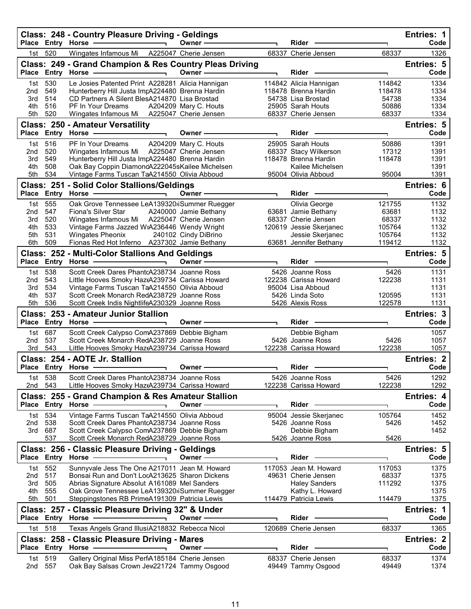|              |                   | Class: 248 - Country Pleasure Driving - Geldings<br>Place Entry Horse -                        | Owner-                | <b>Rider</b>                                |                  | Entries: 1<br>Code        |
|--------------|-------------------|------------------------------------------------------------------------------------------------|-----------------------|---------------------------------------------|------------------|---------------------------|
| 1st l        | 520               | Wingates Infamous Mi   A225047 Cherie Jensen                                                   |                       | 68337 Cherie Jensen                         | 68337            | 1326                      |
|              |                   | Class: 249 - Grand Champion & Res Country Pleas Driving<br>Place Entry Horse -                 | Owner-                | Rider                                       |                  | <b>Entries: 5</b><br>Code |
| 1st          | 530               | Le Josies Patented Print A228281 Alicia Hannigan                                               |                       | 114842 Alicia Hannigan                      | 114842           | 1334                      |
| 2nd          | 549               | Hunterberry Hill Justa ImpA224480 Brenna Hardin                                                |                       | 118478 Brenna Hardin                        | 118478           | 1334                      |
| 3rd          | 514               | CD Partners A Silent BlesA214870 Lisa Brostad                                                  |                       | 54738 Lisa Brostad                          | 54738            | 1334                      |
| 4th<br>5th   | 516<br>520        | <b>PF In Your Dreams</b><br>Wingates Infamous Mi A225047 Cherie Jensen                         | A204209 Mary C. Houts | 25905 Sarah Houts<br>68337 Cherie Jensen    | 50886<br>68337   | 1334<br>1334              |
|              |                   | <b>Class: 250 - Amateur Versatility</b>                                                        |                       |                                             |                  | Entries: 5                |
|              |                   | Place Entry Horse -                                                                            | Owner -               | Rider -                                     | ٦                | Code                      |
| 1st          | 516               | PF In Your Dreams                                                                              | A204209 Mary C. Houts | 25905 Sarah Houts                           | 50886            | 1391                      |
| 2nd          | 520               | Wingates Infamous Mi                                                                           | A225047 Cherie Jensen | 68337 Stacy Wilkerson                       | 17312            | 1391                      |
| 3rd          | 549               | Hunterberry Hill Justa ImpA224480 Brenna Hardin                                                |                       | 118478 Brenna Hardin                        | 118478           | 1391                      |
| 4th          | 508               | Oak Bay Coppin DiamondA222045sKailee Michelsen                                                 |                       | Kailee Michelsen                            |                  | 1391                      |
| 5th          | 534               | Vintage Farms Tuscan TaA214550 Olivia Abboud                                                   |                       | 95004 Olivia Abboud                         | 95004            | 1391                      |
|              |                   | Class: 251 - Solid Color Stallions/Geldings                                                    |                       |                                             |                  | Entries: 6                |
| <b>Place</b> | Entry             | Horse -                                                                                        | Owner-                | Rider                                       | ٦                | Code                      |
| 1st          | 555               | Oak Grove Tennessee LeA139320; Summer Ruegger                                                  |                       | Olivia George                               | 121755           | 1132                      |
| 2nd          | 547               | <b>Fiona's Silver Star</b>                                                                     | A240000 Jamie Bethany | 63681 Jamie Bethany                         | 63681            | 1132                      |
| 3rd          | 520<br>533        | Wingates Infamous Mi A225047 Cherie Jensen                                                     |                       | 68337 Cherie Jensen                         | 68337            | 1132<br>1132              |
| 4th<br>5th   | 531               | Vintage Farms Jazzed WiA236446 Wendy Wright<br><b>Wingates Pheonix</b>                         | 240102 Cindy DiBrino  | 120619 Jessie Skerjanec<br>Jessie Skerjanec | 105764<br>105764 | 1132                      |
| 6th          | 509               | Fionas Red Hot Inferno A237302 Jamie Bethany                                                   |                       | 63681 Jennifer Bethany                      | 119412           | 1132                      |
|              |                   |                                                                                                |                       |                                             |                  | Entries: 5                |
|              |                   | Class: 252 - Multi-Color Stallions And Geldings<br>Place Entry Horse                           | Owner-                | Rider                                       |                  | Code                      |
|              |                   |                                                                                                |                       |                                             |                  |                           |
| 1st<br>2nd   | 538<br>543        | Scott Creek Dares PhantcA238734 Joanne Ross<br>Little Hooves Smoky HaztA239734 Carissa Howard  |                       | 5426 Joanne Ross<br>122238 Carissa Howard   | 5426<br>122238   | 1131<br>1131              |
| 3rd          | 534               | Vintage Farms Tuscan TaA214550 Olivia Abboud                                                   |                       | 95004 Lisa Abboud                           |                  | 1131                      |
| 4th          | 537               | Scott Creek Monarch RedA238729 Joanne Ross                                                     |                       | 5426 Linda Soto                             | 120595           | 1131                      |
| 5th          | 536               | Scott Creek Indis NightlifeA230329 Joanne Ross                                                 |                       | 5426 Alexis Ross                            | 122578           | 1131                      |
|              |                   | <b>Class: 253 - Amateur Junior Stallion</b>                                                    |                       |                                             |                  | <b>Entries: 3</b>         |
| <b>Place</b> |                   | Entry Horse                                                                                    | Owner-                | <b>Rider</b>                                |                  | Code                      |
| 1st l        | 687               | Scott Creek Calypso ComA237869 Debbie Bigham                                                   |                       | Debbie Bigham                               |                  | 1057                      |
| 2nd          | 537               | Scott Creek Monarch RedA238729 Joanne Ross                                                     |                       | 5426 Joanne Ross                            | 5426             | 1057                      |
| 3rd          | 543               | Little Hooves Smoky HaztA239734 Carissa Howard                                                 |                       | 122238 Carissa Howard                       | 122238           | 1057                      |
|              |                   | Class: 254 - AOTE Jr. Stallion                                                                 |                       |                                             |                  | <b>Entries: 2</b>         |
|              |                   | Place Entry Horse -                                                                            | Owner-                | <b>Rider</b>                                |                  | Code                      |
|              | 1st 538           | Scott Creek Dares PhantcA238734 Joanne Ross                                                    |                       |                                             |                  |                           |
| 2nd          | 543               |                                                                                                |                       | 5426 Joanne Ross                            | 5426             | 1292                      |
|              |                   | Little Hooves Smoky HaztA239734 Carissa Howard                                                 |                       | 122238 Carissa Howard                       | 122238           | 1292                      |
|              |                   | Class: 255 - Grand Champion & Res Amateur Stallion                                             |                       |                                             |                  | Entries: 4                |
|              | Place Entry Horse |                                                                                                | Owner ·               | Rider                                       |                  | Code                      |
| 1st          | 534               | Vintage Farms Tuscan TaA214550 Olivia Abboud                                                   |                       | 95004 Jessie Skerjanec                      | 105764           | 1452                      |
| 2nd          | 538               | Scott Creek Dares PhantcA238734 Joanne Ross                                                    |                       | 5426 Joanne Ross                            | 5426             | 1452                      |
| 3rd          | 687               | Scott Creek Calypso ComA237869 Debbie Bigham                                                   |                       | Debbie Bigham                               |                  | 1452                      |
|              | 537               | Scott Creek Monarch RedA238729 Joanne Ross                                                     |                       | 5426 Joanne Ross                            | 5426             |                           |
|              |                   | Class: 256 - Classic Pleasure Driving - Geldings                                               |                       |                                             |                  | <b>Entries: 5</b>         |
|              | Place Entry Horse |                                                                                                | Owner-                | Rider                                       |                  | Code                      |
| 1st.         | 552               | Sunnyvale Jess The One A217011 Jean M. Howard                                                  |                       | 117053 Jean M. Howard                       | 117053           | 1375                      |
| 2nd          | 517               | Bonsai Run and Don't LocA213625 Sharon Dickens                                                 |                       | 49631 Cherie Jensen                         | 68337            | 1375                      |
| 3rd          | 505               | Abrias Signature Absolut A161089 Mel Sanders                                                   |                       | <b>Haley Sanders</b>                        | 111292           | 1375                      |
| 4th          | 555               | Oak Grove Tennessee LeA139320ijSummer Ruegger                                                  |                       | Kathy L. Howard                             |                  | 1375                      |
| 5th          | 501               | Steppingstones RB PrimeA191309 Patricia Lewis                                                  |                       | 114479 Patricia Lewis                       | 114479           | 1375                      |
|              | Place Entry Horse | Class: 257 - Classic Pleasure Driving 32" & Under                                              | Owner -               | Rider                                       |                  | Entries: 1<br>Code        |
| 1st.         |                   |                                                                                                |                       |                                             |                  |                           |
|              | 518               | Texas Angels Grand IllusiA218832 Rebecca Nicol                                                 |                       | 120689 Cherie Jensen                        | 68337            | 1365                      |
|              |                   | Class: 258 - Classic Pleasure Driving - Mares                                                  | Owner ·               | Rider                                       |                  | <b>Entries: 2</b><br>Code |
|              | Place Entry Horse |                                                                                                |                       |                                             |                  |                           |
| 1st<br>2nd   | 519<br>557        | Gallery Original Miss PerfA185184 Cherie Jensen<br>Oak Bay Salsas Crown Jew221724 Tammy Osgood |                       | 68337 Cherie Jensen<br>49449 Tammy Osgood   | 68337<br>49449   | 1374<br>1374              |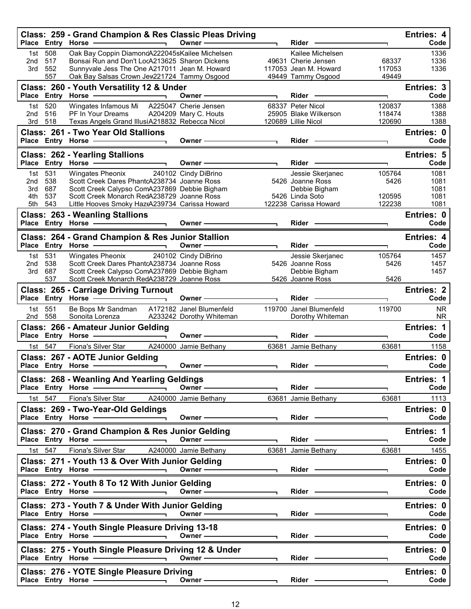|                               |                          | Class: 259 - Grand Champion & Res Classic Pleas Driving<br>Place Entry Horse -<br>$\overline{\phantom{0}}$                                                                                                                                                                       | Owner -                                                                                                                                                                                                                       | Rider                                                                                                                                                                                                                          |                            | <b>Entries: 4</b><br>Code    |
|-------------------------------|--------------------------|----------------------------------------------------------------------------------------------------------------------------------------------------------------------------------------------------------------------------------------------------------------------------------|-------------------------------------------------------------------------------------------------------------------------------------------------------------------------------------------------------------------------------|--------------------------------------------------------------------------------------------------------------------------------------------------------------------------------------------------------------------------------|----------------------------|------------------------------|
| 1st<br>2nd<br>3rd             | 508<br>517<br>552<br>557 | Oak Bay Coppin DiamondA222045sKailee Michelsen<br>Bonsai Run and Don't LocA213625 Sharon Dickens<br>Sunnyvale Jess The One A217011 Jean M. Howard<br>Oak Bay Salsas Crown Jew221724 Tammy Osgood                                                                                 |                                                                                                                                                                                                                               | Kailee Michelsen<br>49631 Cherie Jensen<br>117053 Jean M. Howard<br>49449 Tammy Osgood                                                                                                                                         | 68337<br>117053<br>49449   | 1336<br>1336<br>1336         |
|                               | Place Entry Horse        | Class: 260 - Youth Versatility 12 & Under                                                                                                                                                                                                                                        | Owner -                                                                                                                                                                                                                       | Rider -                                                                                                                                                                                                                        | ٦                          | Entries: 3<br>Code           |
| 1st<br>2 <sub>nd</sub><br>3rd | 520<br>516<br>518        | Wingates Infamous Mi<br>PF In Your Dreams<br>Texas Angels Grand IllusiA218832 Rebecca Nicol                                                                                                                                                                                      | A225047 Cherie Jensen<br>A204209 Mary C. Houts                                                                                                                                                                                | 68337 Peter Nicol<br>25905 Blake Wilkerson<br>120689 Lillie Nicol                                                                                                                                                              | 120837<br>118474<br>120690 | 1388<br>1388<br>1388         |
|                               |                          | <b>Class: 261 - Two Year Old Stallions</b><br>Place Entry Horse - The Management of the Management of the Management of the Management of the Management of                                                                                                                      | Owner —                                                                                                                                                                                                                       | Rider -                                                                                                                                                                                                                        |                            | Entries: 0<br>Code           |
|                               |                          | <b>Class: 262 - Yearling Stallions</b><br>Place Entry Horse -<br>$\blacksquare$                                                                                                                                                                                                  | Owner -                                                                                                                                                                                                                       | Rider                                                                                                                                                                                                                          |                            | <b>Entries: 5</b><br>Code    |
| 1st<br>2nd<br>3rd<br>4th      | 531<br>538<br>687<br>537 | Wingates Pheonix<br>Scott Creek Dares PhantcA238734 Joanne Ross<br>Scott Creek Calypso ComA237869 Debbie Bigham<br>Scott Creek Monarch RedA238729 Joanne Ross                                                                                                                    | 240102 Cindy DiBrino                                                                                                                                                                                                          | Jessie Skerjanec<br>5426 Joanne Ross<br>Debbie Bigham<br>5426 Linda Soto                                                                                                                                                       | 105764<br>5426<br>120595   | 1081<br>1081<br>1081<br>1081 |
| 5th                           | 543                      | Little Hooves Smoky HaztA239734 Carissa Howard<br><b>Class: 263 - Weanling Stallions</b>                                                                                                                                                                                         |                                                                                                                                                                                                                               | 122238 Carissa Howard<br>Rider -                                                                                                                                                                                               | 122238                     | 1081<br>Entries: 0<br>Code   |
|                               |                          | Class: 264 - Grand Champion & Res Junior Stallion                                                                                                                                                                                                                                | Owner-                                                                                                                                                                                                                        | Rider                                                                                                                                                                                                                          |                            | Entries: 4<br>Code           |
|                               | 1st 531                  | Place Entry Horse - and the manufacturer<br>Wingates Pheonix                                                                                                                                                                                                                     | 240102 Cindy DiBrino                                                                                                                                                                                                          | Jessie Skerjanec                                                                                                                                                                                                               | 105764                     | 1457                         |
| 2nd<br>3rd                    | 538<br>687<br>537        | Scott Creek Dares PhantcA238734 Joanne Ross<br>Scott Creek Calypso ComA237869 Debbie Bigham<br>Scott Creek Monarch RedA238729 Joanne Ross                                                                                                                                        |                                                                                                                                                                                                                               | 5426 Joanne Ross<br>Debbie Bigham<br>5426 Joanne Ross                                                                                                                                                                          | 5426<br>5426               | 1457<br>1457                 |
|                               |                          | <b>Class: 265 - Carriage Driving Turnout</b><br>Place Entry Horse -                                                                                                                                                                                                              | Owner –                                                                                                                                                                                                                       | Rider -                                                                                                                                                                                                                        |                            | <b>Entries: 2</b><br>Code    |
| 1st<br>2nd                    | 551<br>558               | Be Bops Mr Sandman<br>Sonoita Lorenza                                                                                                                                                                                                                                            | A172182 Janel Blumenfeld<br>A233242 Dorothy Whiteman                                                                                                                                                                          | 119700 Janel Blumenfeld<br>Dorothy Whiteman                                                                                                                                                                                    | 119700                     | <b>NR</b><br><b>NR</b>       |
|                               |                          | Class: 266 - Amateur Junior Gelding<br>Place Entry Horse -                                                                                                                                                                                                                       | Owner —                                                                                                                                                                                                                       | $Rider -$                                                                                                                                                                                                                      | ٦                          | Entries: 1<br>Code           |
|                               | 1st 547                  | Fiona's Silver Star<br>Class: 267 - AOTE Junior Gelding                                                                                                                                                                                                                          | A240000 Jamie Bethany                                                                                                                                                                                                         | 63681 Jamie Bethany                                                                                                                                                                                                            | 63681                      | 1158<br>Entries: 0           |
|                               |                          | Place Entry Horse -<br>$\overline{\phantom{a}}$                                                                                                                                                                                                                                  | Owner -                                                                                                                                                                                                                       | Rider                                                                                                                                                                                                                          |                            | Code                         |
|                               |                          | Class: 268 - Weanling And Yearling Geldings<br>Place Entry Horse - and the place of the state of the state of the state of the state of the state of the state of the state of the state of the state of the state of the state of the state of the state of the state of the    | $0$ wner $\longrightarrow$                                                                                                                                                                                                    |                                                                                                                                                                                                                                |                            | Entries: 1<br>Code           |
|                               | 1st 547                  | Fiona's Silver Star A240000 Jamie Bethany<br>Class: 269 - Two-Year-Old Geldings                                                                                                                                                                                                  |                                                                                                                                                                                                                               | 63681 Jamie Bethany                                                                                                                                                                                                            | 63681                      | 1113<br>Entries: 0           |
|                               |                          | Place Entry Horse - and the control of the state of the state of the state of the state of the state of the state of the state of the state of the state of the state of the state of the state of the state of the state of t                                                   | Owner - The Communication of the Communication of the Communication of the Communication of the Communication of the Communication of the Communication of the Communication of the Communication of the Communication of the | Rider —                                                                                                                                                                                                                        |                            | Code                         |
|                               |                          | Class: 270 - Grand Champion & Res Junior Gelding<br>Place Entry Horse - and the manufacturer                                                                                                                                                                                     |                                                                                                                                                                                                                               | $Rider -$                                                                                                                                                                                                                      |                            | Entries: 1<br>Code           |
|                               | 1st 547                  | Fiona's Silver Star A240000 Jamie Bethany<br>Class: 271 - Youth 13 & Over With Junior Gelding                                                                                                                                                                                    |                                                                                                                                                                                                                               | 63681 Jamie Bethany                                                                                                                                                                                                            | 63681                      | 1455<br>Entries: 0           |
|                               |                          | Place Entry Horse - and the control of the state of the state of the state of the state of the state of the state of the state of the state of the state of the state of the state of the state of the state of the state of t                                                   | Owner $\frac{3}{2}$                                                                                                                                                                                                           | Rider - The Management of the Management of the Management of the Management of the Management of the Management of the Management of the Management of the Management of the Management of the Management of the Management o |                            | Code                         |
|                               |                          | Class: 272 - Youth 8 To 12 With Junior Gelding<br>Place Entry Horse - and the manufacturer of the manufacturer of the manufacturer of the manufacturer of the manufacturer of the manufacturer of the manufacturer of the manufacturer of the manufacturer of the manufacturer o | Owner —                                                                                                                                                                                                                       | Rider ——                                                                                                                                                                                                                       |                            | Entries: 0<br>Code           |
|                               |                          | Class: 273 - Youth 7 & Under With Junior Gelding                                                                                                                                                                                                                                 |                                                                                                                                                                                                                               | Rider ———                                                                                                                                                                                                                      |                            | Entries: 0<br>Code           |
|                               |                          | Class: 274 - Youth Single Pleasure Driving 13-18<br>Place Entry Horse — Cwner Company Company                                                                                                                                                                                    |                                                                                                                                                                                                                               | Rider —                                                                                                                                                                                                                        |                            | Entries: 0<br>Code           |
|                               |                          | Class: 275 - Youth Single Pleasure Driving 12 & Under                                                                                                                                                                                                                            | Owner $\overline{\phantom{a}}$                                                                                                                                                                                                |                                                                                                                                                                                                                                |                            | Entries: 0<br>Code           |
|                               |                          | Class: 276 - YOTE Single Pleasure Driving                                                                                                                                                                                                                                        | Owner ——————                                                                                                                                                                                                                  | Rider ————                                                                                                                                                                                                                     |                            | Entries: 0<br>Code           |
|                               |                          |                                                                                                                                                                                                                                                                                  |                                                                                                                                                                                                                               |                                                                                                                                                                                                                                |                            |                              |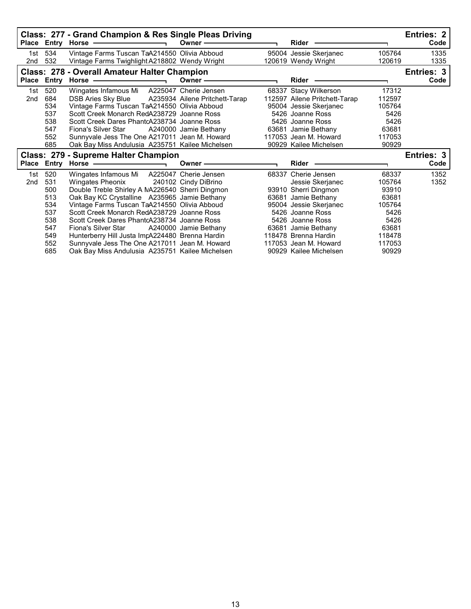|                        |                                                                           | Class: 277 - Grand Champion & Res Single Pleas Driving<br>Place Entry Horse -                                                                                                                                                                                                                                                                                                                                                                                                                | Owner $-\!\!\!-\!\!\!-$                                 | Rider                                                                                                                                                                                                                                                      |                                                                                                   | <b>Entries: 2</b><br>Code |
|------------------------|---------------------------------------------------------------------------|----------------------------------------------------------------------------------------------------------------------------------------------------------------------------------------------------------------------------------------------------------------------------------------------------------------------------------------------------------------------------------------------------------------------------------------------------------------------------------------------|---------------------------------------------------------|------------------------------------------------------------------------------------------------------------------------------------------------------------------------------------------------------------------------------------------------------------|---------------------------------------------------------------------------------------------------|---------------------------|
| 1st<br>2nd             | 534<br>532                                                                | Vintage Farms Tuscan TaA214550 Olivia Abboud<br>Vintage Farms Twighlight A218802 Wendy Wright                                                                                                                                                                                                                                                                                                                                                                                                |                                                         | 95004 Jessie Skerjanec<br>120619 Wendy Wright                                                                                                                                                                                                              | 105764<br>120619                                                                                  | 1335<br>1335              |
|                        | Place Entry                                                               | <b>Class: 278 - Overall Amateur Halter Champion</b><br>Horse -<br><u> The Common Section of the Common Section of the Common Section of the Common Section of the Common Section of the Common Section of the Common Section of the Common Section of the Common Section of the Common Section of </u>                                                                                                                                                                                       | Owner $-\!\!\!-\!\!\!-$                                 | <b>Rider</b>                                                                                                                                                                                                                                               |                                                                                                   | <b>Entries: 3</b><br>Code |
| 1st<br>2 <sub>nd</sub> | 520<br>684<br>534<br>537<br>538<br>547<br>552<br>685                      | Wingates Infamous Mi A225047 Cherie Jensen<br>DSB Aries Sky Blue<br>Vintage Farms Tuscan TaA214550 Olivia Abboud<br>Scott Creek Monarch RedA238729 Joanne Ross<br>Scott Creek Dares PhantcA238734 Joanne Ross<br>Fiona's Silver Star<br>Sunnyvale Jess The One A217011 Jean M. Howard<br>Oak Bay Miss Andulusia A235751 Kailee Michelsen                                                                                                                                                     | A235934 Ailene Pritchett-Tarap<br>A240000 Jamie Bethany | 68337 Stacy Wilkerson<br>112597 Ailene Pritchett-Tarap<br>95004 Jessie Skerjanec<br>5426 Joanne Ross<br>5426 Joanne Ross<br>63681 Jamie Bethany<br>117053 Jean M. Howard<br>90929 Kailee Michelsen                                                         | 17312<br>112597<br>105764<br>5426<br>5426<br>63681<br>117053<br>90929                             |                           |
|                        | Place Entry                                                               | Class: 279 - Supreme Halter Champion<br>Horse $\longrightarrow$                                                                                                                                                                                                                                                                                                                                                                                                                              | Owner —                                                 | Rider                                                                                                                                                                                                                                                      |                                                                                                   | Entries: 3<br>Code        |
| 1st<br>2 <sub>nd</sub> | 520<br>531<br>500<br>513<br>534<br>537<br>538<br>547<br>549<br>552<br>685 | Wingates Infamous Mi A225047 Cherie Jensen<br>Wingates Pheonix<br>Double Treble Shirley A NA226540 Sherri Dingmon<br>Oak Bay KC Crystalline A235965 Jamie Bethany<br>Vintage Farms Tuscan TaA214550 Olivia Abboud<br>Scott Creek Monarch RedA238729 Joanne Ross<br>Scott Creek Dares PhantcA238734 Joanne Ross<br>Fiona's Silver Star<br>Hunterberry Hill Justa ImpA224480 Brenna Hardin<br>Sunnyvale Jess The One A217011 Jean M. Howard<br>Oak Bay Miss Andulusia A235751 Kailee Michelsen | 240102 Cindy DiBrino<br>A240000 Jamie Bethany           | 68337 Cherie Jensen<br>Jessie Skerjanec<br>93910 Sherri Dingmon<br>63681 Jamie Bethany<br>95004 Jessie Skerjanec<br>5426 Joanne Ross<br>5426 Joanne Ross<br>63681 Jamie Bethany<br>118478 Brenna Hardin<br>117053 Jean M. Howard<br>90929 Kailee Michelsen | 68337<br>105764<br>93910<br>63681<br>105764<br>5426<br>5426<br>63681<br>118478<br>117053<br>90929 | 1352<br>1352              |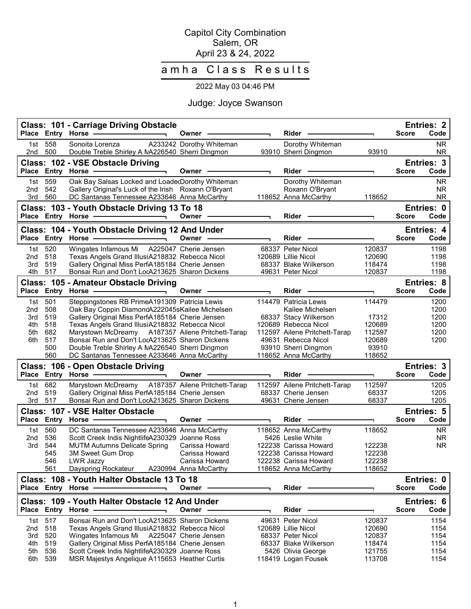### Capitol City Combination Salem, OR April 23 & 24, 2022

# amha Class Results

# 2022 May 03 04:46 PM

# Judge: Joyce Swanson

|                 |                   | <b>Class: 101 - Carriage Driving Obstacle</b><br>Place Entry Horse -                                                                               | Owner -                  | Rider                                     |                  | <b>Score</b> | <b>Entries: 2</b><br>Code |
|-----------------|-------------------|----------------------------------------------------------------------------------------------------------------------------------------------------|--------------------------|-------------------------------------------|------------------|--------------|---------------------------|
| 1st<br>2nd      | 558<br>500        | Sonoita Lorenza<br>Double Treble Shirley A NA226540 Sherri Dingmon                                                                                 | A233242 Dorothy Whiteman | Dorothy Whiteman<br>93910 Sherri Dingmon  | 93910            |              | <b>NR</b><br><b>NR</b>    |
|                 |                   | Class: 102 - VSE Obstacle Driving<br>Place Entry Horse - The Management of the Management of the Management of the Management of the Management of | Owner -                  | Rider ———                                 |                  | <b>Score</b> | Entries: 3<br>Code        |
| 1st l<br>2nd    | 559<br>542        | Oak Bay Salsas Locked and LoadecDorothy Whiteman<br>Gallery Original's Luck of the Irish Roxann O'Bryant                                           |                          | Dorothy Whiteman<br>Roxann O'Bryant       |                  |              | <b>NR</b><br><b>NR</b>    |
|                 | 3rd 560           | DC Santanas Tennessee A233646 Anna McCarthy<br>Class: 103 - Youth Obstacle Driving 13 To 18                                                        |                          | 118652 Anna McCarthy                      | 118652           |              | <b>NR</b><br>Entries: 0   |
|                 |                   | Place Entry Horse ————————————————————                                                                                                             | Owner —                  | Rider -                                   |                  | <b>Score</b> | Code                      |
|                 |                   | Class: 104 - Youth Obstacle Driving 12 And Under                                                                                                   |                          |                                           |                  |              | <b>Entries: 4</b>         |
|                 | Place Entry Horse | $\overline{\phantom{a}}$                                                                                                                           | Owner                    | Rider                                     |                  | <b>Score</b> | Code                      |
| 1st l           | 520               | Wingates Infamous Mi A225047 Cherie Jensen                                                                                                         |                          | 68337 Peter Nicol                         | 120837           |              | 1198                      |
| 2nd             | 518               | Texas Angels Grand IllusiA218832 Rebecca Nicol                                                                                                     |                          | 120689 Lillie Nicol                       | 120690           |              | 1198                      |
| 3rd             | 519               | Gallery Original Miss PerfA185184 Cherie Jensen                                                                                                    |                          | 68337 Blake Wilkerson                     | 118474           |              | 1198                      |
|                 | 4th 517           | Bonsai Run and Don't LocA213625 Sharon Dickens                                                                                                     |                          | 49631 Peter Nicol                         | 120837           |              | 1198                      |
|                 |                   | Class: 105 - Amateur Obstacle Driving                                                                                                              |                          |                                           |                  |              | <b>Entries: 8</b>         |
|                 |                   | Place Entry Horse - The Management of the Management of the Management of the Management of the Management of<br>$\overline{\phantom{0}}$          | Owner -                  | <b>Rider</b>                              |                  | <b>Score</b> | Code                      |
| 1st             | 501               | Steppingstones RB PrimeA191309 Patricia Lewis                                                                                                      |                          | 114479 Patricia Lewis                     | 114479           |              | 1200                      |
| 2nd             | 508               | Oak Bay Coppin DiamondA222045sKailee Michelsen                                                                                                     |                          | Kailee Michelsen                          |                  |              | 1200                      |
| 3rd             | 519               | Gallery Original Miss PerfA185184 Cherie Jensen                                                                                                    |                          | 68337 Stacy Wilkerson                     | 17312            |              | 1200                      |
| 4th             | 518               | Texas Angels Grand IllusiA218832 Rebecca Nicol                                                                                                     |                          | 120689 Rebecca Nicol                      | 120689           |              | 1200                      |
| 5th             | 682               | Marystown McDreamy A187357 Ailene Pritchett-Tarap                                                                                                  |                          | 112597 Ailene Pritchett-Tarap             | 112597           |              | 1200                      |
| 6th             | 517               | Bonsai Run and Don't LocA213625 Sharon Dickens                                                                                                     |                          | 49631 Rebecca Nicol                       | 120689           |              | 1200                      |
|                 | 500               | Double Treble Shirley A NA226540 Sherri Dingmon                                                                                                    |                          | 93910 Sherri Dingmon                      | 93910            |              |                           |
|                 |                   |                                                                                                                                                    |                          |                                           |                  |              |                           |
|                 | 560               | DC Santanas Tennessee A233646 Anna McCarthy                                                                                                        |                          | 118652 Anna McCarthy                      | 118652           |              |                           |
|                 |                   | Class: 106 - Open Obstacle Driving                                                                                                                 |                          |                                           |                  |              | Entries: 3                |
|                 |                   | Place Entry Horse - and the manufacturer                                                                                                           | Owner -                  | Rider                                     |                  | <b>Score</b> | Code                      |
| 1st             | 682               | Marystown McDreamy A187357 Ailene Pritchett-Tarap                                                                                                  |                          | 112597 Ailene Pritchett-Tarap             | 112597           |              | 1205                      |
| 2nd             | 519               | Gallery Original Miss PerfA185184 Cherie Jensen                                                                                                    |                          | 68337 Cherie Jensen                       | 68337            |              | 1205                      |
| 3rd             | 517               | Bonsai Run and Don't LocA213625 Sharon Dickens                                                                                                     |                          | 49631 Cherie Jensen                       | 68337            |              | 1205                      |
|                 |                   | Class: 107 - VSE Halter Obstacle                                                                                                                   |                          |                                           |                  |              | <b>Entries: 5</b>         |
|                 |                   |                                                                                                                                                    | Owner -                  | Rider                                     |                  | <b>Score</b> | Code                      |
| 1st             | 560               | DC Santanas Tennessee A233646 Anna McCarthy                                                                                                        |                          | 118652 Anna McCarthy                      | 118652           |              | <b>NR</b>                 |
| 2 <sub>nd</sub> | 536               | Scott Creek Indis NightlifeA230329 Joanne Ross                                                                                                     |                          | 5426 Leslie White                         |                  |              | <b>NR</b>                 |
| 3rd             | 544               | <b>MUTM Autumns Delicate Spring</b>                                                                                                                | Carissa Howard           | 122238 Carissa Howard                     | 122238           |              | <b>NR</b>                 |
|                 | 545               | 3M Sweet Gum Drop                                                                                                                                  | Carissa Howard           | 122238 Carissa Howard                     | 122238           |              |                           |
|                 | 546               | LWR Jazzy                                                                                                                                          | Carissa Howard           | 122238 Carissa Howard                     | 122238           |              |                           |
|                 | 561               | Dayspring Rockateur                                                                                                                                | A230994 Anna McCarthy    | 118652 Anna McCarthy                      | 118652           |              |                           |
|                 |                   | Class: 108 - Youth Halter Obstacle 13 To 18<br>Place Entry Horse                                                                                   | Owner -                  | Rider -                                   |                  | <b>Score</b> | Code                      |
|                 |                   | Class: 109 - Youth Halter Obstacle 12 And Under                                                                                                    |                          |                                           |                  |              | Entries: 0<br>Entries: 6  |
|                 |                   | Place Entry Horse                                                                                                                                  | Owner -                  | Rider                                     |                  | <b>Score</b> | Code                      |
|                 | 1st 517           | Bonsai Run and Don't LocA213625 Sharon Dickens                                                                                                     |                          | 49631 Peter Nicol                         | 120837           |              | 1154                      |
| 2nd             | 518               | Texas Angels Grand IllusiA218832 Rebecca Nicol                                                                                                     |                          | 120689 Lillie Nicol                       | 120690           |              | 1154                      |
| 3rd             | 520               | Wingates Infamous Mi A225047 Cherie Jensen                                                                                                         |                          | 68337 Peter Nicol                         | 120837           |              | 1154                      |
| 4th             | 519               | Gallery Original Miss PerfA185184 Cherie Jensen                                                                                                    |                          | 68337 Blake Wilkerson                     | 118474           |              | 1154                      |
| 5th<br>6th      | 536<br>539        | Scott Creek Indis NightlifeA230329 Joanne Ross<br>MSR Majestys Angelique A115653 Heather Curtis                                                    |                          | 5426 Olivia George<br>118419 Logan Fousek | 121755<br>113708 |              | 1154<br>1154              |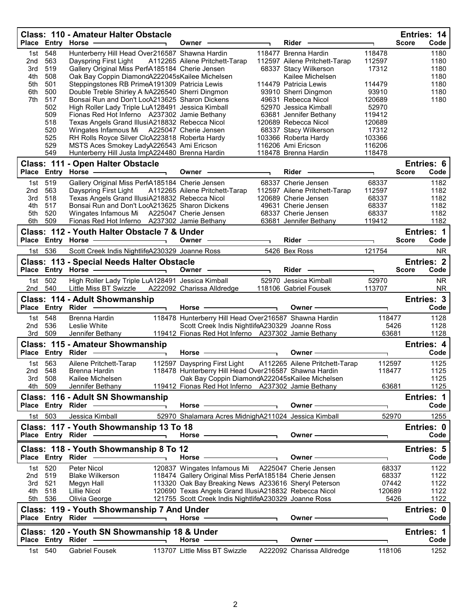|                |                   | <b>Class: 110 - Amateur Halter Obstacle</b><br>Place Entry Horse -                                                                                                                                                                                                                                                                                                                                                                                      | ┑. | Owner -                                                                                                                                                                                                                        |                          | Rider                                                 |                | Entries: 14<br><b>Score</b><br>Code              |
|----------------|-------------------|---------------------------------------------------------------------------------------------------------------------------------------------------------------------------------------------------------------------------------------------------------------------------------------------------------------------------------------------------------------------------------------------------------------------------------------------------------|----|--------------------------------------------------------------------------------------------------------------------------------------------------------------------------------------------------------------------------------|--------------------------|-------------------------------------------------------|----------------|--------------------------------------------------|
| 1st            | 548               | Hunterberry Hill Head Over216587 Shawna Hardin                                                                                                                                                                                                                                                                                                                                                                                                          |    |                                                                                                                                                                                                                                |                          | 118477 Brenna Hardin                                  | 118478         | 1180                                             |
| 2nd            | 563               | Dayspring First Light                                                                                                                                                                                                                                                                                                                                                                                                                                   |    | A112265 Ailene Pritchett-Tarap                                                                                                                                                                                                 |                          | 112597 Ailene Pritchett-Tarap                         | 112597         | 1180                                             |
| 3rd            | 519               | Gallery Original Miss PerfA185184 Cherie Jensen                                                                                                                                                                                                                                                                                                                                                                                                         |    |                                                                                                                                                                                                                                |                          | 68337 Stacy Wilkerson                                 | 17312          | 1180                                             |
| 4th            | 508               | Oak Bay Coppin DiamondA222045sKailee Michelsen                                                                                                                                                                                                                                                                                                                                                                                                          |    |                                                                                                                                                                                                                                |                          | Kailee Michelsen                                      |                | 1180                                             |
| 5th            | 501               | Steppingstones RB PrimeA191309 Patricia Lewis                                                                                                                                                                                                                                                                                                                                                                                                           |    |                                                                                                                                                                                                                                |                          | 114479 Patricia Lewis                                 | 114479         | 1180                                             |
| 6th            | 500               | Double Treble Shirley A NA226540 Sherri Dingmon                                                                                                                                                                                                                                                                                                                                                                                                         |    |                                                                                                                                                                                                                                |                          | 93910 Sherri Dingmon                                  | 93910          | 1180                                             |
| 7th            | 517               | Bonsai Run and Don't LocA213625 Sharon Dickens                                                                                                                                                                                                                                                                                                                                                                                                          |    |                                                                                                                                                                                                                                |                          | 49631 Rebecca Nicol                                   | 120689         | 1180                                             |
|                | 502               | High Roller Lady Triple LuA128491 Jessica Kimball                                                                                                                                                                                                                                                                                                                                                                                                       |    |                                                                                                                                                                                                                                |                          | 52970 Jessica Kimball                                 | 52970          |                                                  |
|                | 509               | Fionas Red Hot Inferno A237302 Jamie Bethany                                                                                                                                                                                                                                                                                                                                                                                                            |    |                                                                                                                                                                                                                                |                          | 63681 Jennifer Bethany                                | 119412         |                                                  |
|                | 518               | Texas Angels Grand IllusiA218832 Rebecca Nicol                                                                                                                                                                                                                                                                                                                                                                                                          |    |                                                                                                                                                                                                                                |                          | 120689 Rebecca Nicol                                  | 120689         |                                                  |
|                | 520               | Wingates Infamous Mi A225047 Cherie Jensen                                                                                                                                                                                                                                                                                                                                                                                                              |    |                                                                                                                                                                                                                                |                          | 68337 Stacy Wilkerson                                 | 17312          |                                                  |
|                | 525               | RH Rolls Royce Silver ClcA223818 Roberta Hardy                                                                                                                                                                                                                                                                                                                                                                                                          |    |                                                                                                                                                                                                                                |                          | 103366 Roberta Hardy                                  | 103366         |                                                  |
|                | 529               | MSTS Aces Smokey LadyA226543 Ami Ericson                                                                                                                                                                                                                                                                                                                                                                                                                |    |                                                                                                                                                                                                                                |                          | 116206 Ami Ericson                                    | 116206         |                                                  |
|                | 549               | Hunterberry Hill Justa ImpA224480 Brenna Hardin                                                                                                                                                                                                                                                                                                                                                                                                         |    |                                                                                                                                                                                                                                |                          | 118478 Brenna Hardin                                  | 118478         |                                                  |
|                |                   | Class: 111 - Open Halter Obstacle                                                                                                                                                                                                                                                                                                                                                                                                                       |    |                                                                                                                                                                                                                                |                          |                                                       |                | Entries: 6                                       |
|                |                   | Place Entry Horse -                                                                                                                                                                                                                                                                                                                                                                                                                                     |    | Owner -                                                                                                                                                                                                                        |                          | Rider                                                 | ٦Ī.            | <b>Score</b><br>Code                             |
| 1st            | 519               | Gallery Original Miss PerfA185184 Cherie Jensen                                                                                                                                                                                                                                                                                                                                                                                                         |    |                                                                                                                                                                                                                                |                          | 68337 Cherie Jensen                                   | 68337          | 1182                                             |
| 2nd            | 563               | Dayspring First Light                                                                                                                                                                                                                                                                                                                                                                                                                                   |    | A112265 Ailene Pritchett-Tarap                                                                                                                                                                                                 |                          | 112597 Ailene Pritchett-Tarap                         | 112597         | 1182                                             |
| 3rd            | 518               | Texas Angels Grand IllusiA218832 Rebecca Nicol                                                                                                                                                                                                                                                                                                                                                                                                          |    |                                                                                                                                                                                                                                |                          | 120689 Cherie Jensen                                  | 68337          | 1182                                             |
| 4th            | 517               | Bonsai Run and Don't LocA213625 Sharon Dickens                                                                                                                                                                                                                                                                                                                                                                                                          |    |                                                                                                                                                                                                                                |                          | 49631 Cherie Jensen                                   | 68337          | 1182                                             |
| 5th            | 520               | Wingates Infamous Mi A225047 Cherie Jensen                                                                                                                                                                                                                                                                                                                                                                                                              |    |                                                                                                                                                                                                                                |                          | 68337 Cherie Jensen                                   | 68337          | 1182                                             |
| 6th            | 509               | Fionas Red Hot Inferno A237302 Jamie Bethany                                                                                                                                                                                                                                                                                                                                                                                                            |    |                                                                                                                                                                                                                                |                          | 63681 Jennifer Bethany                                | 119412         | 1182                                             |
|                |                   | Class: 112 - Youth Halter Obstacle 7 & Under                                                                                                                                                                                                                                                                                                                                                                                                            |    |                                                                                                                                                                                                                                |                          |                                                       |                | Entries: 1                                       |
|                |                   | Place Entry Horse ———————————                                                                                                                                                                                                                                                                                                                                                                                                                           |    | Owner —                                                                                                                                                                                                                        |                          | <b>Rider</b>                                          |                | Code<br><b>Score</b>                             |
|                |                   |                                                                                                                                                                                                                                                                                                                                                                                                                                                         |    |                                                                                                                                                                                                                                |                          |                                                       |                |                                                  |
|                | 1st 536           | Scott Creek Indis NightlifeA230329 Joanne Ross                                                                                                                                                                                                                                                                                                                                                                                                          |    |                                                                                                                                                                                                                                |                          | 5426 Bex Ross                                         | 121754         | <b>NR</b>                                        |
|                |                   | <b>Class: 113 - Special Needs Halter Obstacle</b>                                                                                                                                                                                                                                                                                                                                                                                                       |    |                                                                                                                                                                                                                                |                          |                                                       |                | <b>Entries: 2</b>                                |
|                |                   | Place Entry Horse - and the manufacturer                                                                                                                                                                                                                                                                                                                                                                                                                |    | Owner -                                                                                                                                                                                                                        | $\overline{\phantom{0}}$ | Rider                                                 |                | <b>Score</b><br>Code                             |
| 1st            | 502               | High Roller Lady Triple LuA128491 Jessica Kimball                                                                                                                                                                                                                                                                                                                                                                                                       |    |                                                                                                                                                                                                                                |                          | 52970 Jessica Kimball                                 | 52970          | <b>NR</b>                                        |
| 2nd            | 540               | Little Miss BT Swizzle                                                                                                                                                                                                                                                                                                                                                                                                                                  |    | A222092 Charissa Alldredge                                                                                                                                                                                                     |                          | 118106 Gabriel Fousek                                 | 113707         | NR.                                              |
|                |                   |                                                                                                                                                                                                                                                                                                                                                                                                                                                         |    |                                                                                                                                                                                                                                |                          |                                                       |                |                                                  |
|                |                   |                                                                                                                                                                                                                                                                                                                                                                                                                                                         |    |                                                                                                                                                                                                                                |                          |                                                       |                |                                                  |
|                |                   | Class: 114 - Adult Showmanship                                                                                                                                                                                                                                                                                                                                                                                                                          |    |                                                                                                                                                                                                                                |                          |                                                       |                | Entries: 3                                       |
|                |                   | Place Entry Rider -                                                                                                                                                                                                                                                                                                                                                                                                                                     |    | Horse -                                                                                                                                                                                                                        | $\overline{\phantom{0}}$ | Owner -                                               |                | Code                                             |
|                | 1st 548           | Brenna Hardin                                                                                                                                                                                                                                                                                                                                                                                                                                           |    | 118478 Hunterberry Hill Head Over216587 Shawna Hardin                                                                                                                                                                          |                          |                                                       | 118477         | 1128                                             |
| 2nd            | 536               | Leslie White                                                                                                                                                                                                                                                                                                                                                                                                                                            |    | Scott Creek Indis NightlifeA230329 Joanne Ross                                                                                                                                                                                 |                          |                                                       | 5426           | 1128                                             |
| 3rd            | 509               | Jennifer Bethany                                                                                                                                                                                                                                                                                                                                                                                                                                        |    | 119412 Fionas Red Hot Inferno A237302 Jamie Bethany                                                                                                                                                                            |                          |                                                       | 63681          | 1128                                             |
|                |                   |                                                                                                                                                                                                                                                                                                                                                                                                                                                         |    |                                                                                                                                                                                                                                |                          |                                                       |                | Entries: 4                                       |
|                |                   | <b>Class: 115 - Amateur Showmanship</b><br>Place Entry Rider ----------                                                                                                                                                                                                                                                                                                                                                                                 |    | Horse -                                                                                                                                                                                                                        | $\blacksquare$           | Owner-                                                | ٦              | Code                                             |
|                |                   |                                                                                                                                                                                                                                                                                                                                                                                                                                                         |    |                                                                                                                                                                                                                                |                          |                                                       |                |                                                  |
|                | 1st 563           | Ailene Pritchett-Tarap                                                                                                                                                                                                                                                                                                                                                                                                                                  |    | 112597 Dayspring First Light                                                                                                                                                                                                   |                          | A112265 Ailene Pritchett-Tarap                        | 112597         | 1125                                             |
| 2nd            | 548               | Brenna Hardin                                                                                                                                                                                                                                                                                                                                                                                                                                           |    |                                                                                                                                                                                                                                |                          | 118478 Hunterberry Hill Head Over216587 Shawna Hardin | 118477         | 1125                                             |
|                | 3rd 508           | Kailee Michelsen                                                                                                                                                                                                                                                                                                                                                                                                                                        |    | Oak Bay Coppin DiamondA222045sKailee Michelsen                                                                                                                                                                                 |                          |                                                       |                | 1125                                             |
|                | 4th 509           | Jennifer Bethany                                                                                                                                                                                                                                                                                                                                                                                                                                        |    | 119412 Fionas Red Hot Inferno A237302 Jamie Bethany                                                                                                                                                                            |                          |                                                       | 63681          | 1125                                             |
|                |                   | Class: 116 - Adult SN Showmanship                                                                                                                                                                                                                                                                                                                                                                                                                       |    |                                                                                                                                                                                                                                |                          |                                                       |                | Entries: 1                                       |
|                | Place Entry Rider |                                                                                                                                                                                                                                                                                                                                                                                                                                                         |    | Horse $-$                                                                                                                                                                                                                      |                          | Owner —                                               |                | Code                                             |
|                | 1st 503           | Jessica Kimball                                                                                                                                                                                                                                                                                                                                                                                                                                         |    | 52970 Shalamara Acres MidnighA211024 Jessica Kimball                                                                                                                                                                           |                          |                                                       | 52970          | 1255                                             |
|                |                   |                                                                                                                                                                                                                                                                                                                                                                                                                                                         |    |                                                                                                                                                                                                                                |                          |                                                       |                |                                                  |
|                |                   | Class: 117 - Youth Showmanship 13 To 18                                                                                                                                                                                                                                                                                                                                                                                                                 |    |                                                                                                                                                                                                                                |                          |                                                       |                |                                                  |
|                |                   | Place Entry Rider -                                                                                                                                                                                                                                                                                                                                                                                                                                     |    | Horse $-$                                                                                                                                                                                                                      |                          | Owner-                                                |                |                                                  |
|                |                   | Class: 118 - Youth Showmanship 8 To 12                                                                                                                                                                                                                                                                                                                                                                                                                  |    |                                                                                                                                                                                                                                |                          |                                                       |                |                                                  |
|                |                   |                                                                                                                                                                                                                                                                                                                                                                                                                                                         |    | Horse                                                                                                                                                                                                                          |                          | Owner -                                               |                |                                                  |
|                |                   |                                                                                                                                                                                                                                                                                                                                                                                                                                                         |    |                                                                                                                                                                                                                                |                          |                                                       |                |                                                  |
|                | 1st 520           | Peter Nicol<br><b>Blake Wilkerson</b>                                                                                                                                                                                                                                                                                                                                                                                                                   |    | 120837 Wingates Infamous Mi                                                                                                                                                                                                    |                          | A225047 Cherie Jensen                                 | 68337<br>68337 | 1122<br>1122                                     |
| 2nd 519<br>3rd | - 521             |                                                                                                                                                                                                                                                                                                                                                                                                                                                         |    | 118474 Gallery Original Miss PerfA185184 Cherie Jensen                                                                                                                                                                         |                          |                                                       | 07442          | Entries: 0<br>Code<br>Entries: 5<br>Code<br>1122 |
|                | 4th 518           | Megyn Hall<br>Lillie Nicol                                                                                                                                                                                                                                                                                                                                                                                                                              |    | 113320 Oak Bay Breaking News A233616 Sheryl Peterson<br>120690 Texas Angels Grand IllusiA218832 Rebecca Nicol                                                                                                                  |                          |                                                       | 120689         | 1122                                             |
|                | 5th 536           | Olivia George                                                                                                                                                                                                                                                                                                                                                                                                                                           |    | 121755 Scott Creek Indis NightlifeA230329 Joanne Ross                                                                                                                                                                          |                          |                                                       | 5426           |                                                  |
|                |                   |                                                                                                                                                                                                                                                                                                                                                                                                                                                         |    |                                                                                                                                                                                                                                |                          |                                                       |                | 1122                                             |
|                |                   | Class: 119 - Youth Showmanship 7 And Under                                                                                                                                                                                                                                                                                                                                                                                                              |    |                                                                                                                                                                                                                                |                          |                                                       |                | Entries: 0                                       |
|                |                   | Place Entry Rider .<br>$\overline{\phantom{a}}$ . The contract of $\overline{\phantom{a}}$ , $\overline{\phantom{a}}$ , $\overline{\phantom{a}}$ , $\overline{\phantom{a}}$ , $\overline{\phantom{a}}$ , $\overline{\phantom{a}}$ , $\overline{\phantom{a}}$ , $\overline{\phantom{a}}$ , $\overline{\phantom{a}}$ , $\overline{\phantom{a}}$ , $\overline{\phantom{a}}$ , $\overline{\phantom{a}}$ , $\overline{\phantom{a}}$ , $\overline{\phantom{a$ |    | Horse - The Management of the Management of the Management of the Management of the Management of the Management of the Management of the Management of the Management of the Management of the Management of the Management o |                          | Owner $\_\_$                                          |                | Code                                             |
|                |                   | Class: 120 - Youth SN Showmanship 18 & Under                                                                                                                                                                                                                                                                                                                                                                                                            |    |                                                                                                                                                                                                                                |                          |                                                       |                | <b>Entries: 1</b>                                |
|                | Place Entry Rider |                                                                                                                                                                                                                                                                                                                                                                                                                                                         |    | Horse -                                                                                                                                                                                                                        |                          | Owner -                                               |                |                                                  |
|                | 1st 540           | <b>Gabriel Fousek</b>                                                                                                                                                                                                                                                                                                                                                                                                                                   |    | 113707 Little Miss BT Swizzle                                                                                                                                                                                                  |                          | A222092 Charissa Alldredge                            | 118106         | Code<br>1252                                     |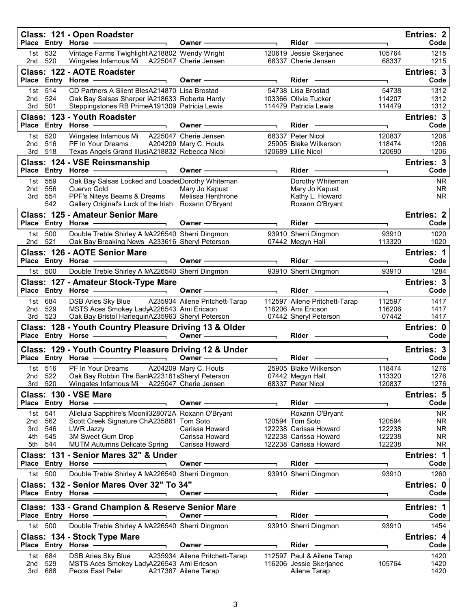|            |                   | Class: 121 - Open Roadster<br>Place Entry Horse                                             | Owner-                           |                          | Rider -                                        |                  | <b>Entries: 2</b><br>Code |
|------------|-------------------|---------------------------------------------------------------------------------------------|----------------------------------|--------------------------|------------------------------------------------|------------------|---------------------------|
| 1st        | 532<br>2nd 520    | Vintage Farms Twighlight A218802 Wendy Wright<br>Wingates Infamous Mi A225047 Cherie Jensen |                                  |                          | 120619 Jessie Skerjanec<br>68337 Cherie Jensen | 105764<br>68337  | 1215<br>1215              |
|            |                   | Class: 122 - AOTE Roadster                                                                  | Owner-                           | $\overline{\phantom{0}}$ | Rider                                          | T.               | Entries: 3<br>Code        |
| 1st        | 514               | CD Partners A Silent BlesA214870 Lisa Brostad                                               |                                  |                          | 54738 Lisa Brostad                             | 54738            | 1312                      |
| 2nd        | 524               | Oak Bay Salsas Sharper IA218633 Roberta Hardy                                               |                                  |                          | 103366 Olivia Tucker                           | 114207           | 1312                      |
| 3rd        | 501               | Steppingstones RB PrimeA191309 Patricia Lewis                                               |                                  |                          | 114479 Patricia Lewis                          | 114479           | 1312                      |
|            |                   | <b>Class: 123 - Youth Roadster</b><br>Place Entry Horse -                                   | Owner-                           |                          | Rider                                          | ┑                | Entries: 3<br>Code        |
| 1st        | 520               | Wingates Infamous Mi A225047 Cherie Jensen                                                  |                                  |                          | 68337 Peter Nicol                              | 120837           | 1206                      |
| 2nd        | 516               | PF In Your Dreams                                                                           | A204209 Mary C. Houts            |                          | 25905 Blake Wilkerson                          | 118474           | 1206                      |
| 3rd        | 518               | Texas Angels Grand IllusiA218832 Rebecca Nicol                                              |                                  |                          | 120689 Lillie Nicol                            | 120690           | 1206                      |
|            |                   | Class: 124 - VSE Reinsmanship                                                               |                                  |                          |                                                |                  | Entries: 3<br>Code        |
|            |                   | Place Entry Horse -                                                                         | Owner-                           |                          | $Rider -$                                      | ٦                |                           |
| 1st<br>2nd | 559<br>556        | Oak Bay Salsas Locked and LoadedDorothy Whiteman<br>Cuervo Gold                             | Mary Jo Kapust                   |                          | Dorothy Whiteman<br>Mary Jo Kapust             |                  | <b>NR</b><br><b>NR</b>    |
| 3rd        | 554               | PPF's Niteys Beams & Dreams                                                                 | Melissa Henthrone                |                          | Kathy L. Howard                                |                  | <b>NR</b>                 |
|            | 542               | Gallery Original's Luck of the Irish Roxann O'Bryant                                        |                                  |                          | Roxann O'Bryant                                |                  |                           |
|            |                   | <b>Class: 125 - Amateur Senior Mare</b>                                                     |                                  |                          |                                                |                  | <b>Entries: 2</b>         |
|            |                   | Place Entry Horse -                                                                         | Owner-                           |                          | Rider -                                        | ٦                | Code                      |
| 1st l      | 500               | Double Treble Shirley A NA226540 Sherri Dingmon                                             |                                  |                          | 93910 Sherri Dingmon                           | 93910            | 1020                      |
| 2nd        | 521               | Oak Bay Breaking News A233616 Sheryl Peterson                                               |                                  |                          | 07442 Megyn Hall                               | 113320           | 1020                      |
|            |                   | Class: 126 - AOTE Senior Mare                                                               |                                  |                          |                                                |                  | Entries: 1                |
|            |                   | Place Entry Horse -                                                                         | Owner-                           |                          | Rider -                                        | ٦                | Code                      |
| 1st        | 500               | Double Treble Shirley A NA226540 Sherri Dingmon                                             |                                  |                          | 93910 Sherri Dingmon                           | 93910            | 1284                      |
|            |                   | Class: 127 - Amateur Stock-Type Mare                                                        |                                  |                          |                                                |                  | Entries: 3                |
|            |                   | Place Entry Horse -<br>$\overline{\phantom{0}}$                                             | Owner-                           |                          | $Rider -$                                      | ┑                | Code                      |
| 1st        | 684               | DSB Aries Sky Blue                                                                          | A235934 Ailene Pritchett-Tarap   |                          | 112597 Ailene Pritchett-Tarap                  | 112597           | 1417                      |
| 2nd        | 529               | MSTS Aces Smokey LadyA226543 Ami Ericson                                                    |                                  |                          |                                                |                  |                           |
|            |                   |                                                                                             |                                  |                          | 116206 Ami Ericson                             | 116206           | 1417                      |
| 3rd        | 523               | Oak Bay Bristol HarlequinA235963 Sheryl Peterson                                            |                                  |                          | 07442 Sheryl Peterson                          | 07442            | 1417                      |
|            |                   | Class: 128 - Youth Country Pleasure Driving 13 & Older                                      | Owner -                          |                          | Rider - 2000                                   | E.               | Entries: 0<br>Code        |
|            |                   |                                                                                             |                                  |                          |                                                |                  |                           |
|            |                   | Class: 129 - Youth Country Pleasure Driving 12 & Under                                      | Owner $\longrightarrow$          |                          | <b>Rider</b>                                   | T.               | Entries: 3<br>Code        |
|            | 1st 516           |                                                                                             |                                  |                          |                                                | 118474           |                           |
|            | 2nd 522           | PF In Your Dreams<br>Oak Bay Robbin The Ban A223161sSheryl Peterson                         | A204209 Mary C. Houts            |                          | 25905 Blake Wilkerson<br>07442 Megyn Hall      | 113320           | 1276<br>1276              |
|            | 3rd 520           | Wingates Infamous Mi A225047 Cherie Jensen                                                  |                                  |                          | 68337 Peter Nicol                              | 120837           | 1276                      |
|            |                   | Class: 130 - VSE Mare                                                                       |                                  |                          |                                                |                  | Entries: 5                |
|            |                   | Place Entry Horse -                                                                         | Owner -                          |                          | Rider                                          |                  | Code                      |
| 1st        | 541               | Alleluia Sapphire's Moonli328072A Roxann O'Bryant                                           |                                  |                          | Roxann O'Bryant                                |                  | <b>NR</b>                 |
| 2nd        | 562               | Scott Creek Signature ChA235861 Tom Soto                                                    |                                  |                          | 120594 Tom Soto                                | 120594           | <b>NR</b>                 |
| 3rd        | 546               | LWR Jazzy                                                                                   | Carissa Howard                   |                          | 122238 Carissa Howard                          | 122238           | <b>NR</b>                 |
| 4th<br>5th | 545<br>544        | 3M Sweet Gum Drop                                                                           | Carissa Howard<br>Carissa Howard |                          | 122238 Carissa Howard<br>122238 Carissa Howard | 122238<br>122238 | <b>NR</b><br><b>NR</b>    |
|            |                   | <b>MUTM Autumns Delicate Spring</b><br>Class: 131 - Senior Mares 32" & Under                |                                  |                          |                                                |                  | Entries: 1                |
|            |                   | Place Entry Horse -                                                                         | Owner-                           |                          | Rider —                                        | ٦                | Code                      |
| 1st l      | 500               | Double Treble Shirley A NA226540 Sherri Dingmon                                             |                                  |                          | 93910 Sherri Dingmon                           | 93910            | 1260                      |
|            |                   | Class: 132 - Senior Mares Over 32" To 34"                                                   |                                  |                          |                                                |                  | Entries: 0                |
|            |                   | Place Entry Horse -                                                                         | Owner-                           |                          | Rider -                                        | ٦                | Code                      |
|            |                   | Class: 133 - Grand Champion & Reserve Senior Mare                                           |                                  |                          |                                                |                  | <b>Entries: 1</b>         |
|            | Place Entry Horse |                                                                                             | Owner -                          |                          | Rider                                          |                  | Code                      |
| 1st l      | 500               | Double Treble Shirley A NA226540 Sherri Dingmon                                             |                                  |                          | 93910 Sherri Dingmon                           | 93910            | 1454                      |
|            |                   | Class: 134 - Stock Type Mare                                                                |                                  |                          |                                                |                  | <b>Entries: 4</b>         |
|            |                   | Place Entry Horse                                                                           | Owner -                          |                          | Rider                                          |                  | Code                      |
| 1st        | 684               | <b>DSB Aries Sky Blue</b>                                                                   | A235934 Ailene Pritchett-Tarap   |                          | 112597 Paul & Ailene Tarap                     |                  | 1420                      |
| 2nd<br>3rd | 529<br>688        | MSTS Aces Smokey LadyA226543 Ami Ericson<br>Pecos East Pelar                                | A217387 Ailene Tarap             |                          | 116206 Jessie Skerjanec<br>Ailene Tarap        | 105764           | 1420<br>1420              |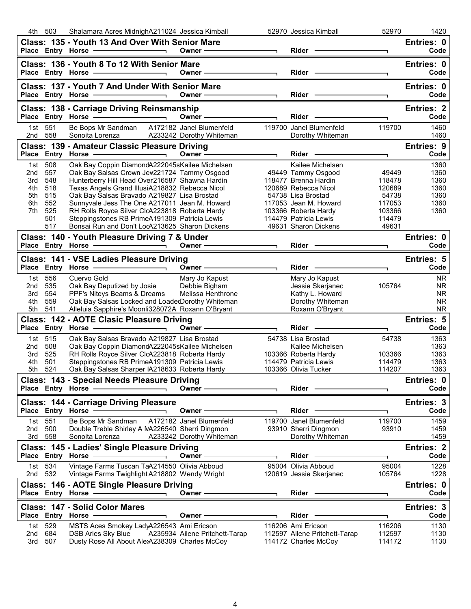| 4th -      | 503               | Shalamara Acres MidnighA211024 Jessica Kimball                                                                                                                                                                                 |                                                                                                                                                                                                                               |                | 52970 Jessica Kimball                                                                                                                                                                                                          | 52970            | 1420               |
|------------|-------------------|--------------------------------------------------------------------------------------------------------------------------------------------------------------------------------------------------------------------------------|-------------------------------------------------------------------------------------------------------------------------------------------------------------------------------------------------------------------------------|----------------|--------------------------------------------------------------------------------------------------------------------------------------------------------------------------------------------------------------------------------|------------------|--------------------|
|            |                   | Class: 135 - Youth 13 And Over With Senior Mare                                                                                                                                                                                |                                                                                                                                                                                                                               |                |                                                                                                                                                                                                                                |                  | Entries: 0         |
|            |                   |                                                                                                                                                                                                                                |                                                                                                                                                                                                                               |                |                                                                                                                                                                                                                                | T.               | Code               |
|            |                   | Class: 136 - Youth 8 To 12 With Senior Mare                                                                                                                                                                                    |                                                                                                                                                                                                                               |                |                                                                                                                                                                                                                                |                  | Entries: 0         |
|            |                   | Place Entry Horse - and the manufacturer                                                                                                                                                                                       | Owner - The Common Common Common Common Common Common Common Common Common Common Common Common Common Common Common Common Common Common Common Common Common Common Common Common Common Common Common Common Common Common |                |                                                                                                                                                                                                                                |                  | Code               |
|            |                   |                                                                                                                                                                                                                                |                                                                                                                                                                                                                               |                |                                                                                                                                                                                                                                |                  |                    |
|            |                   | Class: 137 - Youth 7 And Under With Senior Mare                                                                                                                                                                                |                                                                                                                                                                                                                               |                |                                                                                                                                                                                                                                |                  | Entries: 0         |
|            |                   | Place Entry Horse ————————————————————                                                                                                                                                                                         | Owner ————————                                                                                                                                                                                                                |                | Rider - The Management of the Management of the Management of the Management of the Management of the Management of the Management of the Management of the Management of the Management of the Management of the Management o |                  | Code               |
|            |                   | <b>Class: 138 - Carriage Driving Reinsmanship</b>                                                                                                                                                                              |                                                                                                                                                                                                                               |                |                                                                                                                                                                                                                                |                  | <b>Entries: 2</b>  |
|            |                   | Place Entry Horse - and the manufacturer                                                                                                                                                                                       | Owner $\qquad$                                                                                                                                                                                                                |                | Rider -                                                                                                                                                                                                                        |                  | Code               |
|            | 1st 551           | Be Bops Mr Sandman A172182 Janel Blumenfeld                                                                                                                                                                                    |                                                                                                                                                                                                                               |                | 119700 Janel Blumenfeld                                                                                                                                                                                                        | 119700           | 1460               |
| 2nd 558    |                   | Sonoita Lorenza A233242 Dorothy Whiteman                                                                                                                                                                                       |                                                                                                                                                                                                                               |                | Dorothy Whiteman                                                                                                                                                                                                               |                  | 1460               |
|            |                   | Class: 139 - Amateur Classic Pleasure Driving                                                                                                                                                                                  |                                                                                                                                                                                                                               |                |                                                                                                                                                                                                                                |                  | Entries: 9         |
|            |                   | Place Entry Horse - and the manufacturer                                                                                                                                                                                       | Owner ——————                                                                                                                                                                                                                  |                | Rider -                                                                                                                                                                                                                        |                  | Code               |
|            | 1st 508           | Oak Bay Coppin DiamondA222045sKailee Michelsen                                                                                                                                                                                 |                                                                                                                                                                                                                               |                | Kailee Michelsen                                                                                                                                                                                                               |                  | 1360               |
| 2nd        | 557               | Oak Bay Salsas Crown Jew221724 Tammy Osgood                                                                                                                                                                                    |                                                                                                                                                                                                                               |                | 49449 Tammy Osgood                                                                                                                                                                                                             | 49449            | 1360               |
| 3rd        | 548               | Hunterberry Hill Head Over216587 Shawna Hardin                                                                                                                                                                                 |                                                                                                                                                                                                                               |                | 118477 Brenna Hardin                                                                                                                                                                                                           | 118478           | 1360               |
| 4th        | 518               | Texas Angels Grand IllusiA218832 Rebecca Nicol                                                                                                                                                                                 |                                                                                                                                                                                                                               |                | 120689 Rebecca Nicol                                                                                                                                                                                                           | 120689           | 1360               |
| 5th        | 515               | Oak Bay Salsas Bravado A219827 Lisa Brostad                                                                                                                                                                                    |                                                                                                                                                                                                                               |                | 54738 Lisa Brostad                                                                                                                                                                                                             | 54738            | 1360               |
| 6th        | 552               | Sunnyvale Jess The One A217011 Jean M. Howard                                                                                                                                                                                  |                                                                                                                                                                                                                               |                | 117053 Jean M. Howard                                                                                                                                                                                                          | 117053           | 1360               |
| 7th        | 525               | RH Rolls Royce Silver ClcA223818 Roberta Hardy                                                                                                                                                                                 |                                                                                                                                                                                                                               |                | 103366 Roberta Hardy                                                                                                                                                                                                           | 103366           | 1360               |
|            | 501               | Steppingstones RB PrimeA191309 Patricia Lewis                                                                                                                                                                                  |                                                                                                                                                                                                                               |                | 114479 Patricia Lewis                                                                                                                                                                                                          | 114479           |                    |
|            | 517               | Bonsai Run and Don't LocA213625 Sharon Dickens                                                                                                                                                                                 |                                                                                                                                                                                                                               |                | 49631 Sharon Dickens                                                                                                                                                                                                           | 49631            |                    |
|            |                   | Class: 140 - Youth Pleasure Driving 7 & Under                                                                                                                                                                                  |                                                                                                                                                                                                                               |                |                                                                                                                                                                                                                                |                  | Entries: 0         |
|            |                   |                                                                                                                                                                                                                                | Owner - The Common Common Common Common Common Common Common Common Common Common Common Common Common Common Common Common Common Common Common Common Common Common Common Common Common Common Common Common Common Common | $\blacksquare$ | Rider - The Management of the Management of the Management of the Management of the Management of the Management of the Management of the Management of the Management of the Management of the Management of the Management o |                  | Code               |
|            |                   | Class: 141 - VSE Ladies Pleasure Driving                                                                                                                                                                                       |                                                                                                                                                                                                                               |                |                                                                                                                                                                                                                                |                  | <b>Entries: 5</b>  |
|            |                   | Place Entry Horse - and the contract of the contract of the contract of the contract of the contract of the contract of the contract of the contract of the contract of the contract of the contract of the contract of the co | Owner ————————                                                                                                                                                                                                                |                | Rider - The Management of the Management of the Management of the Management of the Management of the Management of the Management of the Management of the Management of the Management of the Management of the Management o | ┑                | Code               |
|            | 1st 556           | Cuervo Gold                                                                                                                                                                                                                    | Mary Jo Kapust                                                                                                                                                                                                                |                | Mary Jo Kapust                                                                                                                                                                                                                 |                  | <b>NR</b>          |
| 2nd        | 535               | Oak Bay Deputized by Josie                                                                                                                                                                                                     | Debbie Bigham                                                                                                                                                                                                                 |                | Jessie Skerjanec                                                                                                                                                                                                               | 105764           | <b>NR</b>          |
|            |                   |                                                                                                                                                                                                                                |                                                                                                                                                                                                                               |                |                                                                                                                                                                                                                                |                  |                    |
|            |                   |                                                                                                                                                                                                                                |                                                                                                                                                                                                                               |                |                                                                                                                                                                                                                                |                  |                    |
| 3rd        | 554               | PPF's Niteys Beams & Dreams                                                                                                                                                                                                    | Melissa Henthrone                                                                                                                                                                                                             |                | Kathy L. Howard                                                                                                                                                                                                                |                  | <b>NR</b>          |
| 4th        | 559               | Oak Bay Salsas Locked and LoadedDorothy Whiteman                                                                                                                                                                               |                                                                                                                                                                                                                               |                | Dorothy Whiteman                                                                                                                                                                                                               |                  | <b>NR</b>          |
| 5th        | 541               | Alleluia Sapphire's Moonli328072A Roxann O'Bryant                                                                                                                                                                              |                                                                                                                                                                                                                               |                | Roxann O'Bryant                                                                                                                                                                                                                |                  | <b>NR</b>          |
|            |                   | Class: 142 - AOTE Clasic Pleasure Driving                                                                                                                                                                                      |                                                                                                                                                                                                                               |                | Rider -                                                                                                                                                                                                                        |                  | Entries: 5         |
|            |                   |                                                                                                                                                                                                                                | Owner ——————                                                                                                                                                                                                                  |                |                                                                                                                                                                                                                                |                  | Code               |
| 1st l      | 515               | Oak Bay Salsas Bravado A219827 Lisa Brostad                                                                                                                                                                                    |                                                                                                                                                                                                                               |                | 54738 Lisa Brostad                                                                                                                                                                                                             | 54738            | 1363               |
| 2nd        | 508               | Oak Bay Coppin DiamondA222045sKailee Michelsen                                                                                                                                                                                 |                                                                                                                                                                                                                               |                | Kailee Michelsen                                                                                                                                                                                                               |                  | 1363               |
| 3rd        | 525               | RH Rolls Royce Silver ClcA223818 Roberta Hardy                                                                                                                                                                                 |                                                                                                                                                                                                                               |                | 103366 Roberta Hardy                                                                                                                                                                                                           | 103366           | 1363               |
| 4th        | 501               | Steppingstones RB PrimeA191309 Patricia Lewis                                                                                                                                                                                  |                                                                                                                                                                                                                               |                | 114479 Patricia Lewis                                                                                                                                                                                                          | 114479           | 1363               |
| 5th        | 524               | Oak Bay Salsas Sharper IA218633 Roberta Hardy                                                                                                                                                                                  |                                                                                                                                                                                                                               |                | 103366 Olivia Tucker                                                                                                                                                                                                           | 114207           | 1363               |
|            |                   | Class: 143 - Special Needs Pleasure Driving                                                                                                                                                                                    |                                                                                                                                                                                                                               |                |                                                                                                                                                                                                                                |                  | Entries: 0         |
|            | Place Entry Horse |                                                                                                                                                                                                                                | Owner-                                                                                                                                                                                                                        |                | Rider                                                                                                                                                                                                                          |                  | Code               |
|            |                   | <b>Class: 144 - Carriage Driving Pleasure</b>                                                                                                                                                                                  |                                                                                                                                                                                                                               |                |                                                                                                                                                                                                                                |                  | Entries: 3         |
|            |                   | Place Entry Horse -                                                                                                                                                                                                            | Owner -                                                                                                                                                                                                                       |                | Rider                                                                                                                                                                                                                          |                  | Code               |
| 1st        | 551               | Be Bops Mr Sandman                                                                                                                                                                                                             | A172182 Janel Blumenfeld                                                                                                                                                                                                      |                | 119700 Janel Blumenfeld                                                                                                                                                                                                        | 119700           | 1459               |
| 2nd        | 500               | Double Treble Shirley A NA226540 Sherri Dingmon                                                                                                                                                                                |                                                                                                                                                                                                                               |                | 93910 Sherri Dingmon                                                                                                                                                                                                           | 93910            | 1459               |
| 3rd        | 558               | Sonoita Lorenza                                                                                                                                                                                                                | A233242 Dorothy Whiteman                                                                                                                                                                                                      |                | Dorothy Whiteman                                                                                                                                                                                                               |                  | 1459               |
|            |                   | Class: 145 - Ladies' Single Pleasure Driving                                                                                                                                                                                   |                                                                                                                                                                                                                               |                |                                                                                                                                                                                                                                |                  | <b>Entries: 2</b>  |
|            | Place Entry Horse |                                                                                                                                                                                                                                | Owner -                                                                                                                                                                                                                       |                | <b>Rider</b>                                                                                                                                                                                                                   |                  | Code               |
|            | 1st 534           | Vintage Farms Tuscan TaA214550 Olivia Abboud                                                                                                                                                                                   |                                                                                                                                                                                                                               |                | 95004 Olivia Abboud                                                                                                                                                                                                            | 95004            | 1228               |
| 2nd        | 532               | Vintage Farms Twighlight A218802 Wendy Wright                                                                                                                                                                                  |                                                                                                                                                                                                                               |                | 120619 Jessie Skerjanec                                                                                                                                                                                                        | 105764           | 1228               |
|            |                   |                                                                                                                                                                                                                                |                                                                                                                                                                                                                               |                |                                                                                                                                                                                                                                |                  |                    |
|            |                   | Class: 146 - AOTE Single Pleasure Driving<br>Place Entry Horse -                                                                                                                                                               | Owner-                                                                                                                                                                                                                        |                | Rider -                                                                                                                                                                                                                        |                  | Entries: 0<br>Code |
|            |                   |                                                                                                                                                                                                                                |                                                                                                                                                                                                                               |                |                                                                                                                                                                                                                                |                  |                    |
|            |                   | Class: 147 - Solid Color Mares                                                                                                                                                                                                 |                                                                                                                                                                                                                               |                |                                                                                                                                                                                                                                |                  | Entries: 3         |
|            | Place Entry Horse |                                                                                                                                                                                                                                | Owner ·                                                                                                                                                                                                                       |                | Rider                                                                                                                                                                                                                          | ┑                | Code               |
| 1st l      | 529               | MSTS Aces Smokey LadyA226543 Ami Ericson                                                                                                                                                                                       |                                                                                                                                                                                                                               |                | 116206 Ami Ericson                                                                                                                                                                                                             | 116206           | 1130               |
| 2nd<br>3rd | 684<br>507        | <b>DSB Aries Sky Blue</b><br>Dusty Rose All About AlexA238309 Charles McCoy                                                                                                                                                    | A235934 Ailene Pritchett-Tarap                                                                                                                                                                                                |                | 112597 Ailene Pritchett-Tarap<br>114172 Charles McCoy                                                                                                                                                                          | 112597<br>114172 | 1130<br>1130       |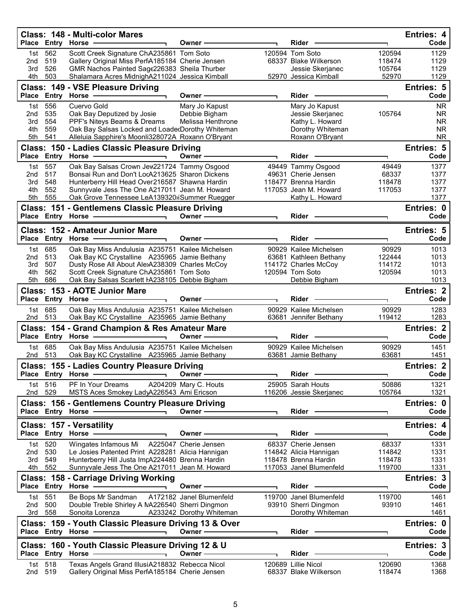|              | Place Entry Horse  | Class: 148 - Multi-color Mares                                                                    | Owner -                  | Rider                                            |                  | <b>Entries: 4</b><br>Code |
|--------------|--------------------|---------------------------------------------------------------------------------------------------|--------------------------|--------------------------------------------------|------------------|---------------------------|
| 1st          | 562                | Scott Creek Signature ChA235861 Tom Soto                                                          |                          | 120594 Tom Soto                                  | 120594           | 1129                      |
| 2nd          | 519                | Gallery Original Miss PerfA185184 Cherie Jensen                                                   |                          | 68337 Blake Wilkerson                            | 118474           | 1129                      |
| 3rd<br>4th   | 526<br>503         | GMR Nachos Painted Sage226383 Sheila Thurber<br>Shalamara Acres MidnighA211024 Jessica Kimball    |                          | Jessie Skerjanec<br>52970 Jessica Kimball        | 105764<br>52970  | 1129<br>1129              |
|              |                    | Class: 149 - VSE Pleasure Driving                                                                 |                          |                                                  |                  | Entries: 5                |
|              | Place Entry Horse  |                                                                                                   | Owner⊹                   | Rider                                            |                  | Code                      |
| 1st          | 556                | Cuervo Gold                                                                                       | Mary Jo Kapust           | Mary Jo Kapust                                   |                  | <b>NR</b>                 |
| 2nd          | 535                | Oak Bay Deputized by Josie                                                                        | Debbie Bigham            | Jessie Skerjanec                                 | 105764           | <b>NR</b>                 |
| 3rd<br>4th   | 554<br>559         | PPF's Niteys Beams & Dreams<br>Oak Bay Salsas Locked and LoadedDorothy Whiteman                   | Melissa Henthrone        | Kathy L. Howard<br>Dorothy Whiteman              |                  | <b>NR</b><br><b>NR</b>    |
| 5th          | 541                | Alleluia Sapphire's Moonli328072A Roxann O'Bryant                                                 |                          | Roxann O'Bryant                                  |                  | <b>NR</b>                 |
|              |                    | Class: 150 - Ladies Classic Pleasure Driving                                                      |                          |                                                  |                  | Entries: 5                |
| <b>Place</b> |                    | Entry Horse -                                                                                     | Owner -                  | Rider                                            |                  | Code                      |
| 1st          | 557                | Oak Bay Salsas Crown Jew221724 Tammy Osgood                                                       |                          | 49449 Tammy Osgood                               | 49449            | 1377                      |
| 2nd<br>3rd   | 517<br>548         | Bonsai Run and Don't LocA213625 Sharon Dickens<br>Hunterberry Hill Head Over216587 Shawna Hardin  |                          | 49631 Cherie Jensen<br>118477 Brenna Hardin      | 68337<br>118478  | 1377<br>1377              |
| 4th          | 552                | Sunnyvale Jess The One A217011 Jean M. Howard                                                     |                          | 117053 Jean M. Howard                            | 117053           | 1377                      |
| 5th          | 555                | Oak Grove Tennessee LeA139320ijSummer Ruegger                                                     |                          | Kathy L. Howard                                  |                  | 1377                      |
|              |                    | Class: 151 - Gentlemens Classic Pleasure Driving                                                  |                          |                                                  |                  | Entries: 0                |
|              |                    | Place Entry Horse -                                                                               | Owner-                   | Rider -                                          |                  | Code                      |
|              |                    | Class: 152 - Amateur Junior Mare                                                                  |                          |                                                  |                  | <b>Entries: 5</b>         |
|              | Place Entry Horse  |                                                                                                   | <b>Owner</b>             | Rider                                            |                  | Code                      |
| 2nd          | 1st 685<br>513     | Oak Bay Miss Andulusia A235751 Kailee Michelsen<br>Oak Bay KC Crystalline A235965 Jamie Bethany   |                          | 90929 Kailee Michelsen<br>63681 Kathleen Bethany | 90929<br>122444  | 1013<br>1013              |
| 3rd          | 507                | Dusty Rose All About AlexA238309 Charles McCoy                                                    |                          | 114172 Charles McCoy                             | 114172           | 1013                      |
| 4th          | 562                | Scott Creek Signature ChA235861 Tom Soto                                                          |                          | 120594 Tom Soto                                  | 120594           | 1013                      |
| 5th          | 686                | Oak Bay Salsas Scarlett HA238105 Debbie Bigham                                                    |                          | Debbie Bigham                                    |                  | 1013                      |
|              | Place Entry Horse  | Class: 153 - AOTE Junior Mare                                                                     | Owner -                  | Rider                                            |                  | <b>Entries: 2</b><br>Code |
| 1st<br>2nd   | 685<br>513         | Oak Bay Miss Andulusia A235751 Kailee Michelsen<br>Oak Bay KC Crystalline A235965 Jamie Bethany   |                          | 90929 Kailee Michelsen<br>63681 Jennifer Bethany | 90929<br>119412  | 1283<br>1283              |
|              |                    | Class: 154 - Grand Champion & Res Amateur Mare                                                    |                          |                                                  |                  | <b>Entries: 2</b>         |
| <b>Place</b> | <b>Entry Horse</b> |                                                                                                   | Owner -                  | Rider                                            | ٦                | Code                      |
| 1st<br>2nd   | 685<br>513         | Oak Bay Miss Andulusia A235751 Kailee Michelsen<br>Oak Bay KC Crystalline A235965 Jamie Bethany   |                          | 90929 Kailee Michelsen<br>63681 Jamie Bethany    | 90929<br>63681   | 1451<br>1451              |
|              |                    |                                                                                                   |                          |                                                  |                  | <b>Entries: 2</b>         |
|              | Place Entry Horse  | <b>Class: 155 - Ladies Country Pleasure Driving</b>                                               | Owner -                  | Rider                                            |                  | Code                      |
| 1st l        | 516                | PF In Your Dreams                                                                                 | A204209 Mary C. Houts    | 25905 Sarah Houts                                | 50886            | 1321                      |
| 2nd          | 529                | MSTS Aces Smokey LadyA226543 Ami Ericson                                                          |                          | 116206 Jessie Skerjanec                          | 105764           | 1321                      |
|              |                    | <b>Class: 156 - Gentlemens Country Pleasure Driving</b>                                           |                          |                                                  |                  | Entries: 0                |
|              | Place Entry Horse  |                                                                                                   | Owner-                   | Rider                                            |                  | Code                      |
|              |                    | <b>Class: 157 - Versatility</b>                                                                   |                          |                                                  |                  | Entries: 4                |
|              |                    | Place Entry Horse                                                                                 | Owner -                  | Rider                                            | ٦                | Code                      |
| 1st<br>2nd   | 520<br>530         | Wingates Infamous Mi<br>Le Josies Patented Print A228281 Alicia Hannigan                          | A225047 Cherie Jensen    | 68337 Cherie Jensen<br>114842 Alicia Hannigan    | 68337<br>114842  | 1331<br>1331              |
| 3rd          | 549                | Hunterberry Hill Justa ImpA224480 Brenna Hardin                                                   |                          | 118478 Brenna Hardin                             | 118478           | 1331                      |
| 4th          | 552                | Sunnyvale Jess The One A217011 Jean M. Howard                                                     |                          | 117053 Janel Blumenfeld                          | 119700           | 1331                      |
|              |                    | <b>Class: 158 - Carriage Driving Working</b>                                                      | Owner -                  | Rider                                            |                  | Entries: 3<br>Code        |
| 1st l        | 551                | Be Bops Mr Sandman                                                                                | A172182 Janel Blumenfeld | 119700 Janel Blumenfeld                          | 119700           | 1461                      |
| 2nd<br>3rd   | 500<br>558         | Double Treble Shirley A NA226540 Sherri Dingmon<br>Sonoita Lorenza                                | A233242 Dorothy Whiteman | 93910 Sherri Dingmon<br>Dorothy Whiteman         | 93910            | 1461<br>1461              |
|              | Place Entry Horse  | Class: 159 - Youth Classic Pleasure Driving 13 & Over                                             | Owner-                   | Rider                                            |                  | Entries: 0<br>Code        |
|              |                    |                                                                                                   |                          |                                                  |                  |                           |
|              |                    | Class: 160 - Youth Classic Pleasure Driving 12 & U<br>Place Entry Horse                           | Owner-                   | Rider                                            | ٦                | Entries: 3<br>Code        |
| 1st<br>2nd   | 518<br>519         | Texas Angels Grand IllusiA218832 Rebecca Nicol<br>Gallery Original Miss PerfA185184 Cherie Jensen |                          | 120689 Lillie Nicol<br>68337 Blake Wilkerson     | 120690<br>118474 | 1368<br>1368              |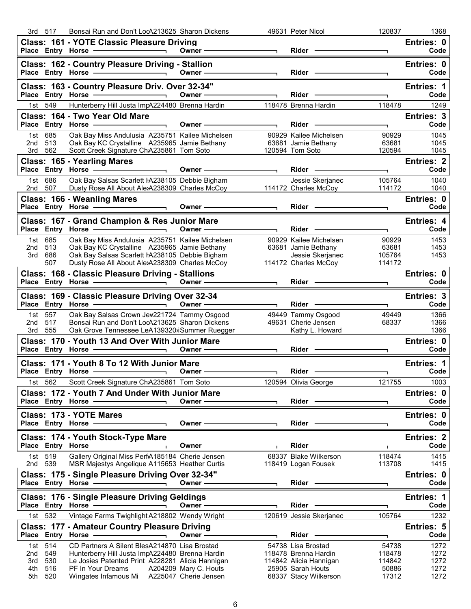|                   | 3rd 517           | Bonsai Run and Don't LocA213625 Sharon Dickens                                                                                                                                                                                                                               |                                                                                                                                                                                                                               |                          | 49631 Peter Nicol                                                    | 120837                             | 1368                      |
|-------------------|-------------------|------------------------------------------------------------------------------------------------------------------------------------------------------------------------------------------------------------------------------------------------------------------------------|-------------------------------------------------------------------------------------------------------------------------------------------------------------------------------------------------------------------------------|--------------------------|----------------------------------------------------------------------|------------------------------------|---------------------------|
|                   |                   | Class: 161 - YOTE Classic Pleasure Driving<br>Place Entry Horse - The Contract of the Contract of the Contract of the Contract of the Contract of the Contract of the Contract of the Contract of the Contract of the Contract of the Contract of the Contract of the Contra |                                                                                                                                                                                                                               |                          | Rider - 2000                                                         | $\overline{\phantom{0}}$           | Entries: 0<br>Code        |
|                   |                   | Class: 162 - Country Pleasure Driving - Stallion<br>Place Entry Horse - 2008                                                                                                                                                                                                 | Owner ——————                                                                                                                                                                                                                  |                          | Rider <b>Constanting Constructs</b>                                  |                                    | Entries: 0<br>Code        |
|                   |                   | Class: 163 - Country Pleasure Driv. Over 32-34"<br>Place Entry Horse - 2000                                                                                                                                                                                                  |                                                                                                                                                                                                                               | $\blacksquare$           | $Rider -$                                                            | ┑                                  | Entries: 1<br>Code        |
|                   | 1st 549           | Hunterberry Hill Justa ImpA224480 Brenna Hardin 118478 Brenna Hardin                                                                                                                                                                                                         |                                                                                                                                                                                                                               |                          |                                                                      | 118478                             | 1249                      |
|                   |                   | Class: 164 - Two Year Old Mare                                                                                                                                                                                                                                               |                                                                                                                                                                                                                               |                          |                                                                      |                                    | Entries: 3                |
|                   |                   | Place Entry Horse - The Management of the Management of the Management of the Management of the Management of<br>$\overline{\phantom{0}}$                                                                                                                                    | Owner —                                                                                                                                                                                                                       | $\overline{\phantom{a}}$ | Rider <b>Container Container</b>                                     | $\overline{\phantom{0}}$           | Code                      |
| 2nd 513           | 1st 685           | Oak Bay Miss Andulusia A235751 Kailee Michelsen<br>Oak Bay KC Crystalline A235965 Jamie Bethany                                                                                                                                                                              |                                                                                                                                                                                                                               |                          | 90929 Kailee Michelsen<br>63681 Jamie Bethany                        | 90929<br>63681                     | 1045<br>1045              |
|                   | 3rd 562           | Scott Creek Signature ChA235861 Tom Soto                                                                                                                                                                                                                                     |                                                                                                                                                                                                                               | 120594 Tom Soto          |                                                                      | 120594                             | 1045                      |
|                   |                   | Class: 165 - Yearling Mares<br>Place Entry Horse <u>Communication</u> Owner —                                                                                                                                                                                                |                                                                                                                                                                                                                               | $\overline{\phantom{a}}$ | Rider ———                                                            |                                    | <b>Entries: 2</b><br>Code |
|                   | 1st 686           | Oak Bay Salsas Scarlett HA238105 Debbie Bigham                                                                                                                                                                                                                               |                                                                                                                                                                                                                               |                          | Jessie Skerjanec                                                     | $\overline{\phantom{0}}$<br>105764 | 1040                      |
| 2nd 507           |                   | Dusty Rose All About AlexA238309 Charles McCoy 114172 Charles McCoy                                                                                                                                                                                                          |                                                                                                                                                                                                                               |                          |                                                                      | 114172                             | 1040                      |
|                   |                   | Class: 166 - Weanling Mares<br>Place Entry Horse <u>Communication</u> Owner Communication                                                                                                                                                                                    |                                                                                                                                                                                                                               |                          |                                                                      | $\mathbf{\mathsf{L}}$              | Entries: 0<br>Code        |
|                   |                   | Class: 167 - Grand Champion & Res Junior Mare                                                                                                                                                                                                                                |                                                                                                                                                                                                                               |                          |                                                                      |                                    | Entries: 4                |
|                   |                   | Place Entry Horse — in the Owner — owner —                                                                                                                                                                                                                                   |                                                                                                                                                                                                                               |                          | Rider -                                                              | ┑                                  | Code                      |
| 2nd 513           | 1st 685           | Oak Bay Miss Andulusia A235751 Kailee Michelsen<br>Oak Bay KC Crystalline A235965 Jamie Bethany                                                                                                                                                                              |                                                                                                                                                                                                                               |                          | 90929 Kailee Michelsen<br>63681 Jamie Bethany                        | 90929<br>63681                     | 1453<br>1453              |
| 3rd               | 686               | Oak Bay Salsas Scarlett HA238105 Debbie Bigham                                                                                                                                                                                                                               |                                                                                                                                                                                                                               |                          | Jessie Skerjanec                                                     | 105764                             | 1453                      |
|                   | 507               | Dusty Rose All About AlexA238309 Charles McCoy                                                                                                                                                                                                                               |                                                                                                                                                                                                                               |                          | 114172 Charles McCoy                                                 | 114172                             |                           |
|                   |                   | Class: 168 - Classic Pleasure Driving - Stallions                                                                                                                                                                                                                            |                                                                                                                                                                                                                               |                          | Rider —                                                              |                                    | Entries: 0<br>Code        |
|                   |                   | Class: 169 - Classic Pleasure Driving Over 32-34<br>Place Entry Horse - The Control of The Control of The Control of The Control of The Control of The Control of                                                                                                            | Owner $\longrightarrow$                                                                                                                                                                                                       |                          |                                                                      | ┑                                  | Entries: 3<br>Code        |
|                   |                   |                                                                                                                                                                                                                                                                              |                                                                                                                                                                                                                               |                          |                                                                      |                                    |                           |
| 2nd               | 1st 557<br>517    | Oak Bay Salsas Crown Jew221724 Tammy Osgood<br>Bonsai Run and Don't LocA213625 Sharon Dickens                                                                                                                                                                                |                                                                                                                                                                                                                               |                          | 49449 Tammy Osgood<br>49631 Cherie Jensen                            | 49449<br>68337                     | 1366<br>1366              |
|                   | 3rd 555           | Oak Grove Tennessee LeA139320iSummer Ruegger<br>Class: 170 - Youth 13 And Over With Junior Mare                                                                                                                                                                              |                                                                                                                                                                                                                               |                          | Kathy L. Howard                                                      |                                    | 1366<br>Entries: 0        |
|                   |                   | Place Entry Horse - The Contract of the Contract of the Contract of the Contract of the Contract of the Contract of the Contract of the Contract of the Contract of the Contract of the Contract of the Contract of the Contra                                               | Owner $\longrightarrow$                                                                                                                                                                                                       |                          | Rider -                                                              |                                    | Code                      |
|                   |                   | Class: 171 - Youth 8 To 12 With Junior Mare                                                                                                                                                                                                                                  |                                                                                                                                                                                                                               |                          |                                                                      |                                    | Entries: 1                |
|                   | 1st 562           | Place Entry Horse <b>Constant Construct Construct</b> Owner -<br>Scott Creek Signature ChA235861 Tom Soto                                                                                                                                                                    |                                                                                                                                                                                                                               |                          | Rider -<br>120594 Olivia George                                      | 121755                             | Code<br>1003              |
|                   |                   | Class: 172 - Youth 7 And Under With Junior Mare                                                                                                                                                                                                                              |                                                                                                                                                                                                                               |                          |                                                                      |                                    | Entries: 0                |
|                   |                   | Place Entry Horse - Alleman Marson<br>$\overline{\phantom{0}}$                                                                                                                                                                                                               | Owner -                                                                                                                                                                                                                       |                          | $Rider$ —                                                            |                                    | Code                      |
|                   |                   | Class: 173 - YOTE Mares                                                                                                                                                                                                                                                      |                                                                                                                                                                                                                               |                          |                                                                      |                                    | Entries: 0                |
|                   |                   | Place Entry Horse                                                                                                                                                                                                                                                            | Owner —                                                                                                                                                                                                                       |                          | Rider -                                                              |                                    | Code                      |
|                   |                   | Class: 174 - Youth Stock-Type Mare<br>Place Entry Horse - The Management of the Management of the Management of the Management of the Management of                                                                                                                          | Owner-                                                                                                                                                                                                                        |                          | Rider -                                                              |                                    | <b>Entries: 2</b><br>Code |
|                   | 1st 519           | Gallery Original Miss PerfA185184 Cherie Jensen                                                                                                                                                                                                                              |                                                                                                                                                                                                                               |                          | 68337 Blake Wilkerson                                                | 118474                             | 1415                      |
| 2nd 539           |                   | MSR Majestys Angelique A115653 Heather Curtis                                                                                                                                                                                                                                |                                                                                                                                                                                                                               |                          | 118419 Logan Fousek                                                  | 113708                             | 1415                      |
|                   |                   | Class: 175 - Single Pleasure Driving Over 32-34"                                                                                                                                                                                                                             | Owner $-\!\!-\!\!$                                                                                                                                                                                                            |                          | $Rider -$                                                            |                                    | Entries: 0<br>Code        |
|                   |                   | Place Entry Horse — 2008<br>Class: 176 - Single Pleasure Driving Geldings                                                                                                                                                                                                    |                                                                                                                                                                                                                               |                          |                                                                      |                                    | Entries: 1                |
|                   |                   |                                                                                                                                                                                                                                                                              | Owner - The Common Common Common Common Common Common Common Common Common Common Common Common Common Common Common Common Common Common Common Common Common Common Common Common Common Common Common Common Common Common |                          | Rider -                                                              | ┑                                  | Code                      |
|                   | 1st 532           | Vintage Farms Twighlight A218802 Wendy Wright                                                                                                                                                                                                                                |                                                                                                                                                                                                                               |                          | 120619 Jessie Skerjanec                                              | 105764                             | 1232                      |
|                   |                   | <b>Class: 177 - Amateur Country Pleasure Driving</b><br>Place Entry Horse -                                                                                                                                                                                                  | Owner —                                                                                                                                                                                                                       |                          | $Rider \nightharpoonup$                                              | ┑                                  | <b>Entries: 5</b><br>Code |
|                   | 1st 514           | CD Partners A Silent BlesA214870 Lisa Brostad                                                                                                                                                                                                                                |                                                                                                                                                                                                                               |                          | 54738 Lisa Brostad                                                   | 54738                              | 1272                      |
| 2nd               | 549               | Hunterberry Hill Justa ImpA224480 Brenna Hardin                                                                                                                                                                                                                              |                                                                                                                                                                                                                               |                          | 118478 Brenna Hardin                                                 | 118478                             | 1272                      |
| 3rd<br>4th<br>5th | 530<br>516<br>520 | Le Josies Patented Print A228281 Alicia Hannigan<br>PF In Your Dreams<br>Wingates Infamous Mi  A225047 Cherie Jensen                                                                                                                                                         | A204209 Mary C. Houts                                                                                                                                                                                                         |                          | 114842 Alicia Hannigan<br>25905 Sarah Houts<br>68337 Stacy Wilkerson | 114842<br>50886<br>17312           | 1272<br>1272<br>1272      |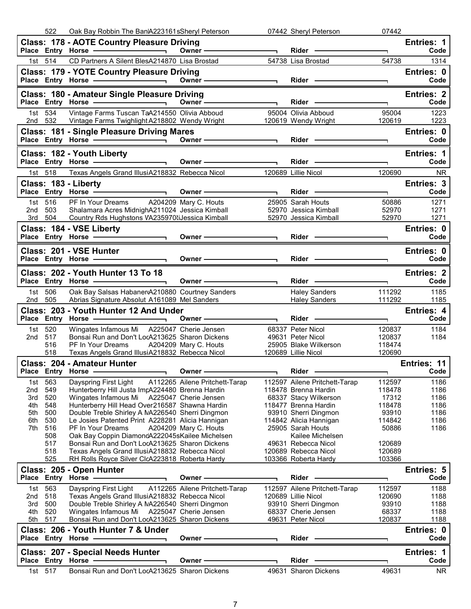|            | 522        | Oak Bay Robbin The Ban A223161sSheryl Peterson                                                                                                                                                                                      |                                |                          | 07442 Sheryl Peterson                                                                                                                                                                                                          | 07442                    |                    |
|------------|------------|-------------------------------------------------------------------------------------------------------------------------------------------------------------------------------------------------------------------------------------|--------------------------------|--------------------------|--------------------------------------------------------------------------------------------------------------------------------------------------------------------------------------------------------------------------------|--------------------------|--------------------|
|            |            | <b>Class: 178 - AOTE Country Pleasure Driving</b>                                                                                                                                                                                   | $Owner \longrightarrow$        |                          |                                                                                                                                                                                                                                | $\overline{\phantom{0}}$ | Entries: 1<br>Code |
|            | 1st 514    | CD Partners A Silent BlesA214870 Lisa Brostad                                                                                                                                                                                       |                                |                          | 54738 Lisa Brostad                                                                                                                                                                                                             | 54738                    | 1314               |
|            |            | <b>Class: 179 - YOTE Country Pleasure Driving</b>                                                                                                                                                                                   |                                |                          |                                                                                                                                                                                                                                |                          | Entries: 0         |
|            |            | Place Entry Horse <u>Contract Communication</u> Owner Communication Communication Communication Communication Communication Communication Communication Communication Communication Communication Communication Communication Commu |                                | $\overline{\phantom{0}}$ | Rider —                                                                                                                                                                                                                        |                          | Code               |
|            |            |                                                                                                                                                                                                                                     |                                |                          |                                                                                                                                                                                                                                |                          | Entries: 2         |
|            |            | Class: 180 - Amateur Single Pleasure Driving                                                                                                                                                                                        |                                |                          | Rider - 2000                                                                                                                                                                                                                   | $\overline{\phantom{0}}$ | Code               |
|            | 1st 534    | Vintage Farms Tuscan TaA214550 Olivia Abboud                                                                                                                                                                                        |                                |                          | 95004 Olivia Abboud                                                                                                                                                                                                            | 95004                    | 1223               |
|            |            | 2nd 532 Vintage Farms Twighlight A218802 Wendy Wright 120619 Wendy Wright                                                                                                                                                           |                                |                          |                                                                                                                                                                                                                                | 120619                   | 1223               |
|            |            | Class: 181 - Single Pleasure Driving Mares                                                                                                                                                                                          |                                |                          |                                                                                                                                                                                                                                | ┑                        | Entries: 0<br>Code |
|            |            |                                                                                                                                                                                                                                     |                                |                          |                                                                                                                                                                                                                                |                          |                    |
|            |            | Class: 182 - Youth Liberty<br>Place Entry Horse <u>Constantine of</u> Owner Communication                                                                                                                                           |                                |                          |                                                                                                                                                                                                                                | $\overline{\phantom{0}}$ | Entries: 1<br>Code |
|            |            | 1st 518 Texas Angels Grand IllusiA218832 Rebecca Nicol 120689 Lillie Nicol                                                                                                                                                          |                                |                          |                                                                                                                                                                                                                                | 120690                   | <b>NR</b>          |
|            |            | Class: 183 - Liberty                                                                                                                                                                                                                |                                |                          |                                                                                                                                                                                                                                |                          | <b>Entries: 3</b>  |
|            |            | Place Entry Horse                                                                                                                                                                                                                   | Owner $\qquad$                 |                          | Rider - The Management of the Management of the Management of the Management of the Management of the Management of the Management of the Management of the Management of the Management of the Management of the Management o | $\blacksquare$           | Code               |
|            | 1st 516    | PF In Your Dreams A204209 Mary C. Houts 25905 Sarah Houts<br>Shalamara Acres MidnighA211024 Jessica Kimball 52970 Jessica Kimball<br>Country Rds Hughstons VA235970tiJessica Kimball 52970 Jessica Kimball                          |                                |                          |                                                                                                                                                                                                                                | 50886                    | 1271               |
| 2nd 503    | 3rd 504    |                                                                                                                                                                                                                                     |                                |                          |                                                                                                                                                                                                                                | 52970<br>52970           | 1271<br>1271       |
|            |            | Class: 184 - VSE Liberty                                                                                                                                                                                                            |                                |                          |                                                                                                                                                                                                                                |                          | Entries: 0         |
|            |            | Place Entry Horse                                                                                                                                                                                                                   | Owner ——————————               |                          |                                                                                                                                                                                                                                |                          | Code               |
|            |            | Class: 201 - VSE Hunter                                                                                                                                                                                                             |                                |                          |                                                                                                                                                                                                                                |                          | Entries: 0         |
|            |            | Place Entry Horse - and the manufacturer                                                                                                                                                                                            | Owner $\qquad$                 |                          |                                                                                                                                                                                                                                |                          | Code               |
|            |            | Class: 202 - Youth Hunter 13 To 18                                                                                                                                                                                                  |                                |                          |                                                                                                                                                                                                                                |                          | <b>Entries: 2</b>  |
|            |            | Place Entry Horse - and the manufacturer of the manufacturer of the manufacturer of the manufacturer of the manufacturer of the manufacturer of the manufacturer of the manufacturer of the manufacturer of the manufacturer o      |                                |                          | Rider -                                                                                                                                                                                                                        | $\overline{\phantom{a}}$ | Code               |
|            | 1st 506    | Oak Bay Salsas Habaner A210880 Courtney Sanders                                                                                                                                                                                     |                                |                          | <b>Haley Sanders</b>                                                                                                                                                                                                           | 111292                   | 1185               |
| 2nd        | 505        | Abrias Signature Absolut A161089 Mel Sanders                                                                                                                                                                                        |                                |                          | Haley Sanders <b>Market</b>                                                                                                                                                                                                    | 111292                   | 1185               |
|            |            |                                                                                                                                                                                                                                     |                                |                          |                                                                                                                                                                                                                                |                          |                    |
|            |            | Class: 203 - Youth Hunter 12 And Under                                                                                                                                                                                              |                                |                          |                                                                                                                                                                                                                                |                          | Entries: 4         |
|            |            |                                                                                                                                                                                                                                     |                                |                          | Rider - The Management of the Management of the Management of the Management of the Management of the Management of the Management of the Management of the Management of the Management of the Management of the Management o | $\overline{\phantom{a}}$ | Code               |
|            | 1st 520    | Wingates Infamous Mi A225047 Cherie Jensen                                                                                                                                                                                          |                                |                          | 68337 Peter Nicol                                                                                                                                                                                                              | 120837                   | 1184               |
| 2nd 517    | 516        | Bonsai Run and Don't LocA213625 Sharon Dickens<br>PF In Your Dreams A204209 Mary C. Houts                                                                                                                                           |                                |                          | 49631 Peter Nicol<br>25905 Blake Wilkerson                                                                                                                                                                                     | 120837<br>118474         | 1184               |
|            | 518        | Texas Angels Grand IllusiA218832 Rebecca Nicol                                                                                                                                                                                      |                                |                          |                                                                                                                                                                                                                                | 120690                   |                    |
|            |            | <b>Class: 204 - Amateur Hunter</b>                                                                                                                                                                                                  |                                |                          | 20900 District<br>120689 Lillie Nicol                                                                                                                                                                                          |                          | Entries: 11        |
|            |            | Place Entry Horse - District Company Owner -                                                                                                                                                                                        |                                |                          | Rider                                                                                                                                                                                                                          |                          | Code               |
| 1st l      | 563        | Dayspring First Light                                                                                                                                                                                                               | A112265 Ailene Pritchett-Tarap |                          | 112597 Ailene Pritchett-Tarap                                                                                                                                                                                                  | 112597                   | 1186               |
| 2nd<br>3rd | 549<br>520 | Hunterberry Hill Justa ImpA224480 Brenna Hardin<br>Wingates Infamous Mi A225047 Cherie Jensen                                                                                                                                       |                                |                          | 118478 Brenna Hardin<br>68337 Stacy Wilkerson                                                                                                                                                                                  | 118478<br>17312          | 1186<br>1186       |
| 4th        | 548        | Hunterberry Hill Head Over216587 Shawna Hardin                                                                                                                                                                                      |                                |                          | 118477 Brenna Hardin                                                                                                                                                                                                           | 118478                   | 1186               |
| 5th        | 500        | Double Treble Shirley A NA226540 Sherri Dingmon                                                                                                                                                                                     |                                |                          | 93910 Sherri Dingmon                                                                                                                                                                                                           | 93910                    | 1186               |
| 6th<br>7th | 530<br>516 | Le Josies Patented Print A228281 Alicia Hannigan<br>PF In Your Dreams                                                                                                                                                               | A204209 Mary C. Houts          |                          | 114842 Alicia Hannigan<br>25905 Sarah Houts                                                                                                                                                                                    | 114842<br>50886          | 1186<br>1186       |
|            | 508        | Oak Bay Coppin DiamondA222045sKailee Michelsen                                                                                                                                                                                      |                                |                          | Kailee Michelsen                                                                                                                                                                                                               |                          |                    |
|            | 517        | Bonsai Run and Don't LocA213625 Sharon Dickens                                                                                                                                                                                      |                                |                          | 49631 Rebecca Nicol                                                                                                                                                                                                            | 120689                   |                    |
|            | 518<br>525 | Texas Angels Grand IllusiA218832 Rebecca Nicol<br>RH Rolls Royce Silver ClcA223818 Roberta Hardy                                                                                                                                    |                                |                          | 120689 Rebecca Nicol<br>103366 Roberta Hardy                                                                                                                                                                                   | 120689<br>103366         |                    |
|            |            | Class: 205 - Open Hunter                                                                                                                                                                                                            |                                |                          |                                                                                                                                                                                                                                |                          | Entries: 5         |
|            |            | Place Entry Horse -                                                                                                                                                                                                                 | Owner -                        |                          | Rider                                                                                                                                                                                                                          |                          | Code               |
| 1st l      | 563        | Dayspring First Light                                                                                                                                                                                                               | A112265 Ailene Pritchett-Tarap |                          | 112597 Ailene Pritchett-Tarap                                                                                                                                                                                                  | 112597                   | 1188               |
| 2nd        | 518        | Texas Angels Grand IllusiA218832 Rebecca Nicol                                                                                                                                                                                      |                                |                          | 120689 Lillie Nicol                                                                                                                                                                                                            | 120690                   | 1188               |
| 3rd<br>4th | 500<br>520 | Double Treble Shirley A MA226540 Sherri Dingmon<br>Wingates Infamous Mi A225047 Cherie Jensen                                                                                                                                       |                                |                          | 93910 Sherri Dingmon<br>68337 Cherie Jensen                                                                                                                                                                                    | 93910<br>68337           | 1188<br>1188       |
| 5th        | 517        | Bonsai Run and Don't LocA213625 Sharon Dickens                                                                                                                                                                                      |                                |                          | 49631 Peter Nicol                                                                                                                                                                                                              | 120837                   | 1188               |
|            |            | Class: 206 - Youth Hunter 7 & Under                                                                                                                                                                                                 |                                |                          |                                                                                                                                                                                                                                |                          | Entries: 0         |
|            |            | Place Entry Horse                                                                                                                                                                                                                   | Owner -                        |                          | Rider ·                                                                                                                                                                                                                        |                          | Code               |
|            |            | <b>Class: 207 - Special Needs Hunter</b>                                                                                                                                                                                            |                                |                          |                                                                                                                                                                                                                                |                          | Entries: 1         |
|            | 1st 517    | Place Entry Horse<br>Bonsai Run and Don't LocA213625 Sharon Dickens                                                                                                                                                                 | <b>Owner</b>                   |                          | Rider<br>49631 Sharon Dickens                                                                                                                                                                                                  | 49631                    | Code<br><b>NR</b>  |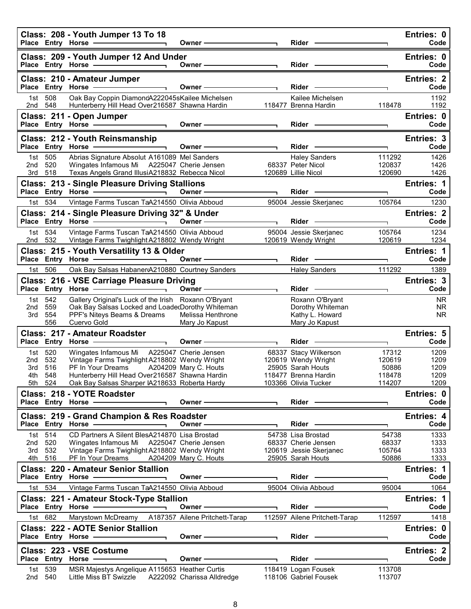|            |                    | Class: 208 - Youth Jumper 13 To 18                                                                                                                                                                                                                                                                                                                                                                                                                                   | Owner ——                                                                                                                                                                                                                      |                | $Rider \nightharpoonup$                                                                                                                                                                                                        |                  | Entries: 0<br>Code        |
|------------|--------------------|----------------------------------------------------------------------------------------------------------------------------------------------------------------------------------------------------------------------------------------------------------------------------------------------------------------------------------------------------------------------------------------------------------------------------------------------------------------------|-------------------------------------------------------------------------------------------------------------------------------------------------------------------------------------------------------------------------------|----------------|--------------------------------------------------------------------------------------------------------------------------------------------------------------------------------------------------------------------------------|------------------|---------------------------|
|            |                    | Class: 209 - Youth Jumper 12 And Under<br>Place Entry Horse <b>Constant Constructs</b>                                                                                                                                                                                                                                                                                                                                                                               | Owner -                                                                                                                                                                                                                       |                | Rider -                                                                                                                                                                                                                        |                  | Entries: 0<br>Code        |
|            |                    | Class: 210 - Amateur Jumper<br>$\overline{\phantom{a}}$ and $\overline{\phantom{a}}$ and $\overline{\phantom{a}}$ and $\overline{\phantom{a}}$ and $\overline{\phantom{a}}$ and $\overline{\phantom{a}}$ and $\overline{\phantom{a}}$ and $\overline{\phantom{a}}$ and $\overline{\phantom{a}}$ and $\overline{\phantom{a}}$ and $\overline{\phantom{a}}$ and $\overline{\phantom{a}}$ and $\overline{\phantom{a}}$ and $\overline{\phantom{a}}$ a                   | $\overline{\phantom{a}}$ . The contract of $\overline{\phantom{a}}$<br>Owner-                                                                                                                                                 |                | Rider -                                                                                                                                                                                                                        |                  | <b>Entries: 2</b><br>Code |
| 1st l      | 508                | Place Entry Horse<br>Oak Bay Coppin DiamondA222045sKailee Michelsen                                                                                                                                                                                                                                                                                                                                                                                                  |                                                                                                                                                                                                                               |                | Kailee Michelsen                                                                                                                                                                                                               |                  | 1192                      |
| 2nd 548    |                    | Hunterberry Hill Head Over216587 Shawna Hardin                                                                                                                                                                                                                                                                                                                                                                                                                       |                                                                                                                                                                                                                               |                | 118477 Brenna Hardin                                                                                                                                                                                                           | 118478           | 1192                      |
|            |                    | Class: 211 - Open Jumper                                                                                                                                                                                                                                                                                                                                                                                                                                             |                                                                                                                                                                                                                               |                |                                                                                                                                                                                                                                |                  | Entries: 0                |
|            |                    | $\frac{1}{\sqrt{2}}$ . The contract of $\frac{1}{\sqrt{2}}$ is the contract of $\frac{1}{\sqrt{2}}$ .<br>Place Entry Horse -                                                                                                                                                                                                                                                                                                                                         | Owner $\longrightarrow$                                                                                                                                                                                                       |                | Rider ————                                                                                                                                                                                                                     | E.               | Code                      |
|            |                    | Class: 212 - Youth Reinsmanship                                                                                                                                                                                                                                                                                                                                                                                                                                      |                                                                                                                                                                                                                               |                |                                                                                                                                                                                                                                |                  | Entries: 3                |
|            |                    |                                                                                                                                                                                                                                                                                                                                                                                                                                                                      | Owner-                                                                                                                                                                                                                        |                | Rider -                                                                                                                                                                                                                        |                  | Code                      |
| 2nd 520    | 1st 505            | Abrias Signature Absolut A161089 Mel Sanders<br>Wingates Infamous Mi A225047 Cherie Jensen                                                                                                                                                                                                                                                                                                                                                                           |                                                                                                                                                                                                                               |                | <b>Haley Sanders</b><br>68337 Peter Nicol                                                                                                                                                                                      | 111292<br>120837 | 1426<br>1426              |
|            | 3rd 518            | Texas Angels Grand IllusiA218832 Rebecca Nicol                                                                                                                                                                                                                                                                                                                                                                                                                       |                                                                                                                                                                                                                               |                | 120689 Lillie Nicol                                                                                                                                                                                                            | 120690           | 1426                      |
|            |                    | <b>Class: 213 - Single Pleasure Driving Stallions</b>                                                                                                                                                                                                                                                                                                                                                                                                                |                                                                                                                                                                                                                               |                |                                                                                                                                                                                                                                |                  | <b>Entries: 1</b>         |
|            |                    |                                                                                                                                                                                                                                                                                                                                                                                                                                                                      | Owner-                                                                                                                                                                                                                        |                | $Rider -$                                                                                                                                                                                                                      | ┑                | Code                      |
|            | 1st 534            | Vintage Farms Tuscan TaA214550 Olivia Abboud                                                                                                                                                                                                                                                                                                                                                                                                                         |                                                                                                                                                                                                                               |                | 95004 Jessie Skerjanec                                                                                                                                                                                                         | 105764           | 1230                      |
|            |                    | Class: 214 - Single Pleasure Driving 32" & Under                                                                                                                                                                                                                                                                                                                                                                                                                     |                                                                                                                                                                                                                               |                |                                                                                                                                                                                                                                |                  | <b>Entries: 2</b>         |
|            |                    | Place Entry Horse <b>Constant Constructs</b>                                                                                                                                                                                                                                                                                                                                                                                                                         | Owner —                                                                                                                                                                                                                       |                | $Rider -$                                                                                                                                                                                                                      | ٦                | Code                      |
|            | 1st 534<br>2nd 532 | Vintage Farms Tuscan TaA214550 Olivia Abboud<br>Vintage Farms Twighlight A218802 Wendy Wright                                                                                                                                                                                                                                                                                                                                                                        |                                                                                                                                                                                                                               |                | 95004 Jessie Skerjanec<br>120619 Wendy Wright                                                                                                                                                                                  | 105764<br>120619 | 1234<br>1234              |
|            |                    | Class: 215 - Youth Versatility 13 & Older                                                                                                                                                                                                                                                                                                                                                                                                                            |                                                                                                                                                                                                                               |                |                                                                                                                                                                                                                                |                  | <b>Entries: 1</b>         |
|            |                    |                                                                                                                                                                                                                                                                                                                                                                                                                                                                      | Owner-                                                                                                                                                                                                                        |                | Rider -                                                                                                                                                                                                                        | ┑                | Code                      |
| 1st l      | 506                | Oak Bay Salsas HabanerA210880 Courtney Sanders                                                                                                                                                                                                                                                                                                                                                                                                                       |                                                                                                                                                                                                                               |                | <b>Haley Sanders</b>                                                                                                                                                                                                           | 111292           | 1389                      |
|            |                    | Class: 216 - VSE Carriage Pleasure Driving                                                                                                                                                                                                                                                                                                                                                                                                                           |                                                                                                                                                                                                                               |                |                                                                                                                                                                                                                                |                  | Entries: 3                |
|            |                    | Place Entry Horse -<br>$\overline{\phantom{a}}$ , $\overline{\phantom{a}}$ , $\overline{\phantom{a}}$ , $\overline{\phantom{a}}$ , $\overline{\phantom{a}}$ , $\overline{\phantom{a}}$ , $\overline{\phantom{a}}$ , $\overline{\phantom{a}}$ , $\overline{\phantom{a}}$ , $\overline{\phantom{a}}$ , $\overline{\phantom{a}}$ , $\overline{\phantom{a}}$ , $\overline{\phantom{a}}$ , $\overline{\phantom{a}}$ , $\overline{\phantom{a}}$ , $\overline{\phantom{a}}$ | Owner -                                                                                                                                                                                                                       | $\blacksquare$ | Rider —                                                                                                                                                                                                                        |                  | Code                      |
| 1st -      | 542                | Gallery Original's Luck of the Irish Roxann O'Bryant                                                                                                                                                                                                                                                                                                                                                                                                                 |                                                                                                                                                                                                                               |                | Roxann O'Bryant                                                                                                                                                                                                                |                  | NR.                       |
| 2nd<br>3rd | 559<br>554         | Oak Bay Salsas Locked and LoadedDorothy Whiteman<br>PPF's Niteys Beams & Dreams                                                                                                                                                                                                                                                                                                                                                                                      | Melissa Henthrone                                                                                                                                                                                                             |                | Dorothy Whiteman<br>Kathy L. Howard                                                                                                                                                                                            |                  | <b>NR</b><br>NR.          |
|            | 556                | Cuervo Gold                                                                                                                                                                                                                                                                                                                                                                                                                                                          | Mary Jo Kapust                                                                                                                                                                                                                |                | Mary Jo Kapust                                                                                                                                                                                                                 |                  |                           |
|            |                    | Class: 217 - Amateur Roadster                                                                                                                                                                                                                                                                                                                                                                                                                                        |                                                                                                                                                                                                                               |                |                                                                                                                                                                                                                                |                  | <b>Entries: 5</b>         |
|            |                    | Place Entry Horse - and Discounts and Place Entry Horse                                                                                                                                                                                                                                                                                                                                                                                                              | Owner-                                                                                                                                                                                                                        |                | Rider -                                                                                                                                                                                                                        | ٦                | Code                      |
| 1st.       | 520                | Wingates Infamous Mi A225047 Cherie Jensen                                                                                                                                                                                                                                                                                                                                                                                                                           |                                                                                                                                                                                                                               |                | 68337 Stacy Wilkerson                                                                                                                                                                                                          | 17312            | 1209                      |
| 2nd<br>3rd | 532<br>516         | Vintage Farms Twighlight A218802 Wendy Wright<br>PF In Your Dreams                                                                                                                                                                                                                                                                                                                                                                                                   | A204209 Mary C. Houts                                                                                                                                                                                                         |                | 120619 Wendy Wright<br>25905 Sarah Houts                                                                                                                                                                                       | 120619<br>50886  | 1209<br>1209              |
|            | 4th 548            | Hunterberry Hill Head Over216587 Shawna Hardin                                                                                                                                                                                                                                                                                                                                                                                                                       |                                                                                                                                                                                                                               |                | 118477 Brenna Hardin                                                                                                                                                                                                           | 118478           | 1209                      |
|            | 5th 524            | Oak Bay Salsas Sharper IA218633 Roberta Hardy                                                                                                                                                                                                                                                                                                                                                                                                                        |                                                                                                                                                                                                                               |                | 103366 Olivia Tucker                                                                                                                                                                                                           | 114207           | 1209                      |
|            |                    | Class: 218 - YOTE Roadster                                                                                                                                                                                                                                                                                                                                                                                                                                           |                                                                                                                                                                                                                               |                |                                                                                                                                                                                                                                |                  | Entries: 0                |
|            |                    | Place Entry Horse - The Management of the Management of the Management of the Management of the Management of                                                                                                                                                                                                                                                                                                                                                        | Owner -                                                                                                                                                                                                                       |                | $Rider -$                                                                                                                                                                                                                      |                  | Code                      |
|            |                    | Class: 219 - Grand Champion & Res Roadster                                                                                                                                                                                                                                                                                                                                                                                                                           |                                                                                                                                                                                                                               |                |                                                                                                                                                                                                                                |                  | <b>Entries: 4</b>         |
|            |                    | Place Entry Horse                                                                                                                                                                                                                                                                                                                                                                                                                                                    | Owner - The Common Common Common Common Common Common Common Common Common Common Common Common Common Common Common Common Common Common Common Common Common Common Common Common Common Common Common Common Common Common |                | Rider -                                                                                                                                                                                                                        | ٦                | Code                      |
| 2nd        | 1st 514<br>520     | CD Partners A Silent BlesA214870 Lisa Brostad<br>Wingates Infamous Mi                                                                                                                                                                                                                                                                                                                                                                                                | A225047 Cherie Jensen                                                                                                                                                                                                         |                | 54738 Lisa Brostad<br>68337 Cherie Jensen                                                                                                                                                                                      | 54738<br>68337   | 1333<br>1333              |
| 3rd        | 532                | Vintage Farms Twighlight A218802 Wendy Wright                                                                                                                                                                                                                                                                                                                                                                                                                        |                                                                                                                                                                                                                               |                | 120619 Jessie Skerjanec                                                                                                                                                                                                        | 105764           | 1333                      |
|            | 4th 516            | PF In Your Dreams A204209 Mary C. Houts                                                                                                                                                                                                                                                                                                                                                                                                                              |                                                                                                                                                                                                                               |                | 25905 Sarah Houts                                                                                                                                                                                                              | 50886            | 1333                      |
|            |                    | <b>Class: 220 - Amateur Senior Stallion</b><br>Place Entry Horse -                                                                                                                                                                                                                                                                                                                                                                                                   | Owner -                                                                                                                                                                                                                       |                | Rider                                                                                                                                                                                                                          |                  | Entries: 1<br>Code        |
|            | 1st 534            | Vintage Farms Tuscan TaA214550 Olivia Abboud                                                                                                                                                                                                                                                                                                                                                                                                                         |                                                                                                                                                                                                                               |                |                                                                                                                                                                                                                                | ٦<br>95004       |                           |
|            |                    |                                                                                                                                                                                                                                                                                                                                                                                                                                                                      |                                                                                                                                                                                                                               |                | 95004 Olivia Abboud                                                                                                                                                                                                            |                  | 1064                      |
|            |                    | Class: 221 - Amateur Stock-Type Stallion<br>Place Entry Horse -                                                                                                                                                                                                                                                                                                                                                                                                      | Owner ——                                                                                                                                                                                                                      |                | Rider -                                                                                                                                                                                                                        |                  | <b>Entries: 1</b><br>Code |
|            | 1st 682            | Marystown McDreamy A187357 Ailene Pritchett-Tarap                                                                                                                                                                                                                                                                                                                                                                                                                    |                                                                                                                                                                                                                               |                | 112597 Ailene Pritchett-Tarap                                                                                                                                                                                                  | 112597           | 1418                      |
|            |                    | <b>Class: 222 - AOTE Senior Stallion</b>                                                                                                                                                                                                                                                                                                                                                                                                                             |                                                                                                                                                                                                                               |                |                                                                                                                                                                                                                                |                  | Entries: 0                |
|            |                    | Place Entry Horse - The Management of the Management of the Management of the Management of the Management of                                                                                                                                                                                                                                                                                                                                                        | Owner - The Common Common Common Common Common Common Common Common Common Common Common Common Common Common Common Common Common Common Common Common Common Common Common Common Common Common Common Common Common Common |                | Rider -                                                                                                                                                                                                                        |                  | Code                      |
|            |                    | Class: 223 - VSE Costume                                                                                                                                                                                                                                                                                                                                                                                                                                             |                                                                                                                                                                                                                               |                |                                                                                                                                                                                                                                |                  | <b>Entries: 2</b>         |
|            |                    |                                                                                                                                                                                                                                                                                                                                                                                                                                                                      | Owner -                                                                                                                                                                                                                       |                | Rider - The Management of the Management of the Management of the Management of the Management of the Management of the Management of the Management of the Management of the Management of the Management of the Management o | ٦                | Code                      |
| 1st        | 539                | MSR Majestys Angelique A115653 Heather Curtis                                                                                                                                                                                                                                                                                                                                                                                                                        |                                                                                                                                                                                                                               |                | 118419 Logan Fousek                                                                                                                                                                                                            | 113708           |                           |
| 2nd        | 540                | Little Miss BT Swizzle                                                                                                                                                                                                                                                                                                                                                                                                                                               | A222092 Charissa Alldredge                                                                                                                                                                                                    |                | 118106 Gabriel Fousek                                                                                                                                                                                                          | 113707           |                           |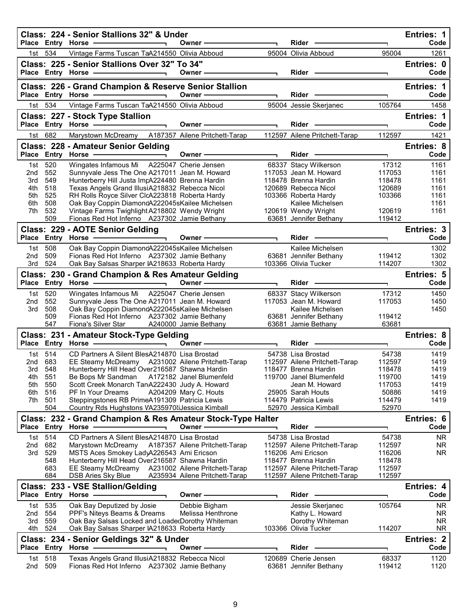|            |                   | Class: 224 - Senior Stallions 32" & Under                                                                                                                                        |                                |                          |                                                                                                                                                                                                                                      |                  | Entries: 1                |
|------------|-------------------|----------------------------------------------------------------------------------------------------------------------------------------------------------------------------------|--------------------------------|--------------------------|--------------------------------------------------------------------------------------------------------------------------------------------------------------------------------------------------------------------------------------|------------------|---------------------------|
|            |                   | Place Entry Horse -                                                                                                                                                              | Owner -                        |                          | Rider                                                                                                                                                                                                                                |                  | Code                      |
| 1st l      | 534               | Vintage Farms Tuscan TaA214550 Olivia Abboud                                                                                                                                     |                                |                          | 95004 Olivia Abboud                                                                                                                                                                                                                  | 95004            | 1261                      |
|            |                   | Class: 225 - Senior Stallions Over 32" To 34"<br>Place Entry Horse - All Annual Place And All Annual Place of All Annual Place                                                   | Owner-                         |                          | Rider <b>Contract Contract Contract Contract Contract Contract Contract Contract Contract Contract Contract Contract Contract Contract Contract Contract Contract Contract Contract Contract Contract Contract Contract Contract</b> |                  | Entries: 0<br>Code        |
|            |                   |                                                                                                                                                                                  |                                |                          |                                                                                                                                                                                                                                      |                  |                           |
|            |                   | Class: 226 - Grand Champion & Reserve Senior Stallion                                                                                                                            |                                |                          |                                                                                                                                                                                                                                      |                  | Entries: 1                |
|            |                   | Place Entry Horse -<br><u> 1989 - Johann Stein, Amerikaansk politiker (</u>                                                                                                      | Owner-                         |                          | <b>Rider</b>                                                                                                                                                                                                                         |                  | Code                      |
|            | 1st 534           | Vintage Farms Tuscan TaA214550 Olivia Abboud                                                                                                                                     |                                |                          | 95004 Jessie Skerjanec                                                                                                                                                                                                               | 105764           | 1458                      |
|            |                   | Class: 227 - Stock Type Stallion<br>Place Entry Horse -                                                                                                                          | Owner-                         |                          | Rider -                                                                                                                                                                                                                              |                  | Entries: 1<br>Code        |
| 1st        | 682               | Marystown McDreamy A187357 Ailene Pritchett-Tarap                                                                                                                                |                                |                          | 112597 Ailene Pritchett-Tarap                                                                                                                                                                                                        | ٦<br>112597      | 1421                      |
|            |                   |                                                                                                                                                                                  |                                |                          |                                                                                                                                                                                                                                      |                  |                           |
|            |                   | Class: 228 - Amateur Senior Gelding<br>Place Entry Horse - The Management of the Management of the Management of the Management of the Management of<br>$\overline{\phantom{0}}$ | Owner-                         | $\blacksquare$           | $Rider -$                                                                                                                                                                                                                            | ٦                | <b>Entries: 8</b><br>Code |
| 1st        | 520               | Wingates Infamous Mi A225047 Cherie Jensen                                                                                                                                       |                                |                          | 68337 Stacy Wilkerson                                                                                                                                                                                                                | 17312            | 1161                      |
| 2nd        | 552               | Sunnyvale Jess The One A217011 Jean M. Howard                                                                                                                                    |                                |                          | 117053 Jean M. Howard                                                                                                                                                                                                                | 117053           | 1161                      |
| 3rd        | 549               | Hunterberry Hill Justa ImpA224480 Brenna Hardin                                                                                                                                  |                                |                          | 118478 Brenna Hardin                                                                                                                                                                                                                 | 118478           | 1161                      |
| 4th        | 518               | Texas Angels Grand IllusiA218832 Rebecca Nicol                                                                                                                                   |                                |                          | 120689 Rebecca Nicol                                                                                                                                                                                                                 | 120689           | 1161                      |
| 5th        | 525               | RH Rolls Royce Silver ClcA223818 Roberta Hardy                                                                                                                                   |                                |                          | 103366 Roberta Hardy                                                                                                                                                                                                                 | 103366           | 1161                      |
| 6th        | 508               | Oak Bay Coppin DiamondA222045sKailee Michelsen                                                                                                                                   |                                |                          | Kailee Michelsen                                                                                                                                                                                                                     |                  | 1161                      |
| 7th.       | 532               | Vintage Farms Twighlight A218802 Wendy Wright                                                                                                                                    |                                |                          | 120619 Wendy Wright                                                                                                                                                                                                                  | 120619           | 1161                      |
|            | 509               | Fionas Red Hot Inferno A237302 Jamie Bethany                                                                                                                                     |                                |                          | 63681 Jennifer Bethany                                                                                                                                                                                                               | 119412           |                           |
|            |                   | Class: 229 - AOTE Senior Gelding                                                                                                                                                 |                                |                          |                                                                                                                                                                                                                                      |                  | Entries: 3                |
|            |                   | Place Entry Horse - and the manufacturer                                                                                                                                         | Owner-                         |                          | Rider                                                                                                                                                                                                                                |                  | Code                      |
|            | 1st 508           | Oak Bay Coppin DiamondA222045sKailee Michelsen                                                                                                                                   |                                |                          | Kailee Michelsen                                                                                                                                                                                                                     |                  | 1302                      |
| 2nd        | 509               | Fionas Red Hot Inferno A237302 Jamie Bethany                                                                                                                                     |                                |                          | 63681 Jennifer Bethany                                                                                                                                                                                                               | 119412           | 1302                      |
| 3rd        | 524               | Oak Bay Salsas Sharper IA218633 Roberta Hardy                                                                                                                                    |                                |                          | 103366 Olivia Tucker                                                                                                                                                                                                                 | 114207           | 1302                      |
|            |                   | Class: 230 - Grand Champion & Res Amateur Gelding                                                                                                                                |                                |                          |                                                                                                                                                                                                                                      |                  | Entries: 5                |
|            |                   | Place Entry Horse - and the manufacturer                                                                                                                                         | Owner —                        |                          | $Rider -$                                                                                                                                                                                                                            |                  | Code                      |
|            | 1st 520           | Wingates Infamous Mi A225047 Cherie Jensen                                                                                                                                       |                                |                          | 68337 Stacy Wilkerson                                                                                                                                                                                                                | 17312            | 1450                      |
| 2nd        | 552               | Sunnyvale Jess The One A217011 Jean M. Howard                                                                                                                                    |                                |                          | 117053 Jean M. Howard                                                                                                                                                                                                                | 117053           | 1450                      |
|            |                   |                                                                                                                                                                                  |                                |                          |                                                                                                                                                                                                                                      |                  |                           |
| 3rd        | 508               | Oak Bay Coppin DiamondA222045sKailee Michelsen                                                                                                                                   |                                |                          | Kailee Michelsen                                                                                                                                                                                                                     |                  | 1450                      |
|            | 509<br>547        | Fionas Red Hot Inferno A237302 Jamie Bethany                                                                                                                                     |                                |                          | 63681 Jennifer Bethany                                                                                                                                                                                                               | 119412           |                           |
|            |                   | Fiona's Silver Star                                                                                                                                                              | A240000 Jamie Bethany          |                          | 63681 Jamie Bethany                                                                                                                                                                                                                  | 63681            |                           |
|            |                   | Class: 231 - Amateur Stock-Type Gelding<br>Place Entry Horse -<br>$\overline{\phantom{0}}$                                                                                       | Owner -                        | $\overline{\phantom{0}}$ | Rider ·                                                                                                                                                                                                                              | ٦                | Entries: 8<br>Code        |
|            |                   |                                                                                                                                                                                  |                                |                          |                                                                                                                                                                                                                                      |                  |                           |
| 1st l      | 514               | CD Partners A Silent BlesA214870 Lisa Brostad                                                                                                                                    |                                |                          | 54738 Lisa Brostad                                                                                                                                                                                                                   | 54738            | 1419                      |
| 2nd        | 683               | EE Steamy McDreamy A231002 Ailene Pritchett-Tarap                                                                                                                                |                                |                          | 112597 Ailene Pritchett-Tarap                                                                                                                                                                                                        | 112597           | 1419                      |
| 3rd<br>4th | 548<br>551        | Hunterberry Hill Head Over216587 Shawna Hardin<br>Be Bops Mr Sandman                                                                                                             | A172182 Janel Blumenfeld       |                          | 118477 Brenna Hardin<br>119700 Janel Blumenfeld                                                                                                                                                                                      | 118478<br>119700 | 1419<br>1419              |
| 5th        | 550               | Scott Creek Monarch TanA222430 Judy A. Howard                                                                                                                                    |                                |                          | Jean M. Howard                                                                                                                                                                                                                       | 117053           | 1419                      |
| 6th.       | 516               | PF In Your Dreams                                                                                                                                                                | A204209 Mary C. Houts          |                          | 25905 Sarah Houts                                                                                                                                                                                                                    | 50886            | 1419                      |
| 7th.       | 501               | Steppingstones RB PrimeA191309 Patricia Lewis                                                                                                                                    |                                |                          | 114479 Patricia Lewis                                                                                                                                                                                                                | 114479           | 1419                      |
|            | 504               | Country Rds Hughstons VA235970 iJessica Kimball                                                                                                                                  |                                |                          | 52970 Jessica Kimball                                                                                                                                                                                                                | 52970            |                           |
|            |                   | Class: 232 - Grand Champion & Res Amateur Stock-Type Halter                                                                                                                      |                                |                          |                                                                                                                                                                                                                                      |                  | Entries: 6                |
|            |                   | Place Entry Horse -                                                                                                                                                              | Owner -                        |                          | Rider                                                                                                                                                                                                                                |                  | Code                      |
| 1st l      | 514               | CD Partners A Silent BlesA214870 Lisa Brostad                                                                                                                                    |                                |                          | 54738 Lisa Brostad                                                                                                                                                                                                                   | 54738            | NR.                       |
| 2nd        | 682               | Marystown McDreamy A187357 Ailene Pritchett-Tarap                                                                                                                                |                                |                          | 112597 Ailene Pritchett-Tarap                                                                                                                                                                                                        | 112597           | NR.                       |
| 3rd        | 529               | MSTS Aces Smokey LadyA226543 Ami Ericson                                                                                                                                         |                                |                          | 116206 Ami Ericson                                                                                                                                                                                                                   | 116206           | NR.                       |
|            | 548               | Hunterberry Hill Head Over216587 Shawna Hardin                                                                                                                                   |                                |                          | 118477 Brenna Hardin                                                                                                                                                                                                                 | 118478           |                           |
|            | 683               | EE Steamy McDreamy A231002 Ailene Pritchett-Tarap                                                                                                                                |                                |                          | 112597 Ailene Pritchett-Tarap                                                                                                                                                                                                        | 112597           |                           |
|            | 684               | <b>DSB Aries Sky Blue</b>                                                                                                                                                        | A235934 Ailene Pritchett-Tarap |                          | 112597 Ailene Pritchett-Tarap                                                                                                                                                                                                        | 112597           |                           |
|            |                   | Class: 233 - VSE Stallion/Gelding                                                                                                                                                |                                |                          |                                                                                                                                                                                                                                      |                  | <b>Entries: 4</b>         |
|            | Place Entry Horse |                                                                                                                                                                                  | Owner                          |                          | Rider                                                                                                                                                                                                                                |                  | Code                      |
| 1st        | 535               | Oak Bay Deputized by Josie                                                                                                                                                       | Debbie Bigham                  |                          | Jessie Skerjanec                                                                                                                                                                                                                     | 105764           | NR.                       |
| 2nd        | 554               | PPF's Niteys Beams & Dreams                                                                                                                                                      | Melissa Henthrone              |                          | Kathy L. Howard                                                                                                                                                                                                                      |                  | <b>NR</b>                 |
| 3rd<br>4th | 559               | Oak Bay Salsas Locked and LoadedDorothy Whiteman                                                                                                                                 |                                |                          | Dorothy Whiteman                                                                                                                                                                                                                     |                  | <b>NR</b><br><b>NR</b>    |
|            | 524               | Oak Bay Salsas Sharper IA218633 Roberta Hardy                                                                                                                                    |                                |                          | 103366 Olivia Tucker                                                                                                                                                                                                                 | 114207           |                           |
|            |                   | Class: 234 - Senior Geldings 32" & Under                                                                                                                                         | Owner                          |                          | Rider                                                                                                                                                                                                                                |                  | <b>Entries: 2</b><br>Code |
|            |                   | Place Entry Horse .                                                                                                                                                              |                                |                          |                                                                                                                                                                                                                                      |                  |                           |
| 1st<br>2nd | 518<br>509        | Texas Angels Grand IllusiA218832 Rebecca Nicol<br>Fionas Red Hot Inferno A237302 Jamie Bethany                                                                                   |                                |                          | 120689 Cherie Jensen<br>63681 Jennifer Bethany                                                                                                                                                                                       | 68337<br>119412  | 1120<br>1120              |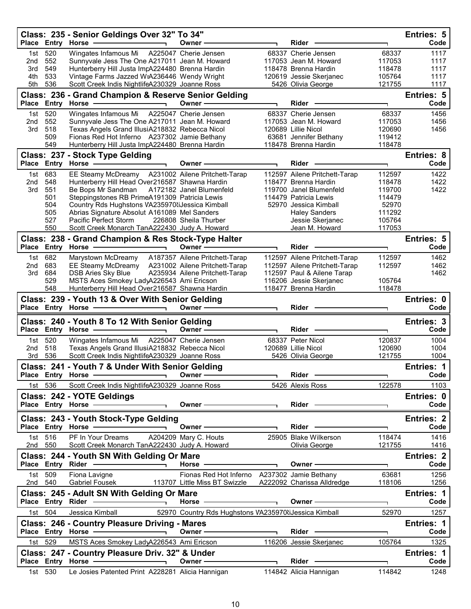|                                 |                                                          | Class: 235 - Senior Geldings Over 32" To 34"<br>Place Entry Horse -                                                                                                                                                                                                                                                                                     | Owner -                                                                                                                                                                                                                        | Rider                                                                                                                                                                                                                         |                                                                             | Entries: 5<br>Code                   |
|---------------------------------|----------------------------------------------------------|---------------------------------------------------------------------------------------------------------------------------------------------------------------------------------------------------------------------------------------------------------------------------------------------------------------------------------------------------------|--------------------------------------------------------------------------------------------------------------------------------------------------------------------------------------------------------------------------------|-------------------------------------------------------------------------------------------------------------------------------------------------------------------------------------------------------------------------------|-----------------------------------------------------------------------------|--------------------------------------|
| 1st<br>2nd<br>3rd<br>4th<br>5th | 520<br>552<br>549<br>533<br>536                          | Wingates Infamous Mi  A225047 Cherie Jensen<br>Sunnyvale Jess The One A217011 Jean M. Howard<br>Hunterberry Hill Justa ImpA224480 Brenna Hardin<br>Vintage Farms Jazzed WiA236446 Wendy Wright<br>Scott Creek Indis NightlifeA230329 Joanne Ross                                                                                                        |                                                                                                                                                                                                                                | 68337 Cherie Jensen<br>117053 Jean M. Howard<br>118478 Brenna Hardin<br>120619 Jessie Skerjanec<br>5426 Olivia George                                                                                                         | 68337<br>117053<br>118478<br>105764<br>121755                               | 1117<br>1117<br>1117<br>1117<br>1117 |
|                                 |                                                          | Class: 236 - Grand Champion & Reserve Senior Gelding<br>Place Entry Horse - The Management of the Management of the Management of the Management of the Management of the Management of the Management of the Management of the Management of the Management of the Management of the                                                                   | Owner -                                                                                                                                                                                                                        | Rider                                                                                                                                                                                                                         |                                                                             | Entries: 5<br>Code                   |
| 1st                             | 520                                                      | Wingates Infamous Mi  A225047 Cherie Jensen                                                                                                                                                                                                                                                                                                             |                                                                                                                                                                                                                                | 68337 Cherie Jensen                                                                                                                                                                                                           | 68337                                                                       | 1456                                 |
| 2 <sub>nd</sub><br>3rd          | 552<br>518<br>509<br>549                                 | Sunnyvale Jess The One A217011 Jean M. Howard<br>Texas Angels Grand IllusiA218832 Rebecca Nicol<br>Fionas Red Hot Inferno A237302 Jamie Bethany<br>Hunterberry Hill Justa ImpA224480 Brenna Hardin                                                                                                                                                      |                                                                                                                                                                                                                                | 117053 Jean M. Howard<br>120689 Lillie Nicol<br>63681 Jennifer Bethany<br>118478 Brenna Hardin                                                                                                                                | 117053<br>120690<br>119412<br>118478                                        | 1456<br>1456                         |
|                                 |                                                          | Class: 237 - Stock Type Gelding                                                                                                                                                                                                                                                                                                                         |                                                                                                                                                                                                                                |                                                                                                                                                                                                                               |                                                                             | Entries: 8                           |
|                                 |                                                          | Place Entry Horse -                                                                                                                                                                                                                                                                                                                                     | Owner -                                                                                                                                                                                                                        | Rider                                                                                                                                                                                                                         |                                                                             | Code                                 |
| 2nd<br>3rd                      | 1st 683<br>548<br>551<br>501<br>504<br>505<br>527<br>550 | EE Steamy McDreamy A231002 Ailene Pritchett-Tarap<br>Hunterberry Hill Head Over216587 Shawna Hardin<br>Be Bops Mr Sandman<br>Steppingstones RB PrimeA191309 Patricia Lewis<br>Country Rds Hughstons VA235970liJessica Kimball<br>Abrias Signature Absolut A161089 Mel Sanders<br>Pacific Perfect Storm<br>Scott Creek Monarch TanA222430 Judy A. Howard | A172182 Janel Blumenfeld<br>226808 Sheila Thurber                                                                                                                                                                              | 112597 Ailene Pritchett-Tarap<br>118477 Brenna Hardin<br>119700 Janel Blumenfeld<br>114479 Patricia Lewis<br>52970 Jessica Kimball<br><b>Haley Sanders</b><br>Jessie Skerjanec<br>Jean M. Howard                              | 112597<br>118478<br>119700<br>114479<br>52970<br>111292<br>105764<br>117053 | 1422<br>1422<br>1422                 |
|                                 |                                                          | Class: 238 - Grand Champion & Res Stock-Type Halter                                                                                                                                                                                                                                                                                                     |                                                                                                                                                                                                                                |                                                                                                                                                                                                                               |                                                                             | Entries: 5                           |
|                                 |                                                          |                                                                                                                                                                                                                                                                                                                                                         | Owner —                                                                                                                                                                                                                        | Rider                                                                                                                                                                                                                         |                                                                             | Code                                 |
| 2nd                             | 1st 682<br>683                                           | Marystown McDreamy<br>EE Steamy McDreamy A231002 Ailene Pritchett-Tarap                                                                                                                                                                                                                                                                                 | A187357 Ailene Pritchett-Tarap                                                                                                                                                                                                 | 112597 Ailene Pritchett-Tarap<br>112597 Ailene Pritchett-Tarap                                                                                                                                                                | 112597<br>112597                                                            | 1462<br>1462                         |
| 3rd                             | 684                                                      | DSB Aries Sky Blue                                                                                                                                                                                                                                                                                                                                      | A235934 Ailene Pritchett-Tarap                                                                                                                                                                                                 | 112597 Paul & Ailene Tarap                                                                                                                                                                                                    |                                                                             | 1462                                 |
|                                 | 529                                                      | MSTS Aces Smokey LadyA226543 Ami Ericson                                                                                                                                                                                                                                                                                                                |                                                                                                                                                                                                                                | 116206 Jessie Skerjanec                                                                                                                                                                                                       | 105764                                                                      |                                      |
|                                 | 548                                                      | Hunterberry Hill Head Over216587 Shawna Hardin<br>Class: 239 - Youth 13 & Over With Senior Gelding                                                                                                                                                                                                                                                      |                                                                                                                                                                                                                                | 118477 Brenna Hardin                                                                                                                                                                                                          | 118478                                                                      | Entries: 0                           |
|                                 |                                                          | Place Entry Horse -                                                                                                                                                                                                                                                                                                                                     | Owner -                                                                                                                                                                                                                        | Rider -                                                                                                                                                                                                                       |                                                                             | Code                                 |
|                                 |                                                          | Class: 240 - Youth 8 To 12 With Senior Gelding                                                                                                                                                                                                                                                                                                          |                                                                                                                                                                                                                                |                                                                                                                                                                                                                               |                                                                             | Entries: 3                           |
|                                 |                                                          | Place Entry Horse -                                                                                                                                                                                                                                                                                                                                     | Owner-                                                                                                                                                                                                                         | Rider                                                                                                                                                                                                                         |                                                                             | Code                                 |
|                                 | 1st 520                                                  | Wingates Infamous Mi                                                                                                                                                                                                                                                                                                                                    | A225047 Cherie Jensen                                                                                                                                                                                                          | 68337 Peter Nicol                                                                                                                                                                                                             | 120837                                                                      | 1004                                 |
| 2 <sub>nd</sub>                 | 518<br>3rd 536                                           | Texas Angels Grand IllusiA218832 Rebecca Nicol<br>Scott Creek Indis NightlifeA230329 Joanne Ross                                                                                                                                                                                                                                                        |                                                                                                                                                                                                                                | 120689 Lillie Nicol<br>5426 Olivia George                                                                                                                                                                                     | 120690<br>121755                                                            | 1004<br>1004                         |
|                                 |                                                          | Class: 241 - Youth 7 & Under With Senior Gelding                                                                                                                                                                                                                                                                                                        |                                                                                                                                                                                                                                |                                                                                                                                                                                                                               |                                                                             | Entries: 1                           |
|                                 |                                                          | Place Entry Horse - and District Place Entry Horse                                                                                                                                                                                                                                                                                                      |                                                                                                                                                                                                                                |                                                                                                                                                                                                                               |                                                                             | Code                                 |
|                                 | 1st 536                                                  | Scott Creek Indis NightlifeA230329 Joanne Ross 5426 Alexis Ross                                                                                                                                                                                                                                                                                         |                                                                                                                                                                                                                                |                                                                                                                                                                                                                               | 122578                                                                      | 1103                                 |
|                                 |                                                          | Class: 242 - YOTE Geldings                                                                                                                                                                                                                                                                                                                              |                                                                                                                                                                                                                                |                                                                                                                                                                                                                               |                                                                             | Entries: 0                           |
|                                 |                                                          | Place Entry Horse — Dental Place Entry                                                                                                                                                                                                                                                                                                                  | Owner – Rider – Rider – Rider – Rider – Source – Rider – Rider – Source – Rider – Rider – Rider – Rider – Rider – Rider – Rider – Rider – Rider – Rider – Rider – Rider – Rider – Rider – Rider – Rider – Rider – Rider – Ride |                                                                                                                                                                                                                               | $\overline{\phantom{0}}$                                                    | Code                                 |
|                                 |                                                          | Class: 243 - Youth Stock-Type Gelding                                                                                                                                                                                                                                                                                                                   |                                                                                                                                                                                                                                |                                                                                                                                                                                                                               |                                                                             | Entries: 2<br>Code                   |
|                                 | 1st 516                                                  | Place Entry Horse - and the contract of the contract of the contract of the contract of the contract of the contract of the contract of the contract of the contract of the contract of the contract of the contract of the co<br>PF In Your Dreams A204209 Mary C. Houts 25905 Blake Wilkerson                                                         |                                                                                                                                                                                                                                |                                                                                                                                                                                                                               | 118474                                                                      | 1416                                 |
|                                 | 2nd 550                                                  | Scott Creek Monarch TanA222430 Judy A. Howard                                                                                                                                                                                                                                                                                                           |                                                                                                                                                                                                                                | Olivia George                                                                                                                                                                                                                 | 121755                                                                      | 1416                                 |
|                                 |                                                          | Class: 244 - Youth SN With Gelding Or Mare<br>Place Entry Rider - and the control of the control of the control of the control of the control of the control of the control of the control of the control of the control of the control of the control of the control of the                                                                            | Horse $\overline{\phantom{a}}$                                                                                                                                                                                                 | Owner ———————                                                                                                                                                                                                                 |                                                                             | <b>Entries: 2</b><br>Code            |
|                                 | 1st 509<br>2nd 540                                       | Fiona Lavigne<br>Gabriel Fousek 113707 Little Miss BT Swizzle A222092 Charissa Alldredge                                                                                                                                                                                                                                                                | Fionas Red Hot Inferno A237302 Jamie Bethany                                                                                                                                                                                   |                                                                                                                                                                                                                               | 63681<br>118106                                                             | 1256<br>1256                         |
|                                 |                                                          | Class: 245 - Adult SN With Gelding Or Mare<br>Place Entry Rider - and the control of the state of the state of the state of the state of the state of the state of the state of the state of the state of the state of the state of the state of the state of the state of t                                                                            | Horse <u>————————</u>                                                                                                                                                                                                          | Owner - The Common Common Common Common Common Common Common Common Common Common Common Common Common Common Common Common Common Common Common Common Common Common Common Common Common Common Common Common Common Common | $\blacksquare$                                                              | <b>Entries: 1</b><br>Code            |
|                                 | 1st 504                                                  | Jessica Kimball <b>62970 Country Rds Hughstons VA235970 iJessica Kimball</b>                                                                                                                                                                                                                                                                            |                                                                                                                                                                                                                                |                                                                                                                                                                                                                               |                                                                             | 52970<br>1257                        |
|                                 |                                                          | <b>Class: 246 - Country Pleasure Driving - Mares</b>                                                                                                                                                                                                                                                                                                    |                                                                                                                                                                                                                                |                                                                                                                                                                                                                               |                                                                             | <b>Entries: 1</b>                    |
|                                 |                                                          | Place Entry Horse <b>Constant Constructs</b>                                                                                                                                                                                                                                                                                                            | Owner $\qquad \qquad$                                                                                                                                                                                                          |                                                                                                                                                                                                                               | ┑                                                                           | Code                                 |
|                                 | 1st 529                                                  | MSTS Aces Smokey LadyA226543 Ami Ericson 116206 Jessie Skerjanec                                                                                                                                                                                                                                                                                        |                                                                                                                                                                                                                                |                                                                                                                                                                                                                               | 105764                                                                      | 1325                                 |
|                                 |                                                          |                                                                                                                                                                                                                                                                                                                                                         |                                                                                                                                                                                                                                |                                                                                                                                                                                                                               |                                                                             |                                      |
|                                 |                                                          | Class: 247 - Country Pleasure Driv. 32" & Under                                                                                                                                                                                                                                                                                                         |                                                                                                                                                                                                                                |                                                                                                                                                                                                                               |                                                                             | Entries: 1                           |
|                                 | 1st 530                                                  | Place Entry Horse <b>Constant Constructs</b><br>Le Josies Patented Print A228281 Alicia Hannigan 114842 Alicia Hannigan                                                                                                                                                                                                                                 |                                                                                                                                                                                                                                |                                                                                                                                                                                                                               | $\overline{\phantom{a}}$<br>114842                                          | Code<br>1248                         |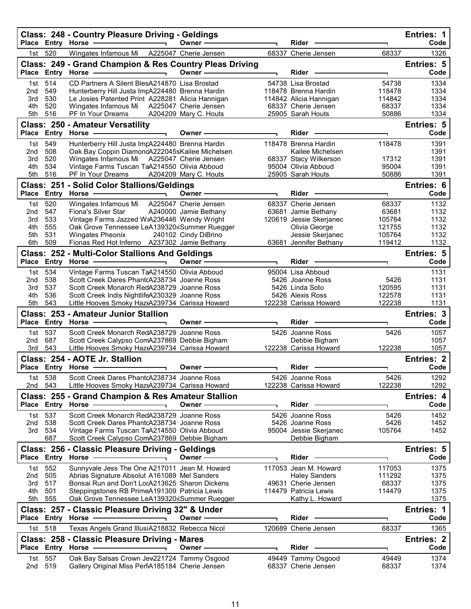|                        |                          | Class: 248 - Country Pleasure Driving - Geldings<br>Place Entry Horse -                        | Owner-                | Rider                                          |                 | Entries: 1<br>Code        |
|------------------------|--------------------------|------------------------------------------------------------------------------------------------|-----------------------|------------------------------------------------|-----------------|---------------------------|
| 1st l                  | 520                      | Wingates Infamous Mi                                                                           | A225047 Cherie Jensen | 68337 Cherie Jensen                            | 68337           | 1326                      |
|                        |                          | Class: 249 - Grand Champion & Res Country Pleas Driving                                        |                       |                                                |                 | Entries: 5                |
|                        |                          | Place Entry Horse -                                                                            | Owner-                | <b>Rider</b>                                   |                 | Code                      |
| 1st                    | 514                      | CD Partners A Silent BlesA214870 Lisa Brostad                                                  |                       | 54738 Lisa Brostad                             | 54738           | 1334                      |
| 2nd                    | 549                      | Hunterberry Hill Justa ImpA224480 Brenna Hardin                                                |                       | 118478 Brenna Hardin                           | 118478          | 1334                      |
| 3rd                    | 530                      | Le Josies Patented Print A228281 Alicia Hannigan                                               |                       | 114842 Alicia Hannigan                         | 114842          | 1334                      |
| 4th                    | 520<br>516               | Wingates Infamous Mi                                                                           | A225047 Cherie Jensen | 68337 Cherie Jensen                            | 68337           | 1334<br>1334              |
| 5th                    |                          | PF In Your Dreams                                                                              | A204209 Mary C. Houts | 25905 Sarah Houts                              | 50886           |                           |
| <b>Place</b>           |                          | <b>Class: 250 - Amateur Versatility</b><br>Entry Horse -                                       | Owner -               | Rider -                                        |                 | <b>Entries: 5</b><br>Code |
| 1st                    | 549                      | Hunterberry Hill Justa ImpA224480 Brenna Hardin                                                |                       | 118478 Brenna Hardin                           | 118478          | 1391                      |
| 2 <sub>nd</sub>        | 508                      | Oak Bay Coppin DiamondA222045sKailee Michelsen                                                 |                       | Kailee Michelsen                               |                 | 1391                      |
| 3rd                    | 520                      | Wingates Infamous Mi                                                                           | A225047 Cherie Jensen | 68337 Stacy Wilkerson                          | 17312           | 1391                      |
| 4th                    | 534                      | Vintage Farms Tuscan TaA214550 Olivia Abboud                                                   |                       | 95004 Olivia Abboud                            | 95004           | 1391                      |
| 5th                    | 516                      | PF In Your Dreams                                                                              | A204209 Mary C. Houts | 25905 Sarah Houts                              | 50886           | 1391                      |
|                        |                          | Class: 251 - Solid Color Stallions/Geldings                                                    |                       |                                                |                 | Entries: 6                |
| <b>Place</b>           |                          | Entry Horse                                                                                    | Owner-                | Rider                                          | ٦               | Code                      |
| 1st                    | 520                      | Wingates Infamous Mi                                                                           | A225047 Cherie Jensen | 68337 Cherie Jensen                            | 68337           | 1132                      |
| 2nd<br>3rd             | 547<br>533               | Fiona's Silver Star<br>Vintage Farms Jazzed WiA236446 Wendy Wright                             | A240000 Jamie Bethany | 63681 Jamie Bethany<br>120619 Jessie Skerjanec | 63681<br>105764 | 1132<br>1132              |
| 4th                    | 555                      | Oak Grove Tennessee LeA139320ijSummer Ruegger                                                  |                       | Olivia George                                  | 121755          | 1132                      |
| 5th                    | 531                      | <b>Wingates Pheonix</b>                                                                        | 240102 Cindy DiBrino  | Jessie Skerjanec                               | 105764          | 1132                      |
| 6th                    | 509                      | Fionas Red Hot Inferno A237302 Jamie Bethany                                                   |                       | 63681 Jennifer Bethany                         | 119412          | 1132                      |
|                        |                          | Class: 252 - Multi-Color Stallions And Geldings                                                |                       |                                                |                 | Entries: 5                |
|                        | Place Entry Horse        |                                                                                                | Owner -               | Rider                                          |                 | Code                      |
| 1st                    | 534                      | Vintage Farms Tuscan TaA214550 Olivia Abboud                                                   |                       | 95004 Lisa Abboud                              |                 | 1131                      |
| 2 <sub>nd</sub><br>3rd | 538<br>537               | Scott Creek Dares PhantcA238734 Joanne Ross<br>Scott Creek Monarch RedA238729 Joanne Ross      |                       | 5426 Joanne Ross<br>5426 Linda Soto            | 5426<br>120595  | 1131<br>1131              |
| 4th                    | 536                      | Scott Creek Indis NightlifeA230329 Joanne Ross                                                 |                       | 5426 Alexis Ross                               | 122578          | 1131                      |
| 5th                    | 543                      | Little Hooves Smoky HaztA239734 Carissa Howard                                                 |                       | 122238 Carissa Howard                          | 122238          | 1131                      |
|                        |                          | Class: 253 - Amateur Junior Stallion                                                           |                       |                                                |                 | Entries: 3                |
| <b>Place</b>           |                          | Entry Horse                                                                                    | Owner -               | <b>Rider</b>                                   |                 | Code                      |
| 1st                    | 537                      | Scott Creek Monarch RedA238729 Joanne Ross                                                     |                       | 5426 Joanne Ross                               | 5426            | 1057                      |
| 2 <sub>nd</sub>        | 687                      | Scott Creek Calypso ComA237869 Debbie Bigham                                                   |                       | Debbie Bigham                                  |                 | 1057                      |
| 3rd                    | 543                      | Little Hooves Smoky HaztA239734 Carissa Howard                                                 |                       | 122238 Carissa Howard                          | 122238          | 1057                      |
|                        |                          | Class: 254 - AOTE Jr. Stallion                                                                 |                       |                                                |                 | <b>Entries: 2</b>         |
|                        |                          | Place Entry Horse -                                                                            | Owner-                | <b>Rider</b>                                   |                 | Code                      |
|                        | 1st 538                  | Scott Creek Dares PhantcA238734 Joanne Ross                                                    |                       | 5426 Joanne Ross                               | 5426            | 1292                      |
| 2nd                    | 543                      | Little Hooves Smoky HaztA239734 Carissa Howard                                                 |                       | 122238 Carissa Howard                          | 122238          | 1292                      |
|                        |                          | Class: 255 - Grand Champion & Res Amateur Stallion                                             |                       |                                                |                 | Entries: 4<br>Code        |
|                        | Place Entry Horse        |                                                                                                | Owner ·               | Rider                                          |                 |                           |
| 1st<br>2nd             | 537<br>538               | Scott Creek Monarch RedA238729 Joanne Ross<br>Scott Creek Dares PhantcA238734 Joanne Ross      |                       | 5426 Joanne Ross<br>5426 Joanne Ross           | 5426<br>5426    | 1452<br>1452              |
| 3rd                    | 534                      | Vintage Farms Tuscan TaA214550 Olivia Abboud                                                   |                       | 95004 Jessie Skerjanec                         | 105764          | 1452                      |
|                        | 687                      | Scott Creek Calypso ComA237869 Debbie Bigham                                                   |                       | Debbie Bigham                                  |                 |                           |
|                        |                          | Class: 256 - Classic Pleasure Driving - Geldings                                               |                       |                                                |                 | Entries: 5                |
|                        | Place Entry Horse        |                                                                                                | Owner -               | <b>Rider</b>                                   |                 | Code                      |
| 1st l                  | 552                      | Sunnyvale Jess The One A217011 Jean M. Howard                                                  |                       | 117053 Jean M. Howard                          | 117053          | 1375                      |
| 2nd                    | 505                      | Abrias Signature Absolut A161089 Mel Sanders                                                   |                       | <b>Haley Sanders</b>                           | 111292          | 1375                      |
| 3rd                    | 517                      | Bonsai Run and Don't LocA213625 Sharon Dickens                                                 |                       | 49631 Cherie Jensen                            | 68337           | 1375                      |
| 4th<br>5th             | 501<br>555               | Steppingstones RB PrimeA191309 Patricia Lewis<br>Oak Grove Tennessee LeA139320 iSummer Ruegger |                       | 114479 Patricia Lewis<br>Kathy L. Howard       | 114479          | 1375<br>1375              |
|                        |                          | Class: 257 - Classic Pleasure Driving 32" & Under                                              |                       |                                                |                 | Entries: 1                |
|                        | Place Entry Horse        |                                                                                                | Owner -               | Rider                                          |                 | Code                      |
| 1st l                  | 518                      | Texas Angels Grand IllusiA218832 Rebecca Nicol                                                 |                       | 120689 Cherie Jensen                           | 68337           | 1365                      |
|                        |                          | Class: 258 - Classic Pleasure Driving - Mares                                                  |                       |                                                |                 | <b>Entries: 2</b>         |
|                        |                          |                                                                                                |                       |                                                |                 |                           |
|                        |                          |                                                                                                | Owner <b>·</b>        | Rider                                          |                 | Code                      |
| 1st                    | Place Entry Horse<br>557 | Oak Bay Salsas Crown Jew221724 Tammy Osgood                                                    |                       | 49449 Tammy Osgood                             | 49449           | 1374                      |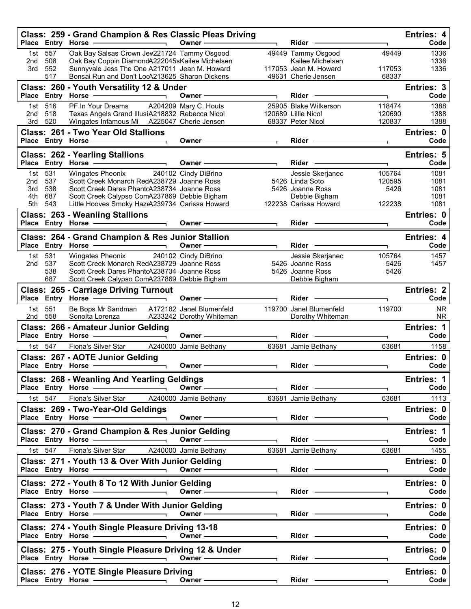| Place Entry Horse -                                                | Class: 259 - Grand Champion & Res Classic Pleas Driving                                                                                                                                                                                                                          | Owner -                                                                                                                                                                                                                       | Rider -                                                                                                                                                                                                                        |                                    | <b>Entries: 4</b><br>Code            |
|--------------------------------------------------------------------|----------------------------------------------------------------------------------------------------------------------------------------------------------------------------------------------------------------------------------------------------------------------------------|-------------------------------------------------------------------------------------------------------------------------------------------------------------------------------------------------------------------------------|--------------------------------------------------------------------------------------------------------------------------------------------------------------------------------------------------------------------------------|------------------------------------|--------------------------------------|
| 557<br>1st<br>508<br>2nd<br>552<br>3rd<br>517                      | Oak Bay Salsas Crown Jew221724 Tammy Osgood<br>Oak Bay Coppin DiamondA222045sKailee Michelsen<br>Sunnyvale Jess The One A217011 Jean M. Howard<br>Bonsai Run and Don't LocA213625 Sharon Dickens                                                                                 |                                                                                                                                                                                                                               | 49449 Tammy Osgood<br>Kailee Michelsen<br>117053 Jean M. Howard<br>49631 Cherie Jensen                                                                                                                                         | 49449<br>117053<br>68337           | 1336<br>1336<br>1336                 |
| Place Entry Horse                                                  | Class: 260 - Youth Versatility 12 & Under                                                                                                                                                                                                                                        | Owner -                                                                                                                                                                                                                       | Rider -                                                                                                                                                                                                                        | T.                                 | Entries: 3<br>Code                   |
| 516<br>1st<br>2 <sub>nd</sub><br>518<br>520<br>3rd                 | PF In Your Dreams<br>Texas Angels Grand IllusiA218832 Rebecca Nicol<br>Wingates Infamous Mi                                                                                                                                                                                      | A204209 Mary C. Houts<br>A225047 Cherie Jensen                                                                                                                                                                                | 25905 Blake Wilkerson<br>120689 Lillie Nicol<br>68337 Peter Nicol                                                                                                                                                              | 118474<br>120690<br>120837         | 1388<br>1388<br>1388                 |
| Place Entry Horse -                                                | <b>Class: 261 - Two Year Old Stallions</b>                                                                                                                                                                                                                                       | Owner —                                                                                                                                                                                                                       | Rider -                                                                                                                                                                                                                        |                                    | Entries: 0<br>Code                   |
| Place Entry Horse -                                                | <b>Class: 262 - Yearling Stallions</b><br>÷,                                                                                                                                                                                                                                     | Owner -                                                                                                                                                                                                                       | <b>Rider</b>                                                                                                                                                                                                                   |                                    | <b>Entries: 5</b><br>Code            |
| 531<br>1st<br>537<br>2nd<br>538<br>3rd<br>4th<br>687<br>5th<br>543 | Wingates Pheonix<br>Scott Creek Monarch RedA238729 Joanne Ross<br>Scott Creek Dares PhantcA238734 Joanne Ross<br>Scott Creek Calypso ComA237869 Debbie Bigham<br>Little Hooves Smoky HaztA239734 Carissa Howard                                                                  | 240102 Cindy DiBrino                                                                                                                                                                                                          | Jessie Skerjanec<br>5426 Linda Soto<br>5426 Joanne Ross<br>Debbie Bigham<br>122238 Carissa Howard                                                                                                                              | 105764<br>120595<br>5426<br>122238 | 1081<br>1081<br>1081<br>1081<br>1081 |
|                                                                    | <b>Class: 263 - Weanling Stallions</b><br>Place Entry Horse - 2000<br>$\overline{\phantom{0}}$                                                                                                                                                                                   | Owner -                                                                                                                                                                                                                       | Rider -                                                                                                                                                                                                                        |                                    | Entries: 0<br>Code                   |
|                                                                    | Class: 264 - Grand Champion & Res Junior Stallion<br>Place Entry Horse - The Management of the Management of the Management of the Management of the Management of<br>$\overline{\phantom{0}}$                                                                                   | Owner-                                                                                                                                                                                                                        | <b>Rider</b>                                                                                                                                                                                                                   |                                    | Entries: 4<br>Code                   |
| 531<br>1st<br>537<br>2nd<br>538<br>687                             | Wingates Pheonix<br>Scott Creek Monarch RedA238729 Joanne Ross<br>Scott Creek Dares PhantcA238734 Joanne Ross<br>Scott Creek Calypso ComA237869 Debbie Bigham                                                                                                                    | 240102 Cindy DiBrino                                                                                                                                                                                                          | Jessie Skerjanec<br>5426 Joanne Ross<br>5426 Joanne Ross<br>Debbie Bigham                                                                                                                                                      | 105764<br>5426<br>5426             | 1457<br>1457                         |
| Place Entry Horse -                                                | <b>Class: 265 - Carriage Driving Turnout</b>                                                                                                                                                                                                                                     | Owner –                                                                                                                                                                                                                       | Rider -                                                                                                                                                                                                                        |                                    | <b>Entries: 2</b><br>Code            |
| 551<br>1st<br>558<br>2nd                                           | Be Bops Mr Sandman<br>Sonoita Lorenza                                                                                                                                                                                                                                            | A172182 Janel Blumenfeld<br>A233242 Dorothy Whiteman                                                                                                                                                                          | 119700 Janel Blumenfeld<br>Dorothy Whiteman                                                                                                                                                                                    | 119700                             | <b>NR</b><br><b>NR</b>               |
| Place Entry Horse -                                                | Class: 266 - Amateur Junior Gelding                                                                                                                                                                                                                                              | Owner —                                                                                                                                                                                                                       | Rider –                                                                                                                                                                                                                        | ٦                                  | Entries: 1<br>Code                   |
| 547<br>1st l<br>Place Entry Horse -                                | Fiona's Silver Star<br>Class: 267 - AOTE Junior Gelding<br>$\overline{\phantom{a}}$                                                                                                                                                                                              | A240000 Jamie Bethany<br>Owner -                                                                                                                                                                                              | 63681 Jamie Bethany<br>Rider                                                                                                                                                                                                   | 63681                              | 1158<br>Entries: 0<br>Code           |
|                                                                    | Class: 268 - Weanling And Yearling Geldings<br>Place Entry Horse - 2009                                                                                                                                                                                                          |                                                                                                                                                                                                                               |                                                                                                                                                                                                                                |                                    |                                      |
|                                                                    |                                                                                                                                                                                                                                                                                  |                                                                                                                                                                                                                               |                                                                                                                                                                                                                                |                                    |                                      |
| 1st 547                                                            | Fiona's Silver Star A240000 Jamie Bethany                                                                                                                                                                                                                                        | Owner - The Common Common Common Common Common Common Common Common Common Common Common Common Common Common Common Common Common Common Common Common Common Common Common Common Common Common Common Common Common Common | 63681 Jamie Bethany                                                                                                                                                                                                            | 63681                              | Entries: 1<br>Code<br>1113           |
|                                                                    | Class: 269 - Two-Year-Old Geldings                                                                                                                                                                                                                                               | Owner -                                                                                                                                                                                                                       | Rider —                                                                                                                                                                                                                        |                                    | Entries: 0<br>Code                   |
|                                                                    | Class: 270 - Grand Champion & Res Junior Gelding<br>Place Entry Horse - and the manufacturer of the Marian and Place of the Marian and Theorem                                                                                                                                   |                                                                                                                                                                                                                               | $Rider -$                                                                                                                                                                                                                      |                                    | Entries: 1<br>Code                   |
| 1st 547                                                            | Fiona's Silver Star A240000 Jamie Bethany<br>Class: 271 - Youth 13 & Over With Junior Gelding                                                                                                                                                                                    |                                                                                                                                                                                                                               | 63681 Jamie Bethany                                                                                                                                                                                                            | 63681                              | 1455<br>Entries: 0                   |
|                                                                    | Place Entry Horse - And Allen And Allen And Allen And Allen And Allen And Allen And Allen And Allen And Allen                                                                                                                                                                    | Owner —                                                                                                                                                                                                                       |                                                                                                                                                                                                                                |                                    | Code                                 |
|                                                                    | Class: 272 - Youth 8 To 12 With Junior Gelding<br>Place Entry Horse - and the manufacturer of the manufacturer of the manufacturer of the manufacturer of the manufacturer of the manufacturer of the manufacturer of the manufacturer of the manufacturer of the manufacturer o | Owner —                                                                                                                                                                                                                       | $Rider \nightharpoonup$                                                                                                                                                                                                        |                                    | Entries: 0<br>Code                   |
|                                                                    | Class: 273 - Youth 7 & Under With Junior Gelding                                                                                                                                                                                                                                 |                                                                                                                                                                                                                               | $Rider \nightharpoonup$                                                                                                                                                                                                        |                                    | Entries: 0<br>Code                   |
|                                                                    | Class: 274 - Youth Single Pleasure Driving 13-18<br>Place Entry Horse — Comer Comer Comer                                                                                                                                                                                        |                                                                                                                                                                                                                               | Rider -                                                                                                                                                                                                                        |                                    | Entries: 0<br>Code                   |
|                                                                    | Class: 275 - Youth Single Pleasure Driving 12 & Under                                                                                                                                                                                                                            | Owner $\longrightarrow$                                                                                                                                                                                                       | Rider - The Management of the Management of the Management of the Management of the Management of the Management of the Management of the Management of the Management of the Management of the Management of the Management o |                                    | Entries: 0<br>Code                   |